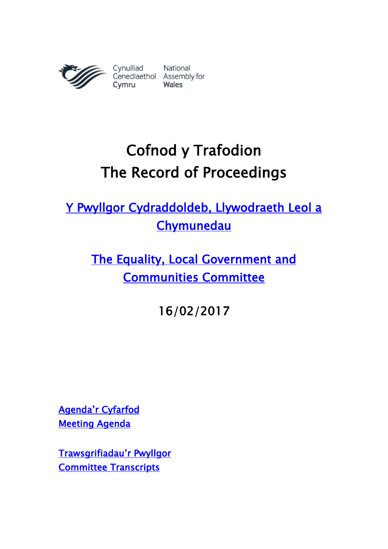

# Cofnod y Trafodion The Record of Proceedings

[Y Pwyllgor Cydraddoldeb, Llywodraeth Leol a](http://www.senedd.cynulliad.cymru/mgCommitteeDetails.aspx?ID=447)  **Chymunedau** 

[The Equality, Local Government and](http://www.senedd.assembly.wales/mgCommitteeDetails.aspx?ID=447)  [Communities Committee](http://www.senedd.assembly.wales/mgCommitteeDetails.aspx?ID=447) 

16/02/2017

Agenda'r [Cyfarfod](http://www.senedd.cynulliad.cymru/ieListDocuments.aspx?CId=447&MId=3848&Ver=4)  [Meeting Agenda](http://senedd.assembly.wales/ieListDocuments.aspx?CId=447&MId=3848&Ver=4) 

[Trawsgrifiadau'r Pwyllgor](http://senedd.cynulliad.cymru/mgIssueHistoryHome.aspx?IId=15159) [Committee Transcripts](http://senedd.assembly.wales/mgIssueHistoryHome.aspx?IId=15159)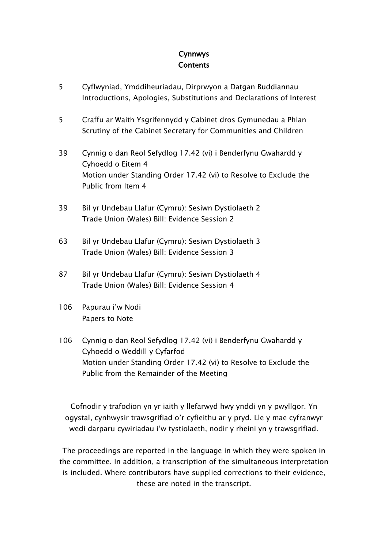### Cynnwys **Contents**

- [5](#page-4-0) [Cyflwyniad, Ymddiheuriadau, Dirprwyon a Datgan Buddiannau](#page-4-0) [Introductions, Apologies, Substitutions and](#page-4-0) Declarations of Interest
- 5 [Craffu ar Waith Ysgrifennydd y Cabinet dros Gymunedau a Phlan](#page-4-1) [Scrutiny of the Cabinet Secretary for Communities and Children](#page-4-1)
- 39 [Cynnig o dan Reol Sefydlog 17.42 \(vi\) i Benderfynu Gwahardd y](#page-38-0)  [Cyhoedd o Eitem 4](#page-38-0) [Motion under Standing Order 17.42 \(vi\) to Resolve to Exclude the](#page-38-0)  [Public from Item 4](#page-38-0)
- 39 [Bil yr Undebau Llafur \(Cymru\): Sesiwn Dystiolaeth 2](#page-38-1) [Trade Union \(Wales\) Bill: Evidence Session 2](#page-38-1)
- 63 [Bil yr Undebau Llafur \(Cymru\): Sesiwn Dystiolaeth 3](#page-62-0) [Trade Union \(Wales\) Bill: Evidence Session 3](#page-62-0)
- 87 [Bil yr Undebau Llafur \(Cymru\): Sesiwn Dystiolaeth 4](#page-86-0) [Trade Union \(Wales\) Bill: Evidence Session 4](#page-86-0)
- 106 [Papurau i'w Nodi](#page-105-0) [Papers to Note](#page-105-0)
- 106 [Cynnig o dan Reol Sefydlog 17.42 \(vi\) i Benderfynu Gwahardd y](#page-105-1)  [Cyhoedd o Weddill y Cyfarfod](#page-105-1) [Motion under Standing Order 17.42 \(vi\) to Resolve to Exclude the](#page-105-1)  [Public from the Remainder of the Meeting](#page-105-1)

Cofnodir y trafodion yn yr iaith y llefarwyd hwy ynddi yn y pwyllgor. Yn ogystal, cynhwysir trawsgrifiad o'r cyfieithu ar y pryd. Lle y mae cyfranwyr wedi darparu cywiriadau i'w tystiolaeth, nodir y rheini yn y trawsgrifiad.

The proceedings are reported in the language in which they were spoken in the committee. In addition, a transcription of the simultaneous interpretation is included. Where contributors have supplied corrections to their evidence, these are noted in the transcript.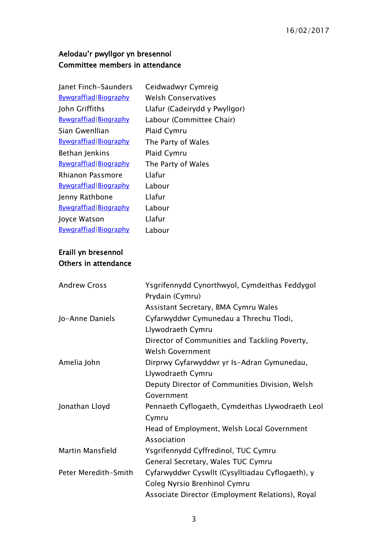## Aelodau'r pwyllgor yn bresennol Committee members in attendance

| Janet Finch-Saunders         | Ceidwadwyr Cymreig            |
|------------------------------|-------------------------------|
| <b>Bywgraffiad Biography</b> | Welsh Conservatives           |
| John Griffiths               | Llafur (Cadeirydd y Pwyllgor) |
| <b>Bywgraffiad Biography</b> | Labour (Committee Chair)      |
| Sian Gwenllian               | Plaid Cymru                   |
| <b>Bywgraffiad Biography</b> | The Party of Wales            |
| Bethan Jenkins               | <b>Plaid Cymru</b>            |
| Bywgraffiad Biography        | The Party of Wales            |
| Rhianon Passmore             | Llafur                        |
| Bywgraffiad Biography        | Labour                        |
| Jenny Rathbone               | Llafur                        |
| <b>Bywgraffiad Biography</b> | Labour                        |
| Joyce Watson                 | Llafur                        |
| <b>Bywgraffiad Biography</b> | Labour                        |

#### Eraill yn bresennol Others in attendance

| <b>Andrew Cross</b>     | Ysgrifennydd Cynorthwyol, Cymdeithas Feddygol    |
|-------------------------|--------------------------------------------------|
|                         | Prydain (Cymru)                                  |
|                         | Assistant Secretary, BMA Cymru Wales             |
| Jo-Anne Daniels         | Cyfarwyddwr Cymunedau a Threchu Tlodi,           |
|                         | Llywodraeth Cymru                                |
|                         | Director of Communities and Tackling Poverty,    |
|                         | Welsh Government                                 |
| Amelia John             | Dirprwy Gyfarwyddwr yr Is-Adran Gymunedau,       |
|                         | Llywodraeth Cymru                                |
|                         | Deputy Director of Communities Division, Welsh   |
|                         | Government                                       |
| Jonathan Lloyd          | Pennaeth Cyflogaeth, Cymdeithas Llywodraeth Leol |
|                         | Cymru                                            |
|                         | Head of Employment, Welsh Local Government       |
|                         | Association                                      |
| <b>Martin Mansfield</b> | Ysgrifennydd Cyffredinol, TUC Cymru              |
|                         | General Secretary, Wales TUC Cymru               |
| Peter Meredith-Smith    | Cyfarwyddwr Cyswllt (Cysylltiadau Cyflogaeth), y |
|                         | Coleg Nyrsio Brenhinol Cymru                     |
|                         | Associate Director (Employment Relations), Royal |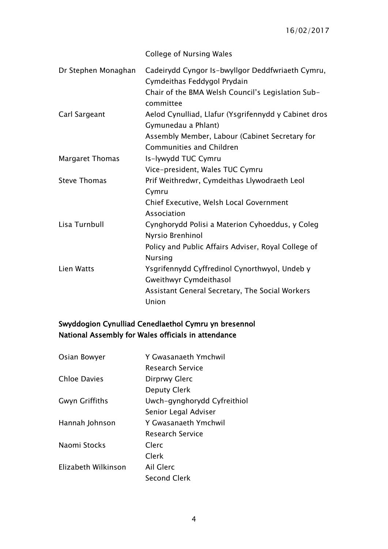College of Nursing Wales

| Dr Stephen Monaghan    | Cadeirydd Cyngor Is-bwyllgor Deddfwriaeth Cymru,<br>Cymdeithas Feddygol Prydain   |
|------------------------|-----------------------------------------------------------------------------------|
|                        | Chair of the BMA Welsh Council's Legislation Sub-<br>committee                    |
| Carl Sargeant          | Aelod Cynulliad, Llafur (Ysgrifennydd y Cabinet dros<br>Gymunedau a Phlant)       |
|                        | Assembly Member, Labour (Cabinet Secretary for<br><b>Communities and Children</b> |
| <b>Margaret Thomas</b> | Is-lywydd TUC Cymru                                                               |
|                        | Vice-president, Wales TUC Cymru                                                   |
| <b>Steve Thomas</b>    | Prif Weithredwr, Cymdeithas Llywodraeth Leol<br>Cymru                             |
|                        | Chief Executive, Welsh Local Government<br>Association                            |
| Lisa Turnbull          | Cynghorydd Polisi a Materion Cyhoeddus, y Coleg<br>Nyrsio Brenhinol               |
|                        | Policy and Public Affairs Adviser, Royal College of<br><b>Nursing</b>             |
| Lien Watts             | Ysgrifennydd Cyffredinol Cynorthwyol, Undeb y<br><b>Gweithwyr Cymdeithasol</b>    |
|                        | Assistant General Secretary, The Social Workers<br>Union                          |

## Swyddogion Cynulliad Cenedlaethol Cymru yn bresennol National Assembly for Wales officials in attendance

| Osian Bowyer          | Y Gwasanaeth Ymchwil        |
|-----------------------|-----------------------------|
|                       | <b>Research Service</b>     |
| <b>Chloe Davies</b>   | Dirprwy Glerc               |
|                       | <b>Deputy Clerk</b>         |
| <b>Gwyn Griffiths</b> | Uwch-gynghorydd Cyfreithiol |
|                       | Senior Legal Adviser        |
| Hannah Johnson        | Y Gwasanaeth Ymchwil        |
|                       | <b>Research Service</b>     |
| Naomi Stocks          | Clerc                       |
|                       | Clerk                       |
| Elizabeth Wilkinson   | Ail Glerc                   |
|                       | Second Clerk                |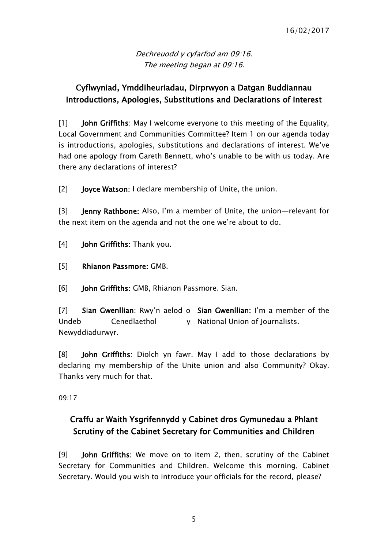Dechreuodd y cyfarfod am 09:16. The meeting began at 09:16.

# <span id="page-4-0"></span>Cyflwyniad, Ymddiheuriadau, Dirprwyon a Datgan Buddiannau Introductions, Apologies, Substitutions and Declarations of Interest

[1] **John Griffiths**: May I welcome everyone to this meeting of the Equality, Local Government and Communities Committee? Item 1 on our agenda today is introductions, apologies, substitutions and declarations of interest. We've had one apology from Gareth Bennett, who's unable to be with us today. Are there any declarations of interest?

[2] **Joyce Watson: I** declare membership of Unite, the union.

[3] Jenny Rathbone: Also, I'm a member of Unite, the union—relevant for the next item on the agenda and not the one we're about to do.

- [4] John Griffiths: Thank you.
- [5] Rhianon Passmore: GMB.
- [6] **John Griffiths: GMB, Rhianon Passmore. Sian.**

[7] Sian Gwenllian: Rwy'n aelod o Sian Gwenllian: I'm a member of the Undeb Cenedlaethol Newyddiadurwyr. y National Union of Journalists.

[8] John Griffiths: Diolch yn fawr. May I add to those declarations by declaring my membership of the Unite union and also Community? Okay. Thanks very much for that.

09:17

# <span id="page-4-1"></span>Craffu ar Waith Ysgrifennydd y Cabinet dros Gymunedau a Phlant Scrutiny of the Cabinet Secretary for Communities and Children

[9] John Griffiths: We move on to item 2, then, scrutiny of the Cabinet Secretary for Communities and Children. Welcome this morning, Cabinet Secretary. Would you wish to introduce your officials for the record, please?

5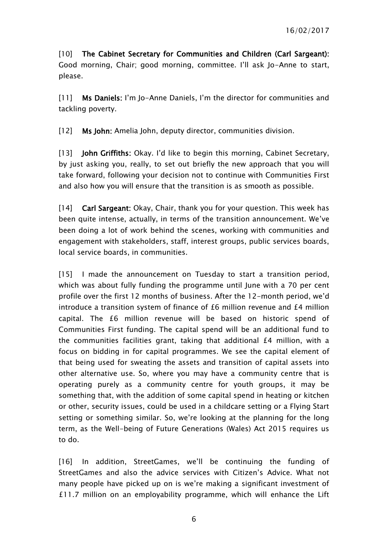[10] The Cabinet Secretary for Communities and Children (Carl Sargeant): Good morning, Chair; good morning, committee. I'll ask Jo-Anne to start, please.

[11] Ms Daniels: I'm Jo-Anne Daniels, I'm the director for communities and tackling poverty.

[12] Ms John: Amelia John, deputy director, communities division.

[13] **John Griffiths:** Okay. I'd like to begin this morning, Cabinet Secretary, by just asking you, really, to set out briefly the new approach that you will take forward, following your decision not to continue with Communities First and also how you will ensure that the transition is as smooth as possible.

[14] Carl Sargeant: Okay, Chair, thank you for your question. This week has been quite intense, actually, in terms of the transition announcement. We've been doing a lot of work behind the scenes, working with communities and engagement with stakeholders, staff, interest groups, public services boards, local service boards, in communities.

[15] I made the announcement on Tuesday to start a transition period, which was about fully funding the programme until June with a 70 per cent profile over the first 12 months of business. After the 12-month period, we'd introduce a transition system of finance of £6 million revenue and £4 million capital. The £6 million revenue will be based on historic spend of Communities First funding. The capital spend will be an additional fund to the communities facilities grant, taking that additional £4 million, with a focus on bidding in for capital programmes. We see the capital element of that being used for sweating the assets and transition of capital assets into other alternative use. So, where you may have a community centre that is operating purely as a community centre for youth groups, it may be something that, with the addition of some capital spend in heating or kitchen or other, security issues, could be used in a childcare setting or a Flying Start setting or something similar. So, we're looking at the planning for the long term, as the Well-being of Future Generations (Wales) Act 2015 requires us to do.

[16] In addition, StreetGames, we'll be continuing the funding of StreetGames and also the advice services with Citizen's Advice. What not many people have picked up on is we're making a significant investment of £11.7 million on an employability programme, which will enhance the Lift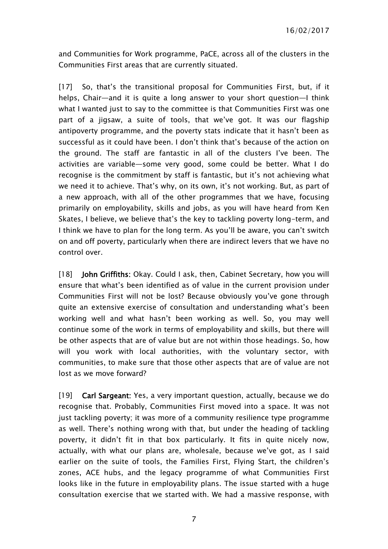and Communities for Work programme, PaCE, across all of the clusters in the Communities First areas that are currently situated.

[17] So, that's the transitional proposal for Communities First, but, if it helps, Chair—and it is quite a long answer to your short question—I think what I wanted just to say to the committee is that Communities First was one part of a jigsaw, a suite of tools, that we've got. It was our flagship antipoverty programme, and the poverty stats indicate that it hasn't been as successful as it could have been. I don't think that's because of the action on the ground. The staff are fantastic in all of the clusters I've been. The activities are variable—some very good, some could be better. What I do recognise is the commitment by staff is fantastic, but it's not achieving what we need it to achieve. That's why, on its own, it's not working. But, as part of a new approach, with all of the other programmes that we have, focusing primarily on employability, skills and jobs, as you will have heard from Ken Skates, I believe, we believe that's the key to tackling poverty long-term, and I think we have to plan for the long term. As you'll be aware, you can't switch on and off poverty, particularly when there are indirect levers that we have no control over.

[18] **John Griffiths:** Okay. Could I ask, then, Cabinet Secretary, how you will ensure that what's been identified as of value in the current provision under Communities First will not be lost? Because obviously you've gone through quite an extensive exercise of consultation and understanding what's been working well and what hasn't been working as well. So, you may well continue some of the work in terms of employability and skills, but there will be other aspects that are of value but are not within those headings. So, how will you work with local authorities, with the voluntary sector, with communities, to make sure that those other aspects that are of value are not lost as we move forward?

[19] Carl Sargeant: Yes, a very important question, actually, because we do recognise that. Probably, Communities First moved into a space. It was not just tackling poverty; it was more of a community resilience type programme as well. There's nothing wrong with that, but under the heading of tackling poverty, it didn't fit in that box particularly. It fits in quite nicely now, actually, with what our plans are, wholesale, because we've got, as I said earlier on the suite of tools, the Families First, Flying Start, the children's zones, ACE hubs, and the legacy programme of what Communities First looks like in the future in employability plans. The issue started with a huge consultation exercise that we started with. We had a massive response, with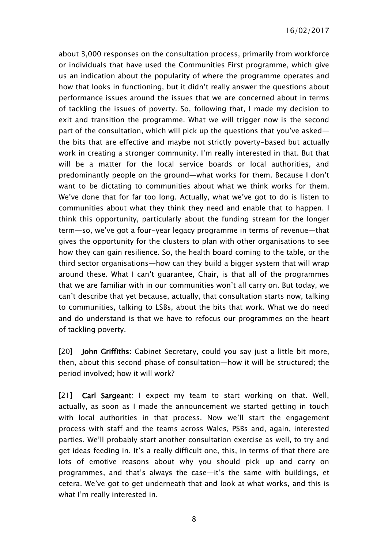about 3,000 responses on the consultation process, primarily from workforce or individuals that have used the Communities First programme, which give us an indication about the popularity of where the programme operates and how that looks in functioning, but it didn't really answer the questions about performance issues around the issues that we are concerned about in terms of tackling the issues of poverty. So, following that, I made my decision to exit and transition the programme. What we will trigger now is the second part of the consultation, which will pick up the questions that you've asked the bits that are effective and maybe not strictly poverty-based but actually work in creating a stronger community. I'm really interested in that. But that will be a matter for the local service boards or local authorities, and predominantly people on the ground—what works for them. Because I don't want to be dictating to communities about what we think works for them. We've done that for far too long. Actually, what we've got to do is listen to communities about what they think they need and enable that to happen. I think this opportunity, particularly about the funding stream for the longer term—so, we've got a four-year legacy programme in terms of revenue—that gives the opportunity for the clusters to plan with other organisations to see how they can gain resilience. So, the health board coming to the table, or the third sector organisations—how can they build a bigger system that will wrap around these. What I can't guarantee, Chair, is that all of the programmes that we are familiar with in our communities won't all carry on. But today, we can't describe that yet because, actually, that consultation starts now, talking to communities, talking to LSBs, about the bits that work. What we do need and do understand is that we have to refocus our programmes on the heart of tackling poverty.

[20] John Griffiths: Cabinet Secretary, could you say just a little bit more, then, about this second phase of consultation—how it will be structured; the period involved; how it will work?

[21] Carl Sargeant: I expect my team to start working on that. Well, actually, as soon as I made the announcement we started getting in touch with local authorities in that process. Now we'll start the engagement process with staff and the teams across Wales, PSBs and, again, interested parties. We'll probably start another consultation exercise as well, to try and get ideas feeding in. It's a really difficult one, this, in terms of that there are lots of emotive reasons about why you should pick up and carry on programmes, and that's always the case—it's the same with buildings, et cetera. We've got to get underneath that and look at what works, and this is what I'm really interested in.

8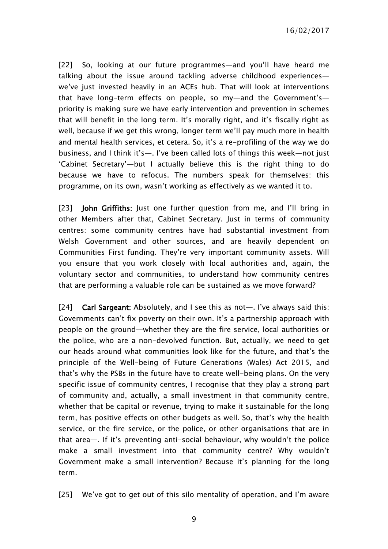[22] So, looking at our future programmes—and you'll have heard me talking about the issue around tackling adverse childhood experiences we've just invested heavily in an ACEs hub. That will look at interventions that have long-term effects on people, so my—and the Government's priority is making sure we have early intervention and prevention in schemes that will benefit in the long term. It's morally right, and it's fiscally right as well, because if we get this wrong, longer term we'll pay much more in health and mental health services, et cetera. So, it's a re-profiling of the way we do business, and I think it's—. I've been called lots of things this week—not just 'Cabinet Secretary'—but I actually believe this is the right thing to do because we have to refocus. The numbers speak for themselves: this programme, on its own, wasn't working as effectively as we wanted it to.

[23] **John Griffiths:** Just one further question from me, and I'll bring in other Members after that, Cabinet Secretary. Just in terms of community centres: some community centres have had substantial investment from Welsh Government and other sources, and are heavily dependent on Communities First funding. They're very important community assets. Will you ensure that you work closely with local authorities and, again, the voluntary sector and communities, to understand how community centres that are performing a valuable role can be sustained as we move forward?

[24] Carl Sargeant: Absolutely, and I see this as not—. I've always said this: Governments can't fix poverty on their own. It's a partnership approach with people on the ground—whether they are the fire service, local authorities or the police, who are a non-devolved function. But, actually, we need to get our heads around what communities look like for the future, and that's the principle of the Well-being of Future Generations (Wales) Act 2015, and that's why the PSBs in the future have to create well-being plans. On the very specific issue of community centres, I recognise that they play a strong part of community and, actually, a small investment in that community centre, whether that be capital or revenue, trying to make it sustainable for the long term, has positive effects on other budgets as well. So, that's why the health service, or the fire service, or the police, or other organisations that are in that area—. If it's preventing anti-social behaviour, why wouldn't the police make a small investment into that community centre? Why wouldn't Government make a small intervention? Because it's planning for the long term.

[25] We've got to get out of this silo mentality of operation, and I'm aware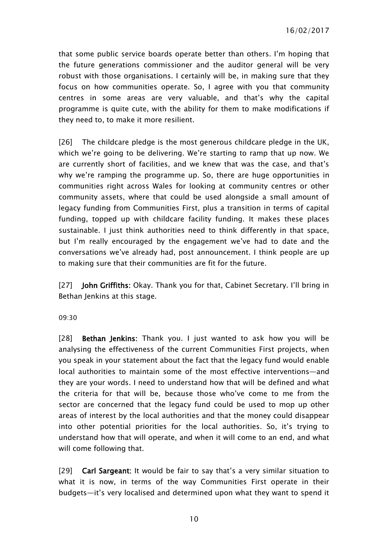that some public service boards operate better than others. I'm hoping that the future generations commissioner and the auditor general will be very robust with those organisations. I certainly will be, in making sure that they focus on how communities operate. So, I agree with you that community centres in some areas are very valuable, and that's why the capital programme is quite cute, with the ability for them to make modifications if they need to, to make it more resilient.

[26] The childcare pledge is the most generous childcare pledge in the UK, which we're going to be delivering. We're starting to ramp that up now. We are currently short of facilities, and we knew that was the case, and that's why we're ramping the programme up. So, there are huge opportunities in communities right across Wales for looking at community centres or other community assets, where that could be used alongside a small amount of legacy funding from Communities First, plus a transition in terms of capital funding, topped up with childcare facility funding. It makes these places sustainable. I just think authorities need to think differently in that space, but I'm really encouraged by the engagement we've had to date and the conversations we've already had, post announcement. I think people are up to making sure that their communities are fit for the future.

[27] John Griffiths: Okay. Thank you for that, Cabinet Secretary. I'll bring in Bethan Jenkins at this stage.

09:30

[28] Bethan Jenkins: Thank you. I just wanted to ask how you will be analysing the effectiveness of the current Communities First projects, when you speak in your statement about the fact that the legacy fund would enable local authorities to maintain some of the most effective interventions—and they are your words. I need to understand how that will be defined and what the criteria for that will be, because those who've come to me from the sector are concerned that the legacy fund could be used to mop up other areas of interest by the local authorities and that the money could disappear into other potential priorities for the local authorities. So, it's trying to understand how that will operate, and when it will come to an end, and what will come following that.

[29] Carl Sargeant: It would be fair to say that's a very similar situation to what it is now, in terms of the way Communities First operate in their budgets—it's very localised and determined upon what they want to spend it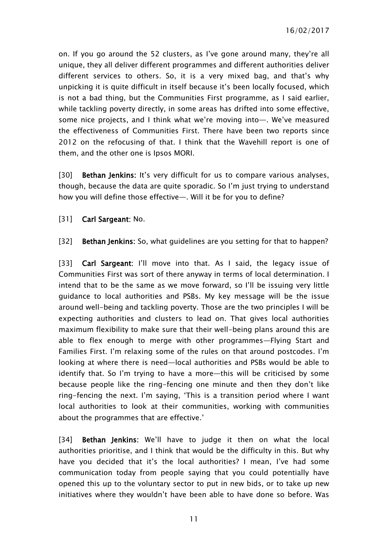on. If you go around the 52 clusters, as I've gone around many, they're all unique, they all deliver different programmes and different authorities deliver different services to others. So, it is a very mixed bag, and that's why unpicking it is quite difficult in itself because it's been locally focused, which is not a bad thing, but the Communities First programme, as I said earlier, while tackling poverty directly, in some areas has drifted into some effective, some nice projects, and I think what we're moving into—. We've measured the effectiveness of Communities First. There have been two reports since 2012 on the refocusing of that. I think that the Wavehill report is one of them, and the other one is Ipsos MORI.

[30] **Bethan Jenkins:** It's very difficult for us to compare various analyses, though, because the data are quite sporadic. So I'm just trying to understand how you will define those effective—. Will it be for you to define?

[31] **Carl Sargeant: No.** 

[32] Bethan Jenkins: So, what guidelines are you setting for that to happen?

[33] Carl Sargeant: I'll move into that. As I said, the legacy issue of Communities First was sort of there anyway in terms of local determination. I intend that to be the same as we move forward, so I'll be issuing very little guidance to local authorities and PSBs. My key message will be the issue around well-being and tackling poverty. Those are the two principles I will be expecting authorities and clusters to lead on. That gives local authorities maximum flexibility to make sure that their well-being plans around this are able to flex enough to merge with other programmes—Flying Start and Families First. I'm relaxing some of the rules on that around postcodes. I'm looking at where there is need—local authorities and PSBs would be able to identify that. So I'm trying to have a more—this will be criticised by some because people like the ring-fencing one minute and then they don't like ring-fencing the next. I'm saying, 'This is a transition period where I want local authorities to look at their communities, working with communities about the programmes that are effective.'

[34] Bethan Jenkins: We'll have to judge it then on what the local authorities prioritise, and I think that would be the difficulty in this. But why have you decided that it's the local authorities? I mean, I've had some communication today from people saying that you could potentially have opened this up to the voluntary sector to put in new bids, or to take up new initiatives where they wouldn't have been able to have done so before. Was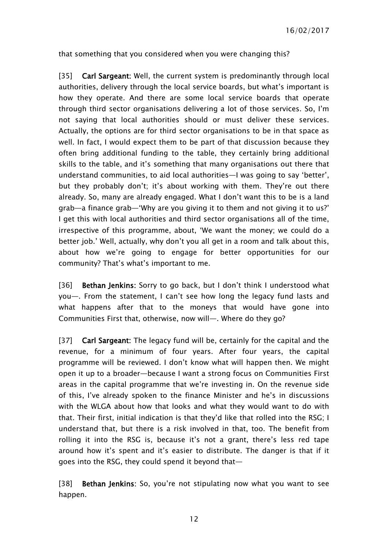that something that you considered when you were changing this?

[35] Carl Sargeant: Well, the current system is predominantly through local authorities, delivery through the local service boards, but what's important is how they operate. And there are some local service boards that operate through third sector organisations delivering a lot of those services. So, I'm not saying that local authorities should or must deliver these services. Actually, the options are for third sector organisations to be in that space as well. In fact, I would expect them to be part of that discussion because they often bring additional funding to the table, they certainly bring additional skills to the table, and it's something that many organisations out there that understand communities, to aid local authorities—I was going to say 'better', but they probably don't; it's about working with them. They're out there already. So, many are already engaged. What I don't want this to be is a land grab—a finance grab—'Why are you giving it to them and not giving it to us?' I get this with local authorities and third sector organisations all of the time, irrespective of this programme, about, 'We want the money; we could do a better job.' Well, actually, why don't you all get in a room and talk about this, about how we're going to engage for better opportunities for our community? That's what's important to me.

[36] Bethan Jenkins: Sorry to go back, but I don't think I understood what you—. From the statement, I can't see how long the legacy fund lasts and what happens after that to the moneys that would have gone into Communities First that, otherwise, now will—. Where do they go?

[37] **Carl Sargeant:** The legacy fund will be, certainly for the capital and the revenue, for a minimum of four years. After four years, the capital programme will be reviewed. I don't know what will happen then. We might open it up to a broader—because I want a strong focus on Communities First areas in the capital programme that we're investing in. On the revenue side of this, I've already spoken to the finance Minister and he's in discussions with the WLGA about how that looks and what they would want to do with that. Their first, initial indication is that they'd like that rolled into the RSG; I understand that, but there is a risk involved in that, too. The benefit from rolling it into the RSG is, because it's not a grant, there's less red tape around how it's spent and it's easier to distribute. The danger is that if it goes into the RSG, they could spend it beyond that—

[38] Bethan Jenkins: So, you're not stipulating now what you want to see happen.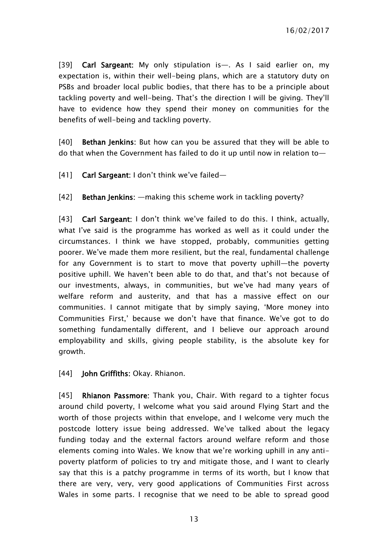[39] Carl Sargeant: My only stipulation is—. As I said earlier on, my expectation is, within their well-being plans, which are a statutory duty on PSBs and broader local public bodies, that there has to be a principle about tackling poverty and well-being. That's the direction I will be giving. They'll have to evidence how they spend their money on communities for the benefits of well-being and tackling poverty.

[40] **Bethan Jenkins:** But how can you be assured that they will be able to do that when the Government has failed to do it up until now in relation to—

[41] Carl Sargeant: I don't think we've failed—

[42] Bethan Jenkins: —making this scheme work in tackling poverty?

[43] Carl Sargeant: I don't think we've failed to do this. I think, actually, what I've said is the programme has worked as well as it could under the circumstances. I think we have stopped, probably, communities getting poorer. We've made them more resilient, but the real, fundamental challenge for any Government is to start to move that poverty uphill—the poverty positive uphill. We haven't been able to do that, and that's not because of our investments, always, in communities, but we've had many years of welfare reform and austerity, and that has a massive effect on our communities. I cannot mitigate that by simply saying, 'More money into Communities First,' because we don't have that finance. We've got to do something fundamentally different, and I believe our approach around employability and skills, giving people stability, is the absolute key for growth.

[44] **John Griffiths: Okay. Rhianon.** 

[45] Rhianon Passmore: Thank you, Chair. With regard to a tighter focus around child poverty, I welcome what you said around Flying Start and the worth of those projects within that envelope, and I welcome very much the postcode lottery issue being addressed. We've talked about the legacy funding today and the external factors around welfare reform and those elements coming into Wales. We know that we're working uphill in any antipoverty platform of policies to try and mitigate those, and I want to clearly say that this is a patchy programme in terms of its worth, but I know that there are very, very, very good applications of Communities First across Wales in some parts. I recognise that we need to be able to spread good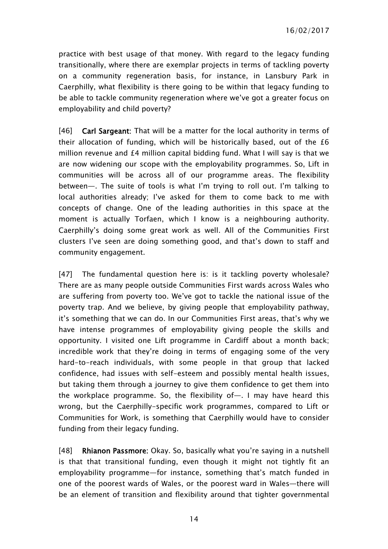practice with best usage of that money. With regard to the legacy funding transitionally, where there are exemplar projects in terms of tackling poverty on a community regeneration basis, for instance, in Lansbury Park in Caerphilly, what flexibility is there going to be within that legacy funding to be able to tackle community regeneration where we've got a greater focus on employability and child poverty?

[46] **Carl Sargeant:** That will be a matter for the local authority in terms of their allocation of funding, which will be historically based, out of the £6 million revenue and £4 million capital bidding fund. What I will say is that we are now widening our scope with the employability programmes. So, Lift in communities will be across all of our programme areas. The flexibility between—. The suite of tools is what I'm trying to roll out. I'm talking to local authorities already; I've asked for them to come back to me with concepts of change. One of the leading authorities in this space at the moment is actually Torfaen, which I know is a neighbouring authority. Caerphilly's doing some great work as well. All of the Communities First clusters I've seen are doing something good, and that's down to staff and community engagement.

[47] The fundamental question here is: is it tackling poverty wholesale? There are as many people outside Communities First wards across Wales who are suffering from poverty too. We've got to tackle the national issue of the poverty trap. And we believe, by giving people that employability pathway, it's something that we can do. In our Communities First areas, that's why we have intense programmes of employability giving people the skills and opportunity. I visited one Lift programme in Cardiff about a month back; incredible work that they're doing in terms of engaging some of the very hard-to-reach individuals, with some people in that group that lacked confidence, had issues with self-esteem and possibly mental health issues, but taking them through a journey to give them confidence to get them into the workplace programme. So, the flexibility of—. I may have heard this wrong, but the Caerphilly-specific work programmes, compared to Lift or Communities for Work, is something that Caerphilly would have to consider funding from their legacy funding.

[48] Rhianon Passmore: Okay. So, basically what you're saying in a nutshell is that that transitional funding, even though it might not tightly fit an employability programme—for instance, something that's match funded in one of the poorest wards of Wales, or the poorest ward in Wales—there will be an element of transition and flexibility around that tighter governmental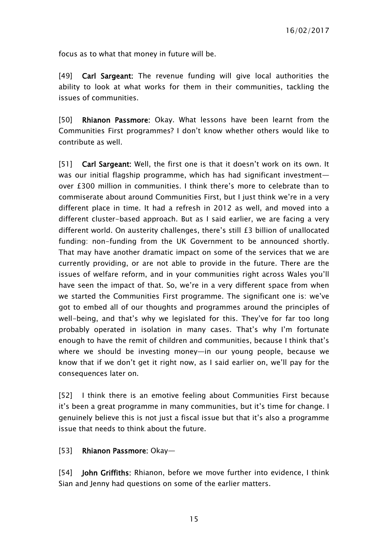focus as to what that money in future will be.

[49] Carl Sargeant: The revenue funding will give local authorities the ability to look at what works for them in their communities, tackling the issues of communities.

[50] Rhianon Passmore: Okay. What lessons have been learnt from the Communities First programmes? I don't know whether others would like to contribute as well.

[51] Carl Sargeant: Well, the first one is that it doesn't work on its own. It was our initial flagship programme, which has had significant investment over £300 million in communities. I think there's more to celebrate than to commiserate about around Communities First, but I just think we're in a very different place in time. It had a refresh in 2012 as well, and moved into a different cluster-based approach. But as I said earlier, we are facing a very different world. On austerity challenges, there's still £3 billion of unallocated funding: non-funding from the UK Government to be announced shortly. That may have another dramatic impact on some of the services that we are currently providing, or are not able to provide in the future. There are the issues of welfare reform, and in your communities right across Wales you'll have seen the impact of that. So, we're in a very different space from when we started the Communities First programme. The significant one is: we've got to embed all of our thoughts and programmes around the principles of well-being, and that's why we legislated for this. They've for far too long probably operated in isolation in many cases. That's why I'm fortunate enough to have the remit of children and communities, because I think that's where we should be investing money—in our young people, because we know that if we don't get it right now, as I said earlier on, we'll pay for the consequences later on.

[52] I think there is an emotive feeling about Communities First because it's been a great programme in many communities, but it's time for change. I genuinely believe this is not just a fiscal issue but that it's also a programme issue that needs to think about the future.

[53] Rhianon Passmore: Okay—

[54] **John Griffiths:** Rhianon, before we move further into evidence, I think Sian and Jenny had questions on some of the earlier matters.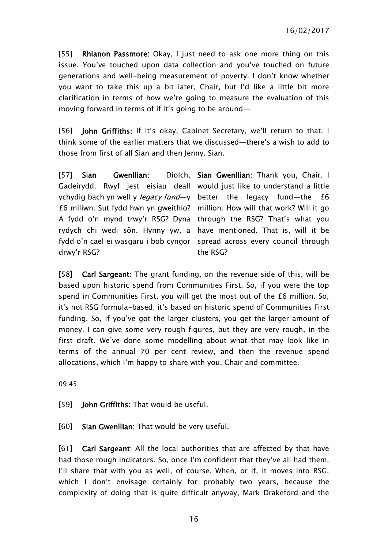[55] Rhianon Passmore: Okay, I just need to ask one more thing on this issue. You've touched upon data collection and you've touched on future generations and well-being measurement of poverty. I don't know whether you want to take this up a bit later, Chair, but I'd like a little bit more clarification in terms of how we're going to measure the evaluation of this moving forward in terms of if it's going to be around—

[56] **John Griffiths:** If it's okay, Cabinet Secretary, we'll return to that. I think some of the earlier matters that we discussed—there's a wish to add to those from first of all Sian and then Jenny. Sian.

[57] Sian Gwenllian: Gadeirydd. Rwyf jest eisiau deall would just like to understand a little ychydig bach yn well y *legacy fund*—y better the legacy fund—the £6 £6 miliwn. Sut fydd hwn yn gweithio? million. How will that work? Will it go A fydd o'n mynd trwy'r RSG? Dyna through the RSG? That's what you rydych chi wedi sôn. Hynny yw, a have mentioned. That is, will it be fydd o'n cael ei wasgaru i bob cyngor spread across every council through drwy'r RSG? Diolch. Sian Gwenllian: Thank you, Chair. I the RSG?

[58] Carl Sargeant: The grant funding, on the revenue side of this, will be based upon historic spend from Communities First. So, if you were the top spend in Communities First, you will get the most out of the £6 million. So, it's not RSG formula-based; it's based on historic spend of Communities First funding. So, if you've got the larger clusters, you get the larger amount of money. I can give some very rough figures, but they are very rough, in the first draft. We've done some modelling about what that may look like in terms of the annual 70 per cent review, and then the revenue spend allocations, which I'm happy to share with you, Chair and committee.

09:45

[59] **John Griffiths:** That would be useful.

[60] Sian Gwenllian: That would be very useful.

[61] Carl Sargeant: All the local authorities that are affected by that have had those rough indicators. So, once I'm confident that they've all had them, I'll share that with you as well, of course. When, or if, it moves into RSG, which I don't envisage certainly for probably two years, because the complexity of doing that is quite difficult anyway, Mark Drakeford and the

16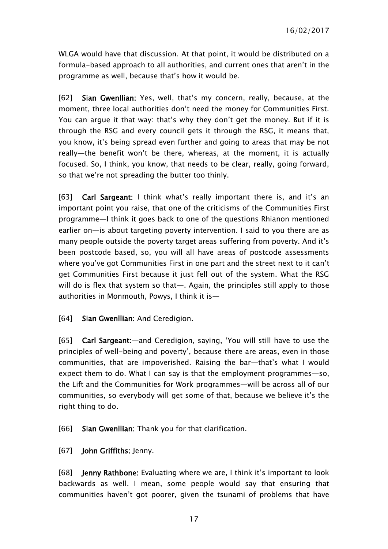WLGA would have that discussion. At that point, it would be distributed on a formula-based approach to all authorities, and current ones that aren't in the programme as well, because that's how it would be.

[62] Sian Gwenllian: Yes, well, that's my concern, really, because, at the moment, three local authorities don't need the money for Communities First. You can argue it that way: that's why they don't get the money. But if it is through the RSG and every council gets it through the RSG, it means that, you know, it's being spread even further and going to areas that may be not really—the benefit won't be there, whereas, at the moment, it is actually focused. So, I think, you know, that needs to be clear, really, going forward, so that we're not spreading the butter too thinly.

[63] Carl Sargeant: I think what's really important there is, and it's an important point you raise, that one of the criticisms of the Communities First programme—I think it goes back to one of the questions Rhianon mentioned earlier on—is about targeting poverty intervention. I said to you there are as many people outside the poverty target areas suffering from poverty. And it's been postcode based, so, you will all have areas of postcode assessments where you've got Communities First in one part and the street next to it can't get Communities First because it just fell out of the system. What the RSG will do is flex that system so that—. Again, the principles still apply to those authorities in Monmouth, Powys, I think it is—

#### [64] Sian Gwenllian: And Ceredigion.

[65] Carl Sargeant:—and Ceredigion, saying, 'You will still have to use the principles of well-being and poverty', because there are areas, even in those communities, that are impoverished. Raising the bar—that's what I would expect them to do. What I can say is that the employment programmes—so, the Lift and the Communities for Work programmes—will be across all of our communities, so everybody will get some of that, because we believe it's the right thing to do.

[66] Sian Gwenllian: Thank you for that clarification.

#### [67] John Griffiths: Jenny.

[68] Jenny Rathbone: Evaluating where we are, I think it's important to look backwards as well. I mean, some people would say that ensuring that communities haven't got poorer, given the tsunami of problems that have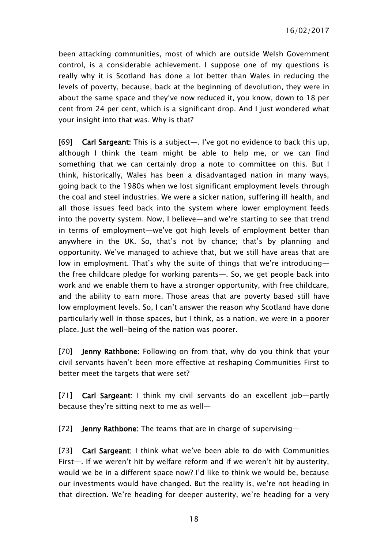been attacking communities, most of which are outside Welsh Government control, is a considerable achievement. I suppose one of my questions is really why it is Scotland has done a lot better than Wales in reducing the levels of poverty, because, back at the beginning of devolution, they were in about the same space and they've now reduced it, you know, down to 18 per cent from 24 per cent, which is a significant drop. And I just wondered what your insight into that was. Why is that?

[69] Carl Sargeant: This is a subject—. I've got no evidence to back this up, although I think the team might be able to help me, or we can find something that we can certainly drop a note to committee on this. But I think, historically, Wales has been a disadvantaged nation in many ways, going back to the 1980s when we lost significant employment levels through the coal and steel industries. We were a sicker nation, suffering ill health, and all those issues feed back into the system where lower employment feeds into the poverty system. Now, I believe—and we're starting to see that trend in terms of employment—we've got high levels of employment better than anywhere in the UK. So, that's not by chance; that's by planning and opportunity. We've managed to achieve that, but we still have areas that are low in employment. That's why the suite of things that we're introducing the free childcare pledge for working parents—. So, we get people back into work and we enable them to have a stronger opportunity, with free childcare, and the ability to earn more. Those areas that are poverty based still have low employment levels. So, I can't answer the reason why Scotland have done particularly well in those spaces, but I think, as a nation, we were in a poorer place. Just the well-being of the nation was poorer.

[70] Jenny Rathbone: Following on from that, why do you think that your civil servants haven't been more effective at reshaping Communities First to better meet the targets that were set?

[71] Carl Sargeant: I think my civil servants do an excellent job-partly because they're sitting next to me as well—

[72] **Jenny Rathbone:** The teams that are in charge of supervising-

[73] Carl Sargeant: I think what we've been able to do with Communities First—. If we weren't hit by welfare reform and if we weren't hit by austerity, would we be in a different space now? I'd like to think we would be, because our investments would have changed. But the reality is, we're not heading in that direction. We're heading for deeper austerity, we're heading for a very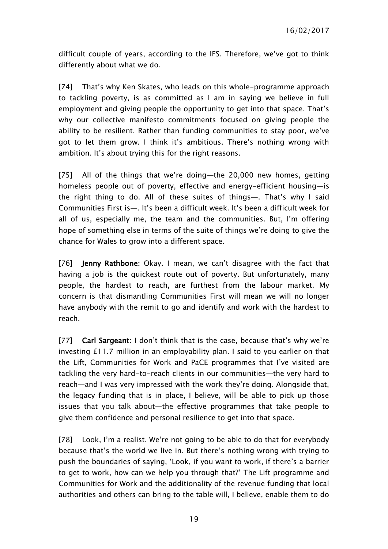difficult couple of years, according to the IFS. Therefore, we've got to think differently about what we do.

[74] That's why Ken Skates, who leads on this whole-programme approach to tackling poverty, is as committed as I am in saying we believe in full employment and giving people the opportunity to get into that space. That's why our collective manifesto commitments focused on giving people the ability to be resilient. Rather than funding communities to stay poor, we've got to let them grow. I think it's ambitious. There's nothing wrong with ambition. It's about trying this for the right reasons.

[75] All of the things that we're doing—the 20,000 new homes, getting homeless people out of poverty, effective and energy-efficient housing—is the right thing to do. All of these suites of things—. That's why I said Communities First is—. It's been a difficult week. It's been a difficult week for all of us, especially me, the team and the communities. But, I'm offering hope of something else in terms of the suite of things we're doing to give the chance for Wales to grow into a different space.

[76] **Jenny Rathbone:** Okay. I mean, we can't disagree with the fact that having a job is the quickest route out of poverty. But unfortunately, many people, the hardest to reach, are furthest from the labour market. My concern is that dismantling Communities First will mean we will no longer have anybody with the remit to go and identify and work with the hardest to reach.

[77] Carl Sargeant: I don't think that is the case, because that's why we're investing £11.7 million in an employability plan. I said to you earlier on that the Lift, Communities for Work and PaCE programmes that I've visited are tackling the very hard-to-reach clients in our communities—the very hard to reach—and I was very impressed with the work they're doing. Alongside that, the legacy funding that is in place, I believe, will be able to pick up those issues that you talk about—the effective programmes that take people to give them confidence and personal resilience to get into that space.

[78] Look, I'm a realist. We're not going to be able to do that for everybody because that's the world we live in. But there's nothing wrong with trying to push the boundaries of saying, 'Look, if you want to work, if there's a barrier to get to work, how can we help you through that?' The Lift programme and Communities for Work and the additionality of the revenue funding that local authorities and others can bring to the table will, I believe, enable them to do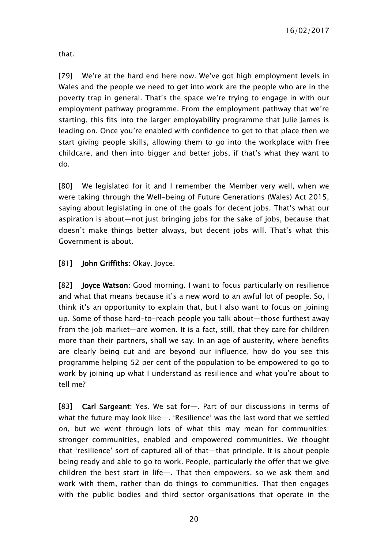that.

[79] We're at the hard end here now. We've got high employment levels in Wales and the people we need to get into work are the people who are in the poverty trap in general. That's the space we're trying to engage in with our employment pathway programme. From the employment pathway that we're starting, this fits into the larger employability programme that Julie James is leading on. Once you're enabled with confidence to get to that place then we start giving people skills, allowing them to go into the workplace with free childcare, and then into bigger and better jobs, if that's what they want to do.

[80] We legislated for it and I remember the Member very well, when we were taking through the Well-being of Future Generations (Wales) Act 2015, saying about legislating in one of the goals for decent jobs. That's what our aspiration is about—not just bringing jobs for the sake of jobs, because that doesn't make things better always, but decent jobs will. That's what this Government is about.

[81] **John Griffiths: Okay. Joyce.** 

[82] Joyce Watson: Good morning. I want to focus particularly on resilience and what that means because it's a new word to an awful lot of people. So, I think it's an opportunity to explain that, but I also want to focus on joining up. Some of those hard-to-reach people you talk about—those furthest away from the job market—are women. It is a fact, still, that they care for children more than their partners, shall we say. In an age of austerity, where benefits are clearly being cut and are beyond our influence, how do you see this programme helping 52 per cent of the population to be empowered to go to work by joining up what I understand as resilience and what you're about to tell me?

[83] Carl Sargeant: Yes. We sat for—. Part of our discussions in terms of what the future may look like—. 'Resilience' was the last word that we settled on, but we went through lots of what this may mean for communities: stronger communities, enabled and empowered communities. We thought that 'resilience' sort of captured all of that—that principle. It is about people being ready and able to go to work. People, particularly the offer that we give children the best start in life—. That then empowers, so we ask them and work with them, rather than do things to communities. That then engages with the public bodies and third sector organisations that operate in the

20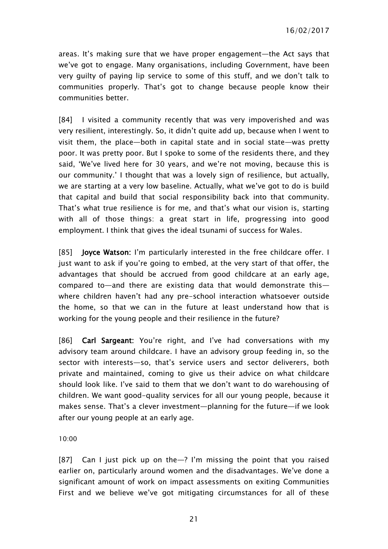areas. It's making sure that we have proper engagement—the Act says that we've got to engage. Many organisations, including Government, have been very guilty of paying lip service to some of this stuff, and we don't talk to communities properly. That's got to change because people know their communities better.

[84] I visited a community recently that was very impoverished and was very resilient, interestingly. So, it didn't quite add up, because when I went to visit them, the place—both in capital state and in social state—was pretty poor. It was pretty poor. But I spoke to some of the residents there, and they said, 'We've lived here for 30 years, and we're not moving, because this is our community.' I thought that was a lovely sign of resilience, but actually, we are starting at a very low baseline. Actually, what we've got to do is build that capital and build that social responsibility back into that community. That's what true resilience is for me, and that's what our vision is, starting with all of those things: a great start in life, progressing into good employment. I think that gives the ideal tsunami of success for Wales.

[85] **Joyce Watson:** I'm particularly interested in the free childcare offer. I just want to ask if you're going to embed, at the very start of that offer, the advantages that should be accrued from good childcare at an early age, compared to—and there are existing data that would demonstrate this where children haven't had any pre-school interaction whatsoever outside the home, so that we can in the future at least understand how that is working for the young people and their resilience in the future?

[86] Carl Sargeant: You're right, and I've had conversations with my advisory team around childcare. I have an advisory group feeding in, so the sector with interests—so, that's service users and sector deliverers, both private and maintained, coming to give us their advice on what childcare should look like. I've said to them that we don't want to do warehousing of children. We want good-quality services for all our young people, because it makes sense. That's a clever investment—planning for the future—if we look after our young people at an early age.

10:00

[87] Can I just pick up on the—? I'm missing the point that you raised earlier on, particularly around women and the disadvantages. We've done a significant amount of work on impact assessments on exiting Communities First and we believe we've got mitigating circumstances for all of these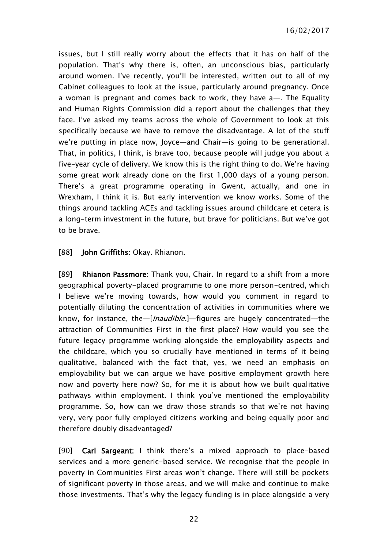issues, but I still really worry about the effects that it has on half of the population. That's why there is, often, an unconscious bias, particularly around women. I've recently, you'll be interested, written out to all of my Cabinet colleagues to look at the issue, particularly around pregnancy. Once a woman is pregnant and comes back to work, they have a—. The Equality and Human Rights Commission did a report about the challenges that they face. I've asked my teams across the whole of Government to look at this specifically because we have to remove the disadvantage. A lot of the stuff we're putting in place now, Joyce—and Chair—is going to be generational. That, in politics, I think, is brave too, because people will judge you about a five-year cycle of delivery. We know this is the right thing to do. We're having some great work already done on the first 1,000 days of a young person. There's a great programme operating in Gwent, actually, and one in Wrexham, I think it is. But early intervention we know works. Some of the things around tackling ACEs and tackling issues around childcare et cetera is a long-term investment in the future, but brave for politicians. But we've got to be brave.

[88] **John Griffiths: Okay. Rhianon.** 

[89] Rhianon Passmore: Thank you, Chair. In regard to a shift from a more geographical poverty-placed programme to one more person-centred, which I believe we're moving towards, how would you comment in regard to potentially diluting the concentration of activities in communities where we know, for instance, the—[*Inaudible*.]—figures are hugely concentrated—the attraction of Communities First in the first place? How would you see the future legacy programme working alongside the employability aspects and the childcare, which you so crucially have mentioned in terms of it being qualitative, balanced with the fact that, yes, we need an emphasis on employability but we can argue we have positive employment growth here now and poverty here now? So, for me it is about how we built qualitative pathways within employment. I think you've mentioned the employability programme. So, how can we draw those strands so that we're not having very, very poor fully employed citizens working and being equally poor and therefore doubly disadvantaged?

[90] Carl Sargeant: I think there's a mixed approach to place-based services and a more generic-based service. We recognise that the people in poverty in Communities First areas won't change. There will still be pockets of significant poverty in those areas, and we will make and continue to make those investments. That's why the legacy funding is in place alongside a very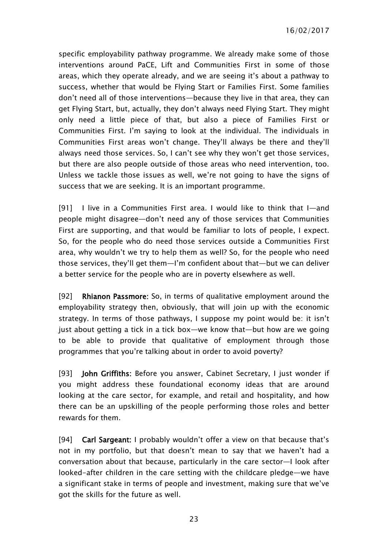specific employability pathway programme. We already make some of those interventions around PaCE, Lift and Communities First in some of those areas, which they operate already, and we are seeing it's about a pathway to success, whether that would be Flying Start or Families First. Some families don't need all of those interventions—because they live in that area, they can get Flying Start, but, actually, they don't always need Flying Start. They might only need a little piece of that, but also a piece of Families First or Communities First. I'm saying to look at the individual. The individuals in Communities First areas won't change. They'll always be there and they'll always need those services. So, I can't see why they won't get those services, but there are also people outside of those areas who need intervention, too. Unless we tackle those issues as well, we're not going to have the signs of success that we are seeking. It is an important programme.

[91] I live in a Communities First area. I would like to think that I—and people might disagree—don't need any of those services that Communities First are supporting, and that would be familiar to lots of people, I expect. So, for the people who do need those services outside a Communities First area, why wouldn't we try to help them as well? So, for the people who need those services, they'll get them—I'm confident about that—but we can deliver a better service for the people who are in poverty elsewhere as well.

[92] Rhianon Passmore: So, in terms of qualitative employment around the employability strategy then, obviously, that will join up with the economic strategy. In terms of those pathways, I suppose my point would be: it isn't just about getting a tick in a tick box—we know that—but how are we going to be able to provide that qualitative of employment through those programmes that you're talking about in order to avoid poverty?

[93] John Griffiths: Before you answer, Cabinet Secretary, I just wonder if you might address these foundational economy ideas that are around looking at the care sector, for example, and retail and hospitality, and how there can be an upskilling of the people performing those roles and better rewards for them.

[94] Carl Sargeant: I probably wouldn't offer a view on that because that's not in my portfolio, but that doesn't mean to say that we haven't had a conversation about that because, particularly in the care sector—I look after looked-after children in the care setting with the childcare pledge—we have a significant stake in terms of people and investment, making sure that we've got the skills for the future as well.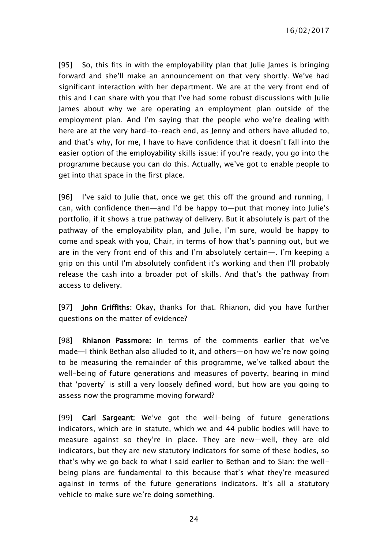[95] So, this fits in with the employability plan that Julie James is bringing forward and she'll make an announcement on that very shortly. We've had significant interaction with her department. We are at the very front end of this and I can share with you that I've had some robust discussions with Julie James about why we are operating an employment plan outside of the employment plan. And I'm saying that the people who we're dealing with here are at the very hard-to-reach end, as Jenny and others have alluded to, and that's why, for me, I have to have confidence that it doesn't fall into the easier option of the employability skills issue: if you're ready, you go into the programme because you can do this. Actually, we've got to enable people to get into that space in the first place.

[96] I've said to Julie that, once we get this off the ground and running, I can, with confidence then—and I'd be happy to—put that money into Julie's portfolio, if it shows a true pathway of delivery. But it absolutely is part of the pathway of the employability plan, and Julie, I'm sure, would be happy to come and speak with you, Chair, in terms of how that's panning out, but we are in the very front end of this and I'm absolutely certain—. I'm keeping a grip on this until I'm absolutely confident it's working and then I'll probably release the cash into a broader pot of skills. And that's the pathway from access to delivery.

[97] John Griffiths: Okay, thanks for that. Rhianon, did you have further questions on the matter of evidence?

[98] Rhianon Passmore: In terms of the comments earlier that we've made—I think Bethan also alluded to it, and others—on how we're now going to be measuring the remainder of this programme, we've talked about the well-being of future generations and measures of poverty, bearing in mind that 'poverty' is still a very loosely defined word, but how are you going to assess now the programme moving forward?

[99] Carl Sargeant: We've got the well-being of future generations indicators, which are in statute, which we and 44 public bodies will have to measure against so they're in place. They are new—well, they are old indicators, but they are new statutory indicators for some of these bodies, so that's why we go back to what I said earlier to Bethan and to Sian: the wellbeing plans are fundamental to this because that's what they're measured against in terms of the future generations indicators. It's all a statutory vehicle to make sure we're doing something.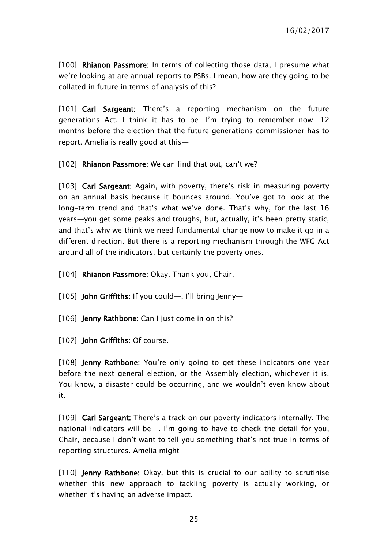[100] Rhianon Passmore: In terms of collecting those data, I presume what we're looking at are annual reports to PSBs. I mean, how are they going to be collated in future in terms of analysis of this?

[101] Carl Sargeant: There's a reporting mechanism on the future generations Act. I think it has to be—I'm trying to remember now—12 months before the election that the future generations commissioner has to report. Amelia is really good at this—

[102] Rhianon Passmore: We can find that out, can't we?

[103] Carl Sargeant: Again, with poverty, there's risk in measuring poverty on an annual basis because it bounces around. You've got to look at the long-term trend and that's what we've done. That's why, for the last 16 years—you get some peaks and troughs, but, actually, it's been pretty static, and that's why we think we need fundamental change now to make it go in a different direction. But there is a reporting mechanism through the WFG Act around all of the indicators, but certainly the poverty ones.

[104] Rhianon Passmore: Okay. Thank you, Chair.

[105] John Griffiths: If you could—. I'll bring Jenny—

[106] **Jenny Rathbone:** Can I just come in on this?

[107] John Griffiths: Of course.

[108] **Jenny Rathbone:** You're only going to get these indicators one year before the next general election, or the Assembly election, whichever it is. You know, a disaster could be occurring, and we wouldn't even know about it.

[109] Carl Sargeant: There's a track on our poverty indicators internally. The national indicators will be—. I'm going to have to check the detail for you, Chair, because I don't want to tell you something that's not true in terms of reporting structures. Amelia might—

[110] Jenny Rathbone: Okay, but this is crucial to our ability to scrutinise whether this new approach to tackling poverty is actually working, or whether it's having an adverse impact.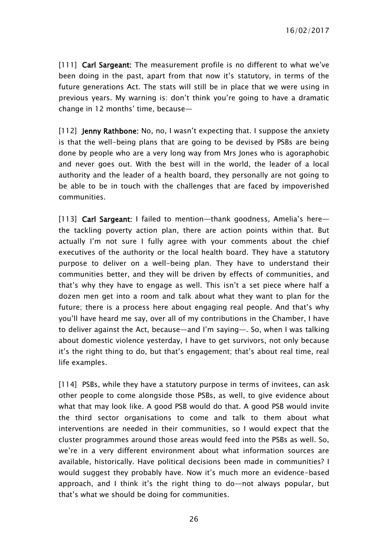[111] Carl Sargeant: The measurement profile is no different to what we've been doing in the past, apart from that now it's statutory, in terms of the future generations Act. The stats will still be in place that we were using in previous years. My warning is: don't think you're going to have a dramatic change in 12 months' time, because—

[112] **Jenny Rathbone:** No, no, I wasn't expecting that. I suppose the anxiety is that the well-being plans that are going to be devised by PSBs are being done by people who are a very long way from Mrs Jones who is agoraphobic and never goes out. With the best will in the world, the leader of a local authority and the leader of a health board, they personally are not going to be able to be in touch with the challenges that are faced by impoverished communities.

[113] Carl Sargeant: I failed to mention—thank goodness, Amelia's here the tackling poverty action plan, there are action points within that. But actually I'm not sure I fully agree with your comments about the chief executives of the authority or the local health board. They have a statutory purpose to deliver on a well-being plan. They have to understand their communities better, and they will be driven by effects of communities, and that's why they have to engage as well. This isn't a set piece where half a dozen men get into a room and talk about what they want to plan for the future; there is a process here about engaging real people. And that's why you'll have heard me say, over all of my contributions in the Chamber, I have to deliver against the Act, because—and I'm saying—. So, when I was talking about domestic violence yesterday, I have to get survivors, not only because it's the right thing to do, but that's engagement; that's about real time, real life examples.

[114] PSBs, while they have a statutory purpose in terms of invitees, can ask other people to come alongside those PSBs, as well, to give evidence about what that may look like. A good PSB would do that. A good PSB would invite the third sector organisations to come and talk to them about what interventions are needed in their communities, so I would expect that the cluster programmes around those areas would feed into the PSBs as well. So, we're in a very different environment about what information sources are available, historically. Have political decisions been made in communities? I would suggest they probably have. Now it's much more an evidence-based approach, and I think it's the right thing to do—not always popular, but that's what we should be doing for communities.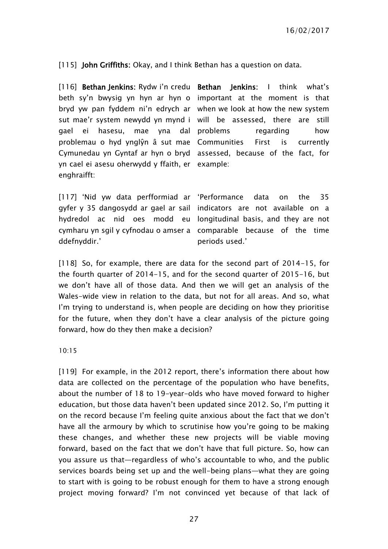[115] John Griffiths: Okay, and I think Bethan has a question on data.

[116] Bethan Jenkins: Rydw i'n credu Bethan Jenkins: I think what's beth sy'n bwysig yn hyn ar hyn o important at the moment is that bryd yw pan fyddem ni'n edrych ar when we look at how the new system sut mae'r system newydd yn mynd i will be assessed, there are still gael ei hasesu, mae yna dal problems regarding how problemau o hyd ynglŷn â sut mae Communities First is currently Cymunedau yn Gyntaf ar hyn o bryd assessed, because of the fact, for yn cael ei asesu oherwydd y ffaith, er example: enghraifft:

[117] 'Nid yw data perfformiad ar 'Performance data on the 35 gyfer y 35 dangosydd ar gael ar sail indicators are not available on a hydredol ac nid oes modd eu longitudinal basis, and they are not cymharu yn sgil y cyfnodau o amser a comparable because of the time ddefnyddir.' periods used.'

[118] So, for example, there are data for the second part of 2014-15, for the fourth quarter of 2014-15, and for the second quarter of 2015-16, but we don't have all of those data. And then we will get an analysis of the Wales-wide view in relation to the data, but not for all areas. And so, what I'm trying to understand is, when people are deciding on how they prioritise for the future, when they don't have a clear analysis of the picture going forward, how do they then make a decision?

10:15

[119] For example, in the 2012 report, there's information there about how data are collected on the percentage of the population who have benefits, about the number of 18 to 19-year-olds who have moved forward to higher education, but those data haven't been updated since 2012. So, I'm putting it on the record because I'm feeling quite anxious about the fact that we don't have all the armoury by which to scrutinise how you're going to be making these changes, and whether these new projects will be viable moving forward, based on the fact that we don't have that full picture. So, how can you assure us that—regardless of who's accountable to who, and the public services boards being set up and the well-being plans—what they are going to start with is going to be robust enough for them to have a strong enough project moving forward? I'm not convinced yet because of that lack of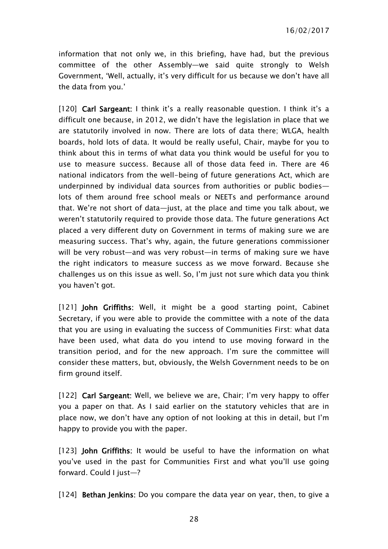information that not only we, in this briefing, have had, but the previous committee of the other Assembly—we said quite strongly to Welsh Government, 'Well, actually, it's very difficult for us because we don't have all the data from you.'

[120] Carl Sargeant: I think it's a really reasonable question. I think it's a difficult one because, in 2012, we didn't have the legislation in place that we are statutorily involved in now. There are lots of data there; WLGA, health boards, hold lots of data. It would be really useful, Chair, maybe for you to think about this in terms of what data you think would be useful for you to use to measure success. Because all of those data feed in. There are 46 national indicators from the well-being of future generations Act, which are underpinned by individual data sources from authorities or public bodies lots of them around free school meals or NEETs and performance around that. We're not short of data—just, at the place and time you talk about, we weren't statutorily required to provide those data. The future generations Act placed a very different duty on Government in terms of making sure we are measuring success. That's why, again, the future generations commissioner will be very robust—and was very robust—in terms of making sure we have the right indicators to measure success as we move forward. Because she challenges us on this issue as well. So, I'm just not sure which data you think you haven't got.

[121] John Griffiths: Well, it might be a good starting point, Cabinet Secretary, if you were able to provide the committee with a note of the data that you are using in evaluating the success of Communities First: what data have been used, what data do you intend to use moving forward in the transition period, and for the new approach. I'm sure the committee will consider these matters, but, obviously, the Welsh Government needs to be on firm ground itself.

[122] Carl Sargeant: Well, we believe we are, Chair; I'm very happy to offer you a paper on that. As I said earlier on the statutory vehicles that are in place now, we don't have any option of not looking at this in detail, but I'm happy to provide you with the paper.

[123] John Griffiths: It would be useful to have the information on what you've used in the past for Communities First and what you'll use going forward. Could I just—?

[124] **Bethan Jenkins:** Do you compare the data year on year, then, to give a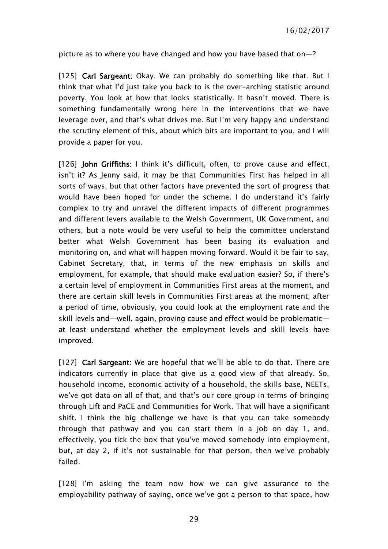picture as to where you have changed and how you have based that on—?

[125] Carl Sargeant: Okay. We can probably do something like that. But I think that what I'd just take you back to is the over-arching statistic around poverty. You look at how that looks statistically. It hasn't moved. There is something fundamentally wrong here in the interventions that we have leverage over, and that's what drives me. But I'm very happy and understand the scrutiny element of this, about which bits are important to you, and I will provide a paper for you.

[126] John Griffiths: I think it's difficult, often, to prove cause and effect, isn't it? As Jenny said, it may be that Communities First has helped in all sorts of ways, but that other factors have prevented the sort of progress that would have been hoped for under the scheme. I do understand it's fairly complex to try and unravel the different impacts of different programmes and different levers available to the Welsh Government, UK Government, and others, but a note would be very useful to help the committee understand better what Welsh Government has been basing its evaluation and monitoring on, and what will happen moving forward. Would it be fair to say, Cabinet Secretary, that, in terms of the new emphasis on skills and employment, for example, that should make evaluation easier? So, if there's a certain level of employment in Communities First areas at the moment, and there are certain skill levels in Communities First areas at the moment, after a period of time, obviously, you could look at the employment rate and the skill levels and—well, again, proving cause and effect would be problematic at least understand whether the employment levels and skill levels have improved.

[127] Carl Sargeant: We are hopeful that we'll be able to do that. There are indicators currently in place that give us a good view of that already. So, household income, economic activity of a household, the skills base, NEETs, we've got data on all of that, and that's our core group in terms of bringing through Lift and PaCE and Communities for Work. That will have a significant shift. I think the big challenge we have is that you can take somebody through that pathway and you can start them in a job on day 1, and, effectively, you tick the box that you've moved somebody into employment, but, at day 2, if it's not sustainable for that person, then we've probably failed.

[128] I'm asking the team now how we can give assurance to the employability pathway of saying, once we've got a person to that space, how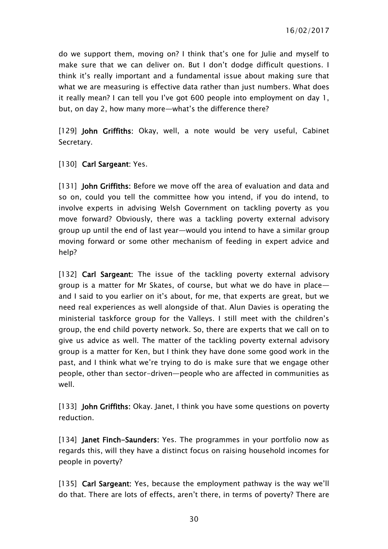do we support them, moving on? I think that's one for Julie and myself to make sure that we can deliver on. But I don't dodge difficult questions. I think it's really important and a fundamental issue about making sure that what we are measuring is effective data rather than just numbers. What does it really mean? I can tell you I've got 600 people into employment on day 1, but, on day 2, how many more—what's the difference there?

[129] John Griffiths: Okay, well, a note would be very useful, Cabinet Secretary.

[130] Carl Sargeant: Yes.

[131] **John Griffiths**: Before we move off the area of evaluation and data and so on, could you tell the committee how you intend, if you do intend, to involve experts in advising Welsh Government on tackling poverty as you move forward? Obviously, there was a tackling poverty external advisory group up until the end of last year—would you intend to have a similar group moving forward or some other mechanism of feeding in expert advice and help?

[132] Carl Sargeant: The issue of the tackling poverty external advisory group is a matter for Mr Skates, of course, but what we do have in place and I said to you earlier on it's about, for me, that experts are great, but we need real experiences as well alongside of that. Alun Davies is operating the ministerial taskforce group for the Valleys. I still meet with the children's group, the end child poverty network. So, there are experts that we call on to give us advice as well. The matter of the tackling poverty external advisory group is a matter for Ken, but I think they have done some good work in the past, and I think what we're trying to do is make sure that we engage other people, other than sector-driven—people who are affected in communities as well.

[133] **John Griffiths:** Okay. Janet, I think you have some questions on poverty reduction.

[134] **Janet Finch-Saunders:** Yes. The programmes in your portfolio now as regards this, will they have a distinct focus on raising household incomes for people in poverty?

[135] Carl Sargeant: Yes, because the employment pathway is the way we'll do that. There are lots of effects, aren't there, in terms of poverty? There are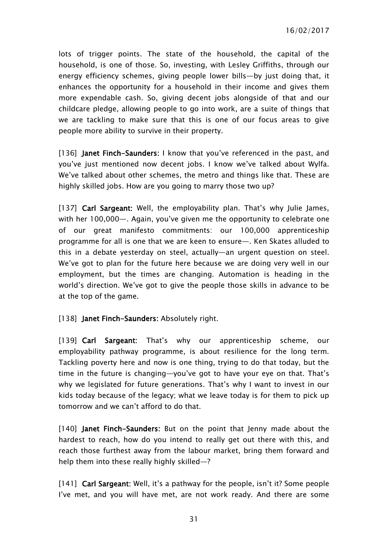lots of trigger points. The state of the household, the capital of the household, is one of those. So, investing, with Lesley Griffiths, through our energy efficiency schemes, giving people lower bills—by just doing that, it enhances the opportunity for a household in their income and gives them more expendable cash. So, giving decent jobs alongside of that and our childcare pledge, allowing people to go into work, are a suite of things that we are tackling to make sure that this is one of our focus areas to give people more ability to survive in their property.

[136] Janet Finch-Saunders: I know that you've referenced in the past, and you've just mentioned now decent jobs. I know we've talked about Wylfa. We've talked about other schemes, the metro and things like that. These are highly skilled jobs. How are you going to marry those two up?

[137] Carl Sargeant: Well, the employability plan. That's why Julie James, with her 100,000—. Again, you've given me the opportunity to celebrate one of our great manifesto commitments: our 100,000 apprenticeship programme for all is one that we are keen to ensure—. Ken Skates alluded to this in a debate yesterday on steel, actually—an urgent question on steel. We've got to plan for the future here because we are doing very well in our employment, but the times are changing. Automation is heading in the world's direction. We've got to give the people those skills in advance to be at the top of the game.

[138] Janet Finch-Saunders: Absolutely right.

[139] Carl Sargeant: That's why our apprenticeship scheme, our employability pathway programme, is about resilience for the long term. Tackling poverty here and now is one thing, trying to do that today, but the time in the future is changing—you've got to have your eye on that. That's why we legislated for future generations. That's why I want to invest in our kids today because of the legacy; what we leave today is for them to pick up tomorrow and we can't afford to do that.

[140] Janet Finch-Saunders: But on the point that Jenny made about the hardest to reach, how do you intend to really get out there with this, and reach those furthest away from the labour market, bring them forward and help them into these really highly skilled—?

[141] Carl Sargeant: Well, it's a pathway for the people, isn't it? Some people I've met, and you will have met, are not work ready. And there are some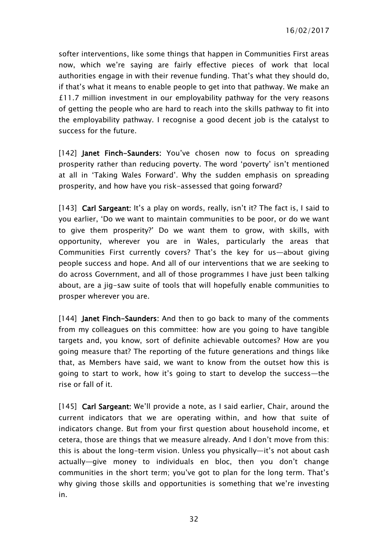softer interventions, like some things that happen in Communities First areas now, which we're saying are fairly effective pieces of work that local authorities engage in with their revenue funding. That's what they should do, if that's what it means to enable people to get into that pathway. We make an £11.7 million investment in our employability pathway for the very reasons of getting the people who are hard to reach into the skills pathway to fit into the employability pathway. I recognise a good decent job is the catalyst to success for the future.

[142] Janet Finch-Saunders: You've chosen now to focus on spreading prosperity rather than reducing poverty. The word 'poverty' isn't mentioned at all in 'Taking Wales Forward'. Why the sudden emphasis on spreading prosperity, and how have you risk-assessed that going forward?

[143] Carl Sargeant: It's a play on words, really, isn't it? The fact is, I said to you earlier, 'Do we want to maintain communities to be poor, or do we want to give them prosperity?' Do we want them to grow, with skills, with opportunity, wherever you are in Wales, particularly the areas that Communities First currently covers? That's the key for us—about giving people success and hope. And all of our interventions that we are seeking to do across Government, and all of those programmes I have just been talking about, are a jig-saw suite of tools that will hopefully enable communities to prosper wherever you are.

[144] **Janet Finch-Saunders:** And then to go back to many of the comments from my colleagues on this committee: how are you going to have tangible targets and, you know, sort of definite achievable outcomes? How are you going measure that? The reporting of the future generations and things like that, as Members have said, we want to know from the outset how this is going to start to work, how it's going to start to develop the success—the rise or fall of it.

[145] Carl Sargeant: We'll provide a note, as I said earlier, Chair, around the current indicators that we are operating within, and how that suite of indicators change. But from your first question about household income, et cetera, those are things that we measure already. And I don't move from this: this is about the long-term vision. Unless you physically—it's not about cash actually—give money to individuals en bloc, then you don't change communities in the short term; you've got to plan for the long term. That's why giving those skills and opportunities is something that we're investing in.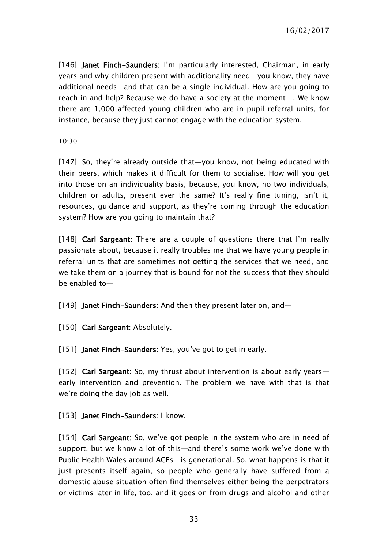[146] Janet Finch-Saunders: I'm particularly interested, Chairman, in early years and why children present with additionality need—you know, they have additional needs—and that can be a single individual. How are you going to reach in and help? Because we do have a society at the moment—. We know there are 1,000 affected young children who are in pupil referral units, for instance, because they just cannot engage with the education system.

10:30

[147] So, they're already outside that—you know, not being educated with their peers, which makes it difficult for them to socialise. How will you get into those on an individuality basis, because, you know, no two individuals, children or adults, present ever the same? It's really fine tuning, isn't it, resources, guidance and support, as they're coming through the education system? How are you going to maintain that?

[148] Carl Sargeant: There are a couple of questions there that I'm really passionate about, because it really troubles me that we have young people in referral units that are sometimes not getting the services that we need, and we take them on a journey that is bound for not the success that they should be enabled to—

[149] **Janet Finch-Saunders:** And then they present later on, and-

[150] Carl Sargeant: Absolutely.

[151] Janet Finch-Saunders: Yes, you've got to get in early.

[152] Carl Sargeant: So, my thrust about intervention is about early years early intervention and prevention. The problem we have with that is that we're doing the day job as well.

[153] Janet Finch-Saunders: I know.

[154] Carl Sargeant: So, we've got people in the system who are in need of support, but we know a lot of this—and there's some work we've done with Public Health Wales around ACEs—is generational. So, what happens is that it just presents itself again, so people who generally have suffered from a domestic abuse situation often find themselves either being the perpetrators or victims later in life, too, and it goes on from drugs and alcohol and other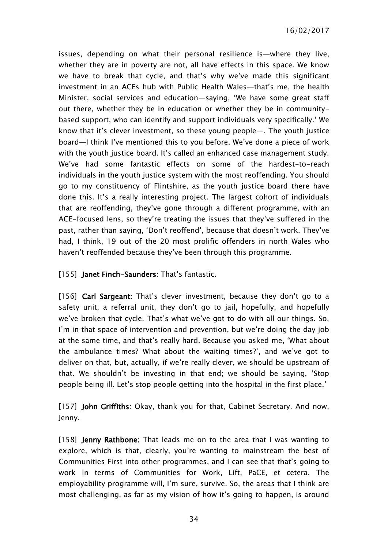issues, depending on what their personal resilience is—where they live, whether they are in poverty are not, all have effects in this space. We know we have to break that cycle, and that's why we've made this significant investment in an ACEs hub with Public Health Wales—that's me, the health Minister, social services and education—saying, 'We have some great staff out there, whether they be in education or whether they be in communitybased support, who can identify and support individuals very specifically.' We know that it's clever investment, so these young people—. The youth justice board—I think I've mentioned this to you before. We've done a piece of work with the youth justice board. It's called an enhanced case management study. We've had some fantastic effects on some of the hardest-to-reach individuals in the youth justice system with the most reoffending. You should go to my constituency of Flintshire, as the youth justice board there have done this. It's a really interesting project. The largest cohort of individuals that are reoffending, they've gone through a different programme, with an ACE-focused lens, so they're treating the issues that they've suffered in the past, rather than saying, 'Don't reoffend', because that doesn't work. They've had, I think, 19 out of the 20 most prolific offenders in north Wales who haven't reoffended because they've been through this programme.

#### [155] Janet Finch-Saunders: That's fantastic.

[156] Carl Sargeant: That's clever investment, because they don't go to a safety unit, a referral unit, they don't go to jail, hopefully, and hopefully we've broken that cycle. That's what we've got to do with all our things. So, I'm in that space of intervention and prevention, but we're doing the day job at the same time, and that's really hard. Because you asked me, 'What about the ambulance times? What about the waiting times?', and we've got to deliver on that, but, actually, if we're really clever, we should be upstream of that. We shouldn't be investing in that end; we should be saying, 'Stop people being ill. Let's stop people getting into the hospital in the first place.'

[157] John Griffiths: Okay, thank you for that, Cabinet Secretary. And now, Jenny.

[158] **Jenny Rathbone:** That leads me on to the area that I was wanting to explore, which is that, clearly, you're wanting to mainstream the best of Communities First into other programmes, and I can see that that's going to work in terms of Communities for Work, Lift, PaCE, et cetera. The employability programme will, I'm sure, survive. So, the areas that I think are most challenging, as far as my vision of how it's going to happen, is around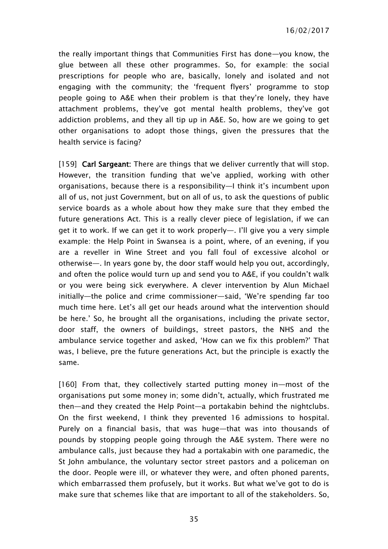the really important things that Communities First has done—you know, the glue between all these other programmes. So, for example: the social prescriptions for people who are, basically, lonely and isolated and not engaging with the community; the 'frequent flyers' programme to stop people going to A&E when their problem is that they're lonely, they have attachment problems, they've got mental health problems, they've got addiction problems, and they all tip up in A&E. So, how are we going to get other organisations to adopt those things, given the pressures that the health service is facing?

[159] Carl Sargeant: There are things that we deliver currently that will stop. However, the transition funding that we've applied, working with other organisations, because there is a responsibility—I think it's incumbent upon all of us, not just Government, but on all of us, to ask the questions of public service boards as a whole about how they make sure that they embed the future generations Act. This is a really clever piece of legislation, if we can get it to work. If we can get it to work properly—. I'll give you a very simple example: the Help Point in Swansea is a point, where, of an evening, if you are a reveller in Wine Street and you fall foul of excessive alcohol or otherwise—. In years gone by, the door staff would help you out, accordingly, and often the police would turn up and send you to A&E, if you couldn't walk or you were being sick everywhere. A clever intervention by Alun Michael initially—the police and crime commissioner—said, 'We're spending far too much time here. Let's all get our heads around what the intervention should be here.' So, he brought all the organisations, including the private sector, door staff, the owners of buildings, street pastors, the NHS and the ambulance service together and asked, 'How can we fix this problem?' That was, I believe, pre the future generations Act, but the principle is exactly the same.

[160] From that, they collectively started putting money in—most of the organisations put some money in; some didn't, actually, which frustrated me then—and they created the Help Point—a portakabin behind the nightclubs. On the first weekend, I think they prevented 16 admissions to hospital. Purely on a financial basis, that was huge—that was into thousands of pounds by stopping people going through the A&E system. There were no ambulance calls, just because they had a portakabin with one paramedic, the St John ambulance, the voluntary sector street pastors and a policeman on the door. People were ill, or whatever they were, and often phoned parents, which embarrassed them profusely, but it works. But what we've got to do is make sure that schemes like that are important to all of the stakeholders. So,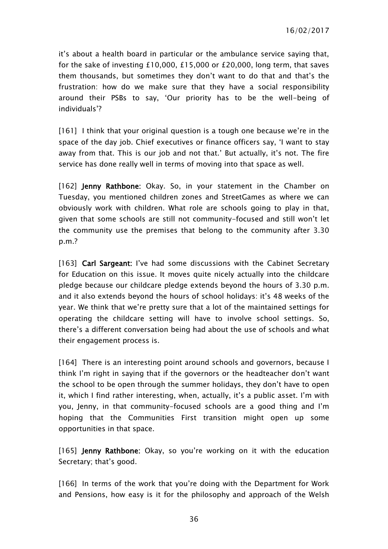it's about a health board in particular or the ambulance service saying that, for the sake of investing £10,000, £15,000 or £20,000, long term, that saves them thousands, but sometimes they don't want to do that and that's the frustration: how do we make sure that they have a social responsibility around their PSBs to say, 'Our priority has to be the well-being of individuals'?

[161] I think that your original question is a tough one because we're in the space of the day job. Chief executives or finance officers say, 'I want to stay away from that. This is our job and not that.' But actually, it's not. The fire service has done really well in terms of moving into that space as well.

[162] Jenny Rathbone: Okay. So, in your statement in the Chamber on Tuesday, you mentioned children zones and StreetGames as where we can obviously work with children. What role are schools going to play in that, given that some schools are still not community-focused and still won't let the community use the premises that belong to the community after 3.30 p.m.?

[163] Carl Sargeant: I've had some discussions with the Cabinet Secretary for Education on this issue. It moves quite nicely actually into the childcare pledge because our childcare pledge extends beyond the hours of 3.30 p.m. and it also extends beyond the hours of school holidays: it's 48 weeks of the year. We think that we're pretty sure that a lot of the maintained settings for operating the childcare setting will have to involve school settings. So, there's a different conversation being had about the use of schools and what their engagement process is.

[164] There is an interesting point around schools and governors, because I think I'm right in saying that if the governors or the headteacher don't want the school to be open through the summer holidays, they don't have to open it, which I find rather interesting, when, actually, it's a public asset. I'm with you, Jenny, in that community-focused schools are a good thing and I'm hoping that the Communities First transition might open up some opportunities in that space.

[165] **Jenny Rathbone:** Okay, so you're working on it with the education Secretary; that's good.

[166] In terms of the work that you're doing with the Department for Work and Pensions, how easy is it for the philosophy and approach of the Welsh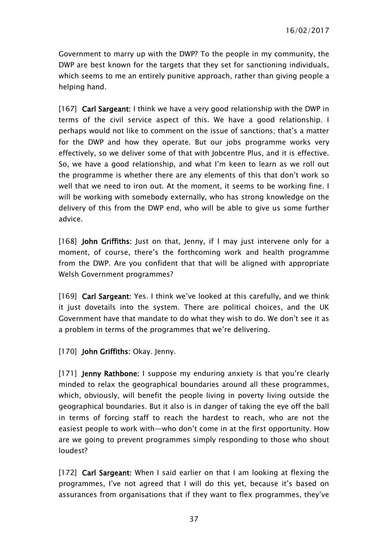Government to marry up with the DWP? To the people in my community, the DWP are best known for the targets that they set for sanctioning individuals, which seems to me an entirely punitive approach, rather than giving people a helping hand.

[167] Carl Sargeant: I think we have a very good relationship with the DWP in terms of the civil service aspect of this. We have a good relationship. I perhaps would not like to comment on the issue of sanctions; that's a matter for the DWP and how they operate. But our jobs programme works very effectively, so we deliver some of that with Jobcentre Plus, and it is effective. So, we have a good relationship, and what I'm keen to learn as we roll out the programme is whether there are any elements of this that don't work so well that we need to iron out. At the moment, it seems to be working fine. I will be working with somebody externally, who has strong knowledge on the delivery of this from the DWP end, who will be able to give us some further advice.

[168] John Griffiths: Just on that, Jenny, if I may just intervene only for a moment, of course, there's the forthcoming work and health programme from the DWP. Are you confident that that will be aligned with appropriate Welsh Government programmes?

[169] Carl Sargeant: Yes. I think we've looked at this carefully, and we think it just dovetails into the system. There are political choices, and the UK Government have that mandate to do what they wish to do. We don't see it as a problem in terms of the programmes that we're delivering.

[170] John Griffiths: Okay. Jenny.

[171] **Jenny Rathbone:** I suppose my enduring anxiety is that you're clearly minded to relax the geographical boundaries around all these programmes, which, obviously, will benefit the people living in poverty living outside the geographical boundaries. But it also is in danger of taking the eye off the ball in terms of forcing staff to reach the hardest to reach, who are not the easiest people to work with—who don't come in at the first opportunity. How are we going to prevent programmes simply responding to those who shout loudest?

[172] Carl Sargeant: When I said earlier on that I am looking at flexing the programmes, I've not agreed that I will do this yet, because it's based on assurances from organisations that if they want to flex programmes, they've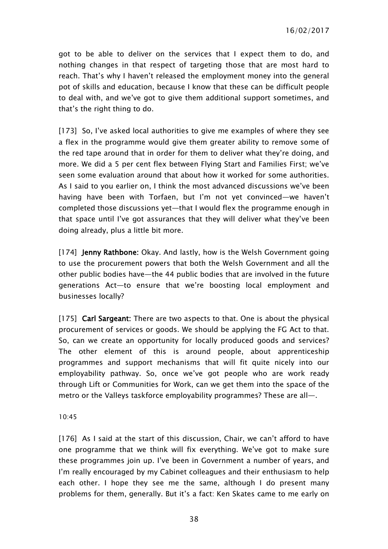got to be able to deliver on the services that I expect them to do, and nothing changes in that respect of targeting those that are most hard to reach. That's why I haven't released the employment money into the general pot of skills and education, because I know that these can be difficult people to deal with, and we've got to give them additional support sometimes, and that's the right thing to do.

[173] So, I've asked local authorities to give me examples of where they see a flex in the programme would give them greater ability to remove some of the red tape around that in order for them to deliver what they're doing, and more. We did a 5 per cent flex between Flying Start and Families First; we've seen some evaluation around that about how it worked for some authorities. As I said to you earlier on, I think the most advanced discussions we've been having have been with Torfaen, but I'm not yet convinced—we haven't completed those discussions yet—that I would flex the programme enough in that space until I've got assurances that they will deliver what they've been doing already, plus a little bit more.

[174] **Jenny Rathbone:** Okay. And lastly, how is the Welsh Government going to use the procurement powers that both the Welsh Government and all the other public bodies have—the 44 public bodies that are involved in the future generations Act—to ensure that we're boosting local employment and businesses locally?

[175] Carl Sargeant: There are two aspects to that. One is about the physical procurement of services or goods. We should be applying the FG Act to that. So, can we create an opportunity for locally produced goods and services? The other element of this is around people, about apprenticeship programmes and support mechanisms that will fit quite nicely into our employability pathway. So, once we've got people who are work ready through Lift or Communities for Work, can we get them into the space of the metro or the Valleys taskforce employability programmes? These are all—.

10:45

[176] As I said at the start of this discussion, Chair, we can't afford to have one programme that we think will fix everything. We've got to make sure these programmes join up. I've been in Government a number of years, and I'm really encouraged by my Cabinet colleagues and their enthusiasm to help each other. I hope they see me the same, although I do present many problems for them, generally. But it's a fact: Ken Skates came to me early on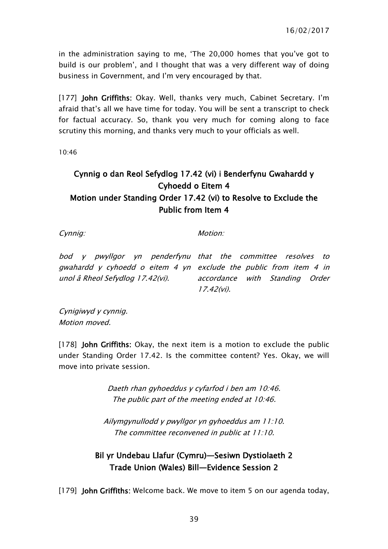in the administration saying to me, 'The 20,000 homes that you've got to build is our problem', and I thought that was a very different way of doing business in Government, and I'm very encouraged by that.

[177] John Griffiths: Okay. Well, thanks very much, Cabinet Secretary. I'm afraid that's all we have time for today. You will be sent a transcript to check for factual accuracy. So, thank you very much for coming along to face scrutiny this morning, and thanks very much to your officials as well.

10:46

# Cynnig o dan Reol Sefydlog 17.42 (vi) i Benderfynu Gwahardd y Cyhoedd o Eitem 4 Motion under Standing Order 17.42 (vi) to Resolve to Exclude the Public from Item 4

Cynnig:

Motion:

bod y pwyllgor yn penderfynu that the committee resolves to gwahardd y cyhoedd o eitem 4 yn exclude the public from item 4 in unol â Rheol Sefydlog 17.42(vi).

accordance with Standing Order 17.42(vi).

Cynigiwyd y cynnig. Motion moved.

[178] **John Griffiths**: Okay, the next item is a motion to exclude the public under Standing Order 17.42. Is the committee content? Yes. Okay, we will move into private session.

> Daeth rhan gyhoeddus y cyfarfod i ben am 10:46. The public part of the meeting ended at 10:46.

Ailymgynullodd y pwyllgor yn gyhoeddus am 11:10. The committee reconvened in public at 11:10.

# Bil yr Undebau Llafur (Cymru)—Sesiwn Dystiolaeth 2 Trade Union (Wales) Bill—Evidence Session 2

[179] John Griffiths: Welcome back. We move to item 5 on our agenda today,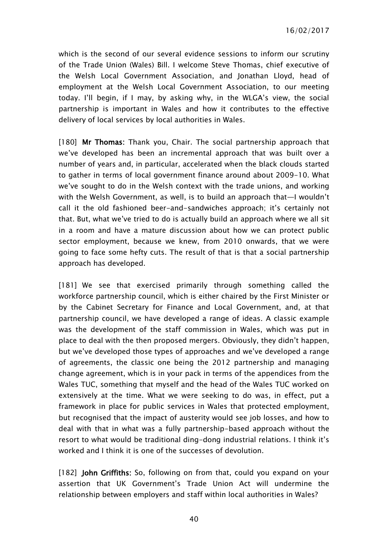16/02/2017

which is the second of our several evidence sessions to inform our scrutiny of the Trade Union (Wales) Bill. I welcome Steve Thomas, chief executive of the Welsh Local Government Association, and Jonathan Lloyd, head of employment at the Welsh Local Government Association, to our meeting today. I'll begin, if I may, by asking why, in the WLGA's view, the social partnership is important in Wales and how it contributes to the effective delivery of local services by local authorities in Wales.

[180] Mr Thomas: Thank you, Chair. The social partnership approach that we've developed has been an incremental approach that was built over a number of years and, in particular, accelerated when the black clouds started to gather in terms of local government finance around about 2009-10. What we've sought to do in the Welsh context with the trade unions, and working with the Welsh Government, as well, is to build an approach that—I wouldn't call it the old fashioned beer-and-sandwiches approach; it's certainly not that. But, what we've tried to do is actually build an approach where we all sit in a room and have a mature discussion about how we can protect public sector employment, because we knew, from 2010 onwards, that we were going to face some hefty cuts. The result of that is that a social partnership approach has developed.

[181] We see that exercised primarily through something called the workforce partnership council, which is either chaired by the First Minister or by the Cabinet Secretary for Finance and Local Government, and, at that partnership council, we have developed a range of ideas. A classic example was the development of the staff commission in Wales, which was put in place to deal with the then proposed mergers. Obviously, they didn't happen, but we've developed those types of approaches and we've developed a range of agreements, the classic one being the 2012 partnership and managing change agreement, which is in your pack in terms of the appendices from the Wales TUC, something that myself and the head of the Wales TUC worked on extensively at the time. What we were seeking to do was, in effect, put a framework in place for public services in Wales that protected employment, but recognised that the impact of austerity would see job losses, and how to deal with that in what was a fully partnership-based approach without the resort to what would be traditional ding-dong industrial relations. I think it's worked and I think it is one of the successes of devolution.

[182] John Griffiths: So, following on from that, could you expand on your assertion that UK Government's Trade Union Act will undermine the relationship between employers and staff within local authorities in Wales?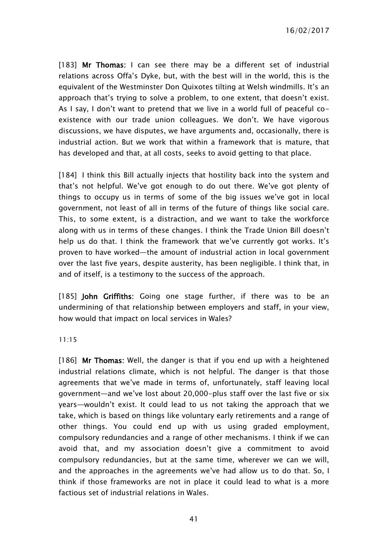16/02/2017

[183] Mr Thomas: I can see there may be a different set of industrial relations across Offa's Dyke, but, with the best will in the world, this is the equivalent of the Westminster Don Quixotes tilting at Welsh windmills. It's an approach that's trying to solve a problem, to one extent, that doesn't exist. As I say, I don't want to pretend that we live in a world full of peaceful coexistence with our trade union colleagues. We don't. We have vigorous discussions, we have disputes, we have arguments and, occasionally, there is industrial action. But we work that within a framework that is mature, that has developed and that, at all costs, seeks to avoid getting to that place.

[184] I think this Bill actually injects that hostility back into the system and that's not helpful. We've got enough to do out there. We've got plenty of things to occupy us in terms of some of the big issues we've got in local government, not least of all in terms of the future of things like social care. This, to some extent, is a distraction, and we want to take the workforce along with us in terms of these changes. I think the Trade Union Bill doesn't help us do that. I think the framework that we've currently got works. It's proven to have worked—the amount of industrial action in local government over the last five years, despite austerity, has been negligible. I think that, in and of itself, is a testimony to the success of the approach.

[185] John Griffiths: Going one stage further, if there was to be an undermining of that relationship between employers and staff, in your view, how would that impact on local services in Wales?

11:15

[186] Mr Thomas: Well, the danger is that if you end up with a heightened industrial relations climate, which is not helpful. The danger is that those agreements that we've made in terms of, unfortunately, staff leaving local government—and we've lost about 20,000-plus staff over the last five or six years—wouldn't exist. It could lead to us not taking the approach that we take, which is based on things like voluntary early retirements and a range of other things. You could end up with us using graded employment, compulsory redundancies and a range of other mechanisms. I think if we can avoid that, and my association doesn't give a commitment to avoid compulsory redundancies, but at the same time, wherever we can we will, and the approaches in the agreements we've had allow us to do that. So, I think if those frameworks are not in place it could lead to what is a more factious set of industrial relations in Wales.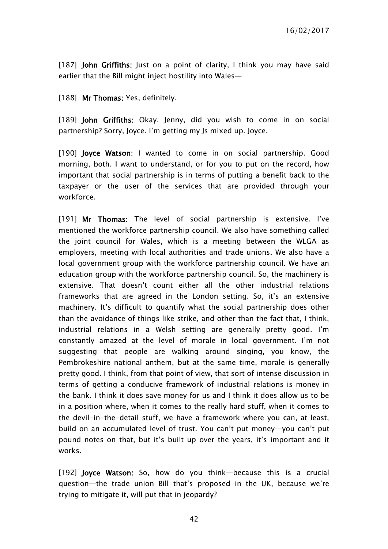[187] John Griffiths: Just on a point of clarity, I think you may have said earlier that the Bill might inject hostility into Wales—

[188] Mr Thomas: Yes, definitely.

[189] John Griffiths: Okay. Jenny, did you wish to come in on social partnership? Sorry, Joyce. I'm getting my Js mixed up. Joyce.

[190] Joyce Watson: I wanted to come in on social partnership. Good morning, both. I want to understand, or for you to put on the record, how important that social partnership is in terms of putting a benefit back to the taxpayer or the user of the services that are provided through your workforce.

[191] Mr Thomas: The level of social partnership is extensive. I've mentioned the workforce partnership council. We also have something called the joint council for Wales, which is a meeting between the WLGA as employers, meeting with local authorities and trade unions. We also have a local government group with the workforce partnership council. We have an education group with the workforce partnership council. So, the machinery is extensive. That doesn't count either all the other industrial relations frameworks that are agreed in the London setting. So, it's an extensive machinery. It's difficult to quantify what the social partnership does other than the avoidance of things like strike, and other than the fact that, I think, industrial relations in a Welsh setting are generally pretty good. I'm constantly amazed at the level of morale in local government. I'm not suggesting that people are walking around singing, you know, the Pembrokeshire national anthem, but at the same time, morale is generally pretty good. I think, from that point of view, that sort of intense discussion in terms of getting a conducive framework of industrial relations is money in the bank. I think it does save money for us and I think it does allow us to be in a position where, when it comes to the really hard stuff, when it comes to the devil-in-the-detail stuff, we have a framework where you can, at least, build on an accumulated level of trust. You can't put money—you can't put pound notes on that, but it's built up over the years, it's important and it works.

[192] **Joyce Watson:** So, how do you think—because this is a crucial question—the trade union Bill that's proposed in the UK, because we're trying to mitigate it, will put that in jeopardy?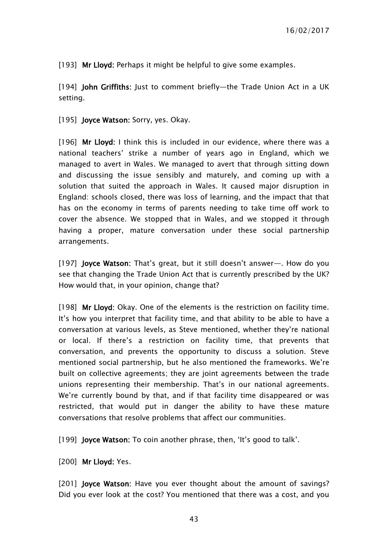[193] Mr Lloyd: Perhaps it might be helpful to give some examples.

[194] John Griffiths: Just to comment briefly-the Trade Union Act in a UK setting.

[195] **Joyce Watson:** Sorry, yes. Okay.

[196] Mr Lloyd: I think this is included in our evidence, where there was a national teachers' strike a number of years ago in England, which we managed to avert in Wales. We managed to avert that through sitting down and discussing the issue sensibly and maturely, and coming up with a solution that suited the approach in Wales. It caused major disruption in England: schools closed, there was loss of learning, and the impact that that has on the economy in terms of parents needing to take time off work to cover the absence. We stopped that in Wales, and we stopped it through having a proper, mature conversation under these social partnership arrangements.

[197] Joyce Watson: That's great, but it still doesn't answer—. How do you see that changing the Trade Union Act that is currently prescribed by the UK? How would that, in your opinion, change that?

[198] Mr Lloyd: Okay. One of the elements is the restriction on facility time. It's how you interpret that facility time, and that ability to be able to have a conversation at various levels, as Steve mentioned, whether they're national or local. If there's a restriction on facility time, that prevents that conversation, and prevents the opportunity to discuss a solution. Steve mentioned social partnership, but he also mentioned the frameworks. We're built on collective agreements; they are joint agreements between the trade unions representing their membership. That's in our national agreements. We're currently bound by that, and if that facility time disappeared or was restricted, that would put in danger the ability to have these mature conversations that resolve problems that affect our communities.

[199] **Joyce Watson:** To coin another phrase, then, 'It's good to talk'.

[200] Mr Lloyd: Yes.

[201] **Joyce Watson:** Have you ever thought about the amount of savings? Did you ever look at the cost? You mentioned that there was a cost, and you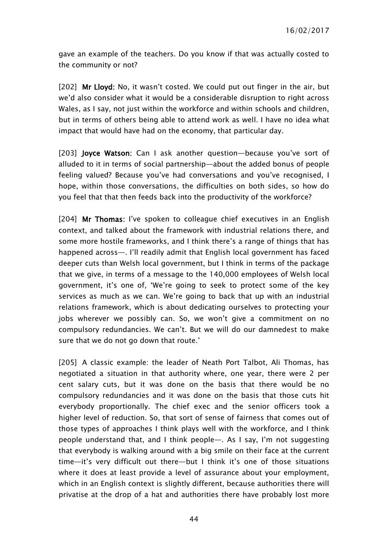gave an example of the teachers. Do you know if that was actually costed to the community or not?

[202] Mr Lloyd: No, it wasn't costed. We could put out finger in the air, but we'd also consider what it would be a considerable disruption to right across Wales, as I say, not just within the workforce and within schools and children, but in terms of others being able to attend work as well. I have no idea what impact that would have had on the economy, that particular day.

[203] Joyce Watson: Can I ask another question—because you've sort of alluded to it in terms of social partnership—about the added bonus of people feeling valued? Because you've had conversations and you've recognised, I hope, within those conversations, the difficulties on both sides, so how do you feel that that then feeds back into the productivity of the workforce?

[204] Mr Thomas: I've spoken to colleague chief executives in an English context, and talked about the framework with industrial relations there, and some more hostile frameworks, and I think there's a range of things that has happened across—. I'll readily admit that English local government has faced deeper cuts than Welsh local government, but I think in terms of the package that we give, in terms of a message to the 140,000 employees of Welsh local government, it's one of, 'We're going to seek to protect some of the key services as much as we can. We're going to back that up with an industrial relations framework, which is about dedicating ourselves to protecting your jobs wherever we possibly can. So, we won't give a commitment on no compulsory redundancies. We can't. But we will do our damnedest to make sure that we do not go down that route.'

[205] A classic example: the leader of Neath Port Talbot, Ali Thomas, has negotiated a situation in that authority where, one year, there were 2 per cent salary cuts, but it was done on the basis that there would be no compulsory redundancies and it was done on the basis that those cuts hit everybody proportionally. The chief exec and the senior officers took a higher level of reduction. So, that sort of sense of fairness that comes out of those types of approaches I think plays well with the workforce, and I think people understand that, and I think people—. As I say, I'm not suggesting that everybody is walking around with a big smile on their face at the current time—it's very difficult out there—but I think it's one of those situations where it does at least provide a level of assurance about your employment, which in an English context is slightly different, because authorities there will privatise at the drop of a hat and authorities there have probably lost more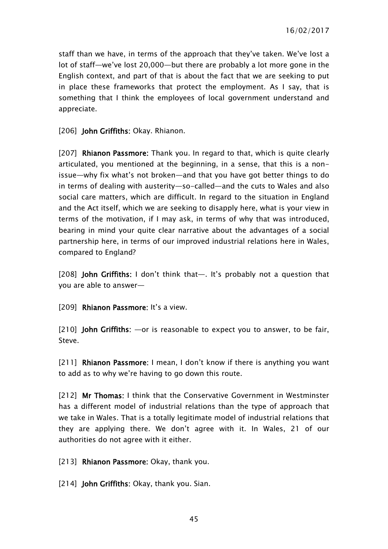staff than we have, in terms of the approach that they've taken. We've lost a lot of staff—we've lost 20,000—but there are probably a lot more gone in the English context, and part of that is about the fact that we are seeking to put in place these frameworks that protect the employment. As I say, that is something that I think the employees of local government understand and appreciate.

[206] **John Griffiths: Okay. Rhianon.** 

[207] Rhianon Passmore: Thank you. In regard to that, which is quite clearly articulated, you mentioned at the beginning, in a sense, that this is a nonissue—why fix what's not broken—and that you have got better things to do in terms of dealing with austerity—so-called—and the cuts to Wales and also social care matters, which are difficult. In regard to the situation in England and the Act itself, which we are seeking to disapply here, what is your view in terms of the motivation, if I may ask, in terms of why that was introduced, bearing in mind your quite clear narrative about the advantages of a social partnership here, in terms of our improved industrial relations here in Wales, compared to England?

[208] **John Griffiths:** I don't think that—. It's probably not a question that you are able to answer—

[209] Rhianon Passmore: It's a view.

[210] John Griffiths: —or is reasonable to expect you to answer, to be fair, Steve.

[211] Rhianon Passmore: I mean, I don't know if there is anything you want to add as to why we're having to go down this route.

[212] Mr Thomas: I think that the Conservative Government in Westminster has a different model of industrial relations than the type of approach that we take in Wales. That is a totally legitimate model of industrial relations that they are applying there. We don't agree with it. In Wales, 21 of our authorities do not agree with it either.

[213] Rhianon Passmore: Okay, thank you.

[214] John Griffiths: Okay, thank you. Sian.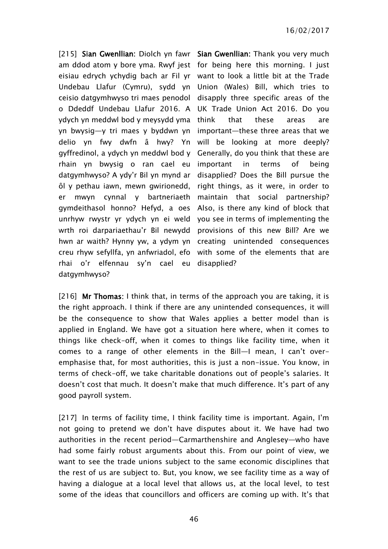[215] Sian Gwenllian: Diolch yn fawr Sian Gwenllian: Thank you very much am ddod atom y bore yma. Rwyf jest for being here this morning. I just eisiau edrych ychydig bach ar Fil yr want to look a little bit at the Trade Undebau Llafur (Cymru), sydd yn Union (Wales) Bill, which tries to ceisio datgymhwyso tri maes penodol disapply three specific areas of the o Ddeddf Undebau Llafur 2016. A UK Trade Union Act 2016. Do you ydych yn meddwl bod y meysydd yma yn bwysig—y tri maes y byddwn yn delio yn fwy dwfn â hwy? Yn will be looking at more deeply? gyffredinol, a ydych yn meddwl bod y rhain yn bwysig o ran cael eu important in terms of being datgymhwyso? A ydy'r Bil yn mynd ar ôl y pethau iawn, mewn gwirionedd, er mwyn cynnal y bartneriaeth maintain that social partnership? gymdeithasol honno? Hefyd, a oes unrhyw rwystr yr ydych yn ei weld you see in terms of implementing the wrth roi darpariaethau'r Bil newydd provisions of this new Bill? Are we hwn ar waith? Hynny yw, a ydym yn creating unintended consequences creu rhyw sefyllfa, yn anfwriadol, efo with some of the elements that are rhai o'r elfennau sy'n cael eu disapplied? datgymhwyso?

that these areas are important—these three areas that we Generally, do you think that these are disapplied? Does the Bill pursue the right things, as it were, in order to Also, is there any kind of block that

[216] Mr Thomas: I think that, in terms of the approach you are taking, it is the right approach. I think if there are any unintended consequences, it will be the consequence to show that Wales applies a better model than is applied in England. We have got a situation here where, when it comes to things like check-off, when it comes to things like facility time, when it comes to a range of other elements in the Bill—I mean, I can't overemphasise that, for most authorities, this is just a non-issue. You know, in terms of check-off, we take charitable donations out of people's salaries. It doesn't cost that much. It doesn't make that much difference. It's part of any good payroll system.

[217] In terms of facility time, I think facility time is important. Again, I'm not going to pretend we don't have disputes about it. We have had two authorities in the recent period—Carmarthenshire and Anglesey—who have had some fairly robust arguments about this. From our point of view, we want to see the trade unions subject to the same economic disciplines that the rest of us are subject to. But, you know, we see facility time as a way of having a dialogue at a local level that allows us, at the local level, to test some of the ideas that councillors and officers are coming up with. It's that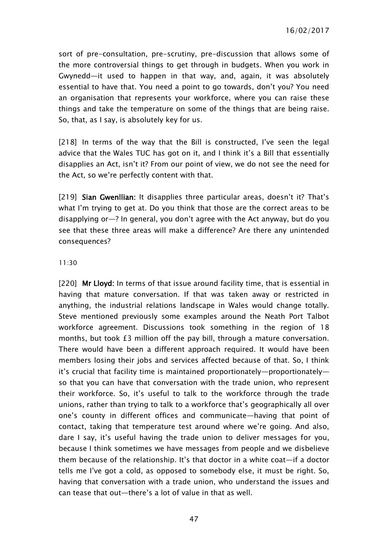16/02/2017

sort of pre-consultation, pre-scrutiny, pre-discussion that allows some of the more controversial things to get through in budgets. When you work in Gwynedd—it used to happen in that way, and, again, it was absolutely essential to have that. You need a point to go towards, don't you? You need an organisation that represents your workforce, where you can raise these things and take the temperature on some of the things that are being raise. So, that, as I say, is absolutely key for us.

[218] In terms of the way that the Bill is constructed, I've seen the legal advice that the Wales TUC has got on it, and I think it's a Bill that essentially disapplies an Act, isn't it? From our point of view, we do not see the need for the Act, so we're perfectly content with that.

[219] Sian Gwenllian: It disapplies three particular areas, doesn't it? That's what I'm trying to get at. Do you think that those are the correct areas to be disapplying or—? In general, you don't agree with the Act anyway, but do you see that these three areas will make a difference? Are there any unintended consequences?

#### 11:30

[220] Mr Lloyd: In terms of that issue around facility time, that is essential in having that mature conversation. If that was taken away or restricted in anything, the industrial relations landscape in Wales would change totally. Steve mentioned previously some examples around the Neath Port Talbot workforce agreement. Discussions took something in the region of 18 months, but took £3 million off the pay bill, through a mature conversation. There would have been a different approach required. It would have been members losing their jobs and services affected because of that. So, I think it's crucial that facility time is maintained proportionately—proportionately so that you can have that conversation with the trade union, who represent their workforce. So, it's useful to talk to the workforce through the trade unions, rather than trying to talk to a workforce that's geographically all over one's county in different offices and communicate—having that point of contact, taking that temperature test around where we're going. And also, dare I say, it's useful having the trade union to deliver messages for you, because I think sometimes we have messages from people and we disbelieve them because of the relationship. It's that doctor in a white coat—if a doctor tells me I've got a cold, as opposed to somebody else, it must be right. So, having that conversation with a trade union, who understand the issues and can tease that out—there's a lot of value in that as well.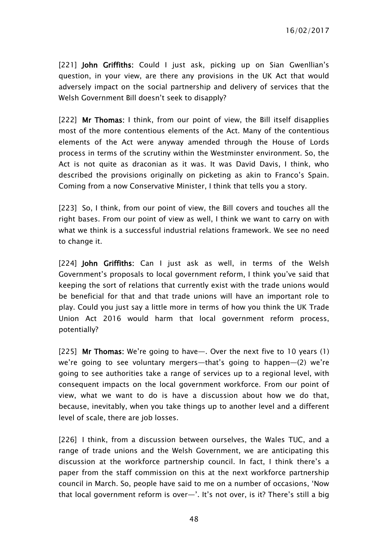16/02/2017

[221] John Griffiths: Could I just ask, picking up on Sian Gwenllian's question, in your view, are there any provisions in the UK Act that would adversely impact on the social partnership and delivery of services that the Welsh Government Bill doesn't seek to disapply?

[222] Mr Thomas: I think, from our point of view, the Bill itself disapplies most of the more contentious elements of the Act. Many of the contentious elements of the Act were anyway amended through the House of Lords process in terms of the scrutiny within the Westminster environment. So, the Act is not quite as draconian as it was. It was David Davis, I think, who described the provisions originally on picketing as akin to Franco's Spain. Coming from a now Conservative Minister, I think that tells you a story.

[223] So, I think, from our point of view, the Bill covers and touches all the right bases. From our point of view as well, I think we want to carry on with what we think is a successful industrial relations framework. We see no need to change it.

[224] John Griffiths: Can I just ask as well, in terms of the Welsh Government's proposals to local government reform, I think you've said that keeping the sort of relations that currently exist with the trade unions would be beneficial for that and that trade unions will have an important role to play. Could you just say a little more in terms of how you think the UK Trade Union Act 2016 would harm that local government reform process, potentially?

[225] Mr Thomas: We're going to have—. Over the next five to 10 years (1) we're going to see voluntary mergers—that's going to happen—(2) we're going to see authorities take a range of services up to a regional level, with consequent impacts on the local government workforce. From our point of view, what we want to do is have a discussion about how we do that, because, inevitably, when you take things up to another level and a different level of scale, there are job losses.

[226] I think, from a discussion between ourselves, the Wales TUC, and a range of trade unions and the Welsh Government, we are anticipating this discussion at the workforce partnership council. In fact, I think there's a paper from the staff commission on this at the next workforce partnership council in March. So, people have said to me on a number of occasions, 'Now that local government reform is over—'. It's not over, is it? There's still a big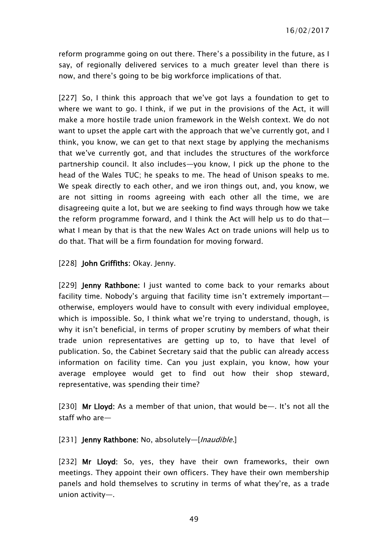reform programme going on out there. There's a possibility in the future, as I say, of regionally delivered services to a much greater level than there is now, and there's going to be big workforce implications of that.

[227] So, I think this approach that we've got lays a foundation to get to where we want to go. I think, if we put in the provisions of the Act, it will make a more hostile trade union framework in the Welsh context. We do not want to upset the apple cart with the approach that we've currently got, and I think, you know, we can get to that next stage by applying the mechanisms that we've currently got, and that includes the structures of the workforce partnership council. It also includes—you know, I pick up the phone to the head of the Wales TUC; he speaks to me. The head of Unison speaks to me. We speak directly to each other, and we iron things out, and, you know, we are not sitting in rooms agreeing with each other all the time, we are disagreeing quite a lot, but we are seeking to find ways through how we take the reform programme forward, and I think the Act will help us to do that what I mean by that is that the new Wales Act on trade unions will help us to do that. That will be a firm foundation for moving forward.

[228] **John Griffiths:** Okay. Jenny.

[229] Jenny Rathbone: I just wanted to come back to your remarks about facility time. Nobody's arguing that facility time isn't extremely important otherwise, employers would have to consult with every individual employee, which is impossible. So, I think what we're trying to understand, though, is why it isn't beneficial, in terms of proper scrutiny by members of what their trade union representatives are getting up to, to have that level of publication. So, the Cabinet Secretary said that the public can already access information on facility time. Can you just explain, you know, how your average employee would get to find out how their shop steward, representative, was spending their time?

[230] Mr Lloyd: As a member of that union, that would be—. It's not all the staff who are—

[231] Jenny Rathbone: No, absolutely-[*Inaudible.*]

[232] Mr Lloyd: So, yes, they have their own frameworks, their own meetings. They appoint their own officers. They have their own membership panels and hold themselves to scrutiny in terms of what they're, as a trade union activity—.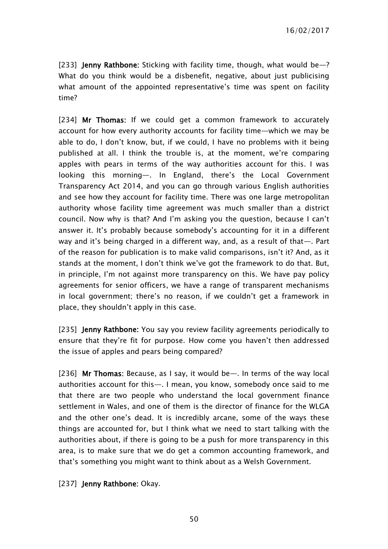[233] **Jenny Rathbone:** Sticking with facility time, though, what would be-? What do you think would be a disbenefit, negative, about just publicising what amount of the appointed representative's time was spent on facility time?

[234] Mr Thomas: If we could get a common framework to accurately account for how every authority accounts for facility time—which we may be able to do, I don't know, but, if we could, I have no problems with it being published at all. I think the trouble is, at the moment, we're comparing apples with pears in terms of the way authorities account for this. I was looking this morning—. In England, there's the Local Government Transparency Act 2014, and you can go through various English authorities and see how they account for facility time. There was one large metropolitan authority whose facility time agreement was much smaller than a district council. Now why is that? And I'm asking you the question, because I can't answer it. It's probably because somebody's accounting for it in a different way and it's being charged in a different way, and, as a result of that—. Part of the reason for publication is to make valid comparisons, isn't it? And, as it stands at the moment, I don't think we've got the framework to do that. But, in principle, I'm not against more transparency on this. We have pay policy agreements for senior officers, we have a range of transparent mechanisms in local government; there's no reason, if we couldn't get a framework in place, they shouldn't apply in this case.

[235] **Jenny Rathbone:** You say you review facility agreements periodically to ensure that they're fit for purpose. How come you haven't then addressed the issue of apples and pears being compared?

[236] Mr Thomas: Because, as I say, it would be—. In terms of the way local authorities account for this—. I mean, you know, somebody once said to me that there are two people who understand the local government finance settlement in Wales, and one of them is the director of finance for the WLGA and the other one's dead. It is incredibly arcane, some of the ways these things are accounted for, but I think what we need to start talking with the authorities about, if there is going to be a push for more transparency in this area, is to make sure that we do get a common accounting framework, and that's something you might want to think about as a Welsh Government.

[237] Jenny Rathbone: Okay.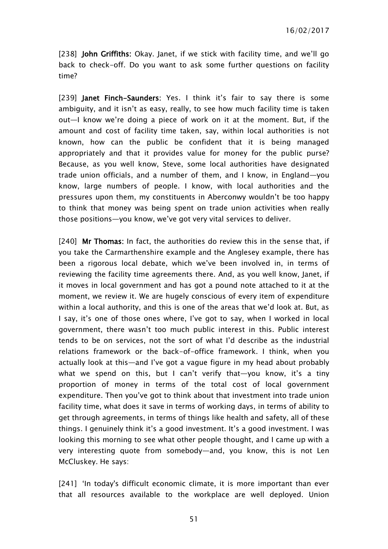[238] John Griffiths: Okay. Janet, if we stick with facility time, and we'll go back to check-off. Do you want to ask some further questions on facility time?

[239] Janet Finch-Saunders: Yes. I think it's fair to say there is some ambiguity, and it isn't as easy, really, to see how much facility time is taken out—I know we're doing a piece of work on it at the moment. But, if the amount and cost of facility time taken, say, within local authorities is not known, how can the public be confident that it is being managed appropriately and that it provides value for money for the public purse? Because, as you well know, Steve, some local authorities have designated trade union officials, and a number of them, and I know, in England—you know, large numbers of people. I know, with local authorities and the pressures upon them, my constituents in Aberconwy wouldn't be too happy to think that money was being spent on trade union activities when really those positions—you know, we've got very vital services to deliver.

[240] Mr Thomas: In fact, the authorities do review this in the sense that, if you take the Carmarthenshire example and the Anglesey example, there has been a rigorous local debate, which we've been involved in, in terms of reviewing the facility time agreements there. And, as you well know, Janet, if it moves in local government and has got a pound note attached to it at the moment, we review it. We are hugely conscious of every item of expenditure within a local authority, and this is one of the areas that we'd look at. But, as I say, it's one of those ones where, I've got to say, when I worked in local government, there wasn't too much public interest in this. Public interest tends to be on services, not the sort of what I'd describe as the industrial relations framework or the back-of-office framework. I think, when you actually look at this—and I've got a vague figure in my head about probably what we spend on this, but I can't verify that—you know, it's a tiny proportion of money in terms of the total cost of local government expenditure. Then you've got to think about that investment into trade union facility time, what does it save in terms of working days, in terms of ability to get through agreements, in terms of things like health and safety, all of these things. I genuinely think it's a good investment. It's a good investment. I was looking this morning to see what other people thought, and I came up with a very interesting quote from somebody—and, you know, this is not Len McCluskey. He says:

[241] 'In today's difficult economic climate, it is more important than ever that all resources available to the workplace are well deployed. Union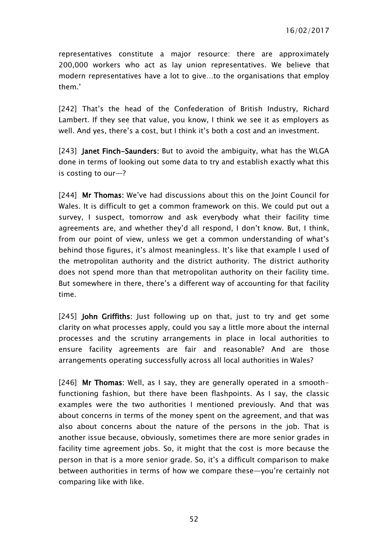representatives constitute a major resource: there are approximately 200,000 workers who act as lay union representatives. We believe that modern representatives have a lot to give…to the organisations that employ them.'

[242] That's the head of the Confederation of British Industry, Richard Lambert. If they see that value, you know, I think we see it as employers as well. And yes, there's a cost, but I think it's both a cost and an investment.

[243] **Janet Finch-Saunders:** But to avoid the ambiguity, what has the WLGA done in terms of looking out some data to try and establish exactly what this is costing to our—?

[244] Mr Thomas: We've had discussions about this on the Joint Council for Wales. It is difficult to get a common framework on this. We could put out a survey, I suspect, tomorrow and ask everybody what their facility time agreements are, and whether they'd all respond, I don't know. But, I think, from our point of view, unless we get a common understanding of what's behind those figures, it's almost meaningless. It's like that example I used of the metropolitan authority and the district authority. The district authority does not spend more than that metropolitan authority on their facility time. But somewhere in there, there's a different way of accounting for that facility time.

[245] John Griffiths: Just following up on that, just to try and get some clarity on what processes apply, could you say a little more about the internal processes and the scrutiny arrangements in place in local authorities to ensure facility agreements are fair and reasonable? And are those arrangements operating successfully across all local authorities in Wales?

[246] Mr Thomas: Well, as I say, they are generally operated in a smoothfunctioning fashion, but there have been flashpoints. As I say, the classic examples were the two authorities I mentioned previously. And that was about concerns in terms of the money spent on the agreement, and that was also about concerns about the nature of the persons in the job. That is another issue because, obviously, sometimes there are more senior grades in facility time agreement jobs. So, it might that the cost is more because the person in that is a more senior grade. So, it's a difficult comparison to make between authorities in terms of how we compare these—you're certainly not comparing like with like.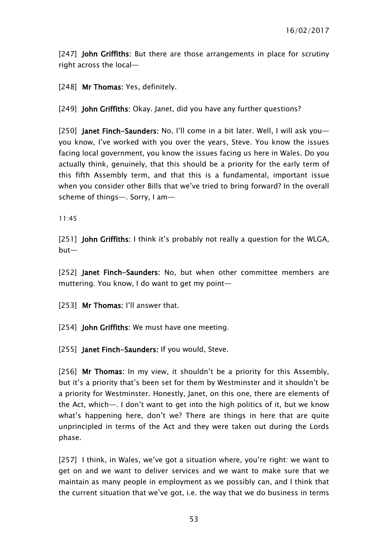[247] **John Griffiths**: But there are those arrangements in place for scrutiny right across the local—

[248] Mr Thomas: Yes, definitely.

[249] John Griffiths: Okay. Janet, did you have any further questions?

[250] Janet Finch-Saunders: No, I'll come in a bit later. Well, I will ask youyou know, I've worked with you over the years, Steve. You know the issues facing local government, you know the issues facing us here in Wales. Do you actually think, genuinely, that this should be a priority for the early term of this fifth Assembly term, and that this is a fundamental, important issue when you consider other Bills that we've tried to bring forward? In the overall scheme of things—. Sorry, I am—

11:45

[251] John Griffiths: I think it's probably not really a question for the WLGA, but—

[252] Janet Finch-Saunders: No. but when other committee members are muttering. You know, I do want to get my point—

[253] Mr Thomas: I'll answer that.

[254] **John Griffiths:** We must have one meeting.

[255] Janet Finch-Saunders: If you would, Steve.

[256] Mr Thomas: In my view, it shouldn't be a priority for this Assembly, but it's a priority that's been set for them by Westminster and it shouldn't be a priority for Westminster. Honestly, Janet, on this one, there are elements of the Act, which—. I don't want to get into the high politics of it, but we know what's happening here, don't we? There are things in here that are quite unprincipled in terms of the Act and they were taken out during the Lords phase.

[257] I think, in Wales, we've got a situation where, you're right: we want to get on and we want to deliver services and we want to make sure that we maintain as many people in employment as we possibly can, and I think that the current situation that we've got, i.e. the way that we do business in terms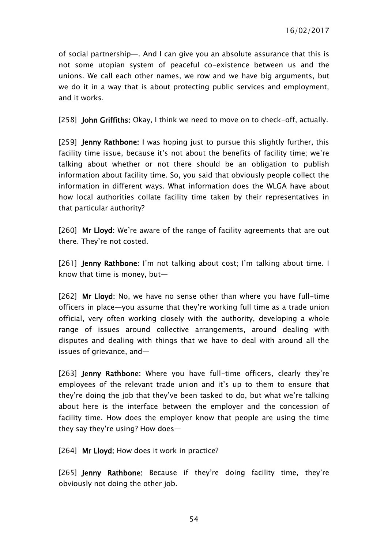of social partnership—. And I can give you an absolute assurance that this is not some utopian system of peaceful co-existence between us and the unions. We call each other names, we row and we have big arguments, but we do it in a way that is about protecting public services and employment, and it works.

[258] John Griffiths: Okay, I think we need to move on to check-off, actually.

[259] **Jenny Rathbone:** I was hoping just to pursue this slightly further, this facility time issue, because it's not about the benefits of facility time; we're talking about whether or not there should be an obligation to publish information about facility time. So, you said that obviously people collect the information in different ways. What information does the WLGA have about how local authorities collate facility time taken by their representatives in that particular authority?

[260] Mr Lloyd: We're aware of the range of facility agreements that are out there. They're not costed.

[261] **Jenny Rathbone:** I'm not talking about cost; I'm talking about time. I know that time is money, but—

[262] Mr Lloyd: No, we have no sense other than where you have full-time officers in place—you assume that they're working full time as a trade union official, very often working closely with the authority, developing a whole range of issues around collective arrangements, around dealing with disputes and dealing with things that we have to deal with around all the issues of grievance, and—

[263] **Jenny Rathbone:** Where you have full-time officers, clearly they're employees of the relevant trade union and it's up to them to ensure that they're doing the job that they've been tasked to do, but what we're talking about here is the interface between the employer and the concession of facility time. How does the employer know that people are using the time they say they're using? How does—

[264] Mr Lloyd: How does it work in practice?

[265] Jenny Rathbone: Because if they're doing facility time, they're obviously not doing the other job.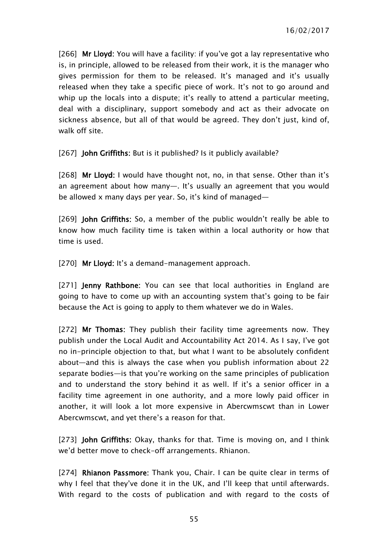[266] Mr Lloyd: You will have a facility: if you've got a lay representative who is, in principle, allowed to be released from their work, it is the manager who gives permission for them to be released. It's managed and it's usually released when they take a specific piece of work. It's not to go around and whip up the locals into a dispute; it's really to attend a particular meeting, deal with a disciplinary, support somebody and act as their advocate on sickness absence, but all of that would be agreed. They don't just, kind of, walk off site

[267] **John Griffiths:** But is it published? Is it publicly available?

[268] Mr Lloyd: I would have thought not, no, in that sense. Other than it's an agreement about how many—. It's usually an agreement that you would be allowed x many days per year. So, it's kind of managed—

[269] John Griffiths: So, a member of the public wouldn't really be able to know how much facility time is taken within a local authority or how that time is used.

[270] Mr Lloyd: It's a demand-management approach.

[271] **Jenny Rathbone**: You can see that local authorities in England are going to have to come up with an accounting system that's going to be fair because the Act is going to apply to them whatever we do in Wales.

[272] Mr Thomas: They publish their facility time agreements now. They publish under the Local Audit and Accountability Act 2014. As I say, I've got no in-principle objection to that, but what I want to be absolutely confident about—and this is always the case when you publish information about 22 separate bodies—is that you're working on the same principles of publication and to understand the story behind it as well. If it's a senior officer in a facility time agreement in one authority, and a more lowly paid officer in another, it will look a lot more expensive in Abercwmscwt than in Lower Abercwmscwt, and yet there's a reason for that.

[273] John Griffiths: Okay, thanks for that. Time is moving on, and I think we'd better move to check-off arrangements. Rhianon.

[274] Rhianon Passmore: Thank you, Chair. I can be quite clear in terms of why I feel that they've done it in the UK, and I'll keep that until afterwards. With regard to the costs of publication and with regard to the costs of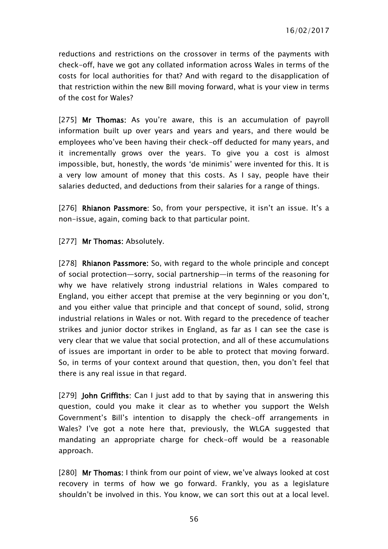reductions and restrictions on the crossover in terms of the payments with check-off, have we got any collated information across Wales in terms of the costs for local authorities for that? And with regard to the disapplication of that restriction within the new Bill moving forward, what is your view in terms of the cost for Wales?

[275] Mr Thomas: As you're aware, this is an accumulation of payroll information built up over years and years and years, and there would be employees who've been having their check-off deducted for many years, and it incrementally grows over the years. To give you a cost is almost impossible, but, honestly, the words 'de minimis' were invented for this. It is a very low amount of money that this costs. As I say, people have their salaries deducted, and deductions from their salaries for a range of things.

[276] Rhianon Passmore: So, from your perspective, it isn't an issue. It's a non-issue, again, coming back to that particular point.

[277] Mr Thomas: Absolutely.

[278] Rhianon Passmore: So, with regard to the whole principle and concept of social protection—sorry, social partnership—in terms of the reasoning for why we have relatively strong industrial relations in Wales compared to England, you either accept that premise at the very beginning or you don't, and you either value that principle and that concept of sound, solid, strong industrial relations in Wales or not. With regard to the precedence of teacher strikes and junior doctor strikes in England, as far as I can see the case is very clear that we value that social protection, and all of these accumulations of issues are important in order to be able to protect that moving forward. So, in terms of your context around that question, then, you don't feel that there is any real issue in that regard.

[279] **John Griffiths:** Can I just add to that by saying that in answering this question, could you make it clear as to whether you support the Welsh Government's Bill's intention to disapply the check-off arrangements in Wales? I've got a note here that, previously, the WLGA suggested that mandating an appropriate charge for check-off would be a reasonable approach.

[280] Mr Thomas: I think from our point of view, we've always looked at cost recovery in terms of how we go forward. Frankly, you as a legislature shouldn't be involved in this. You know, we can sort this out at a local level.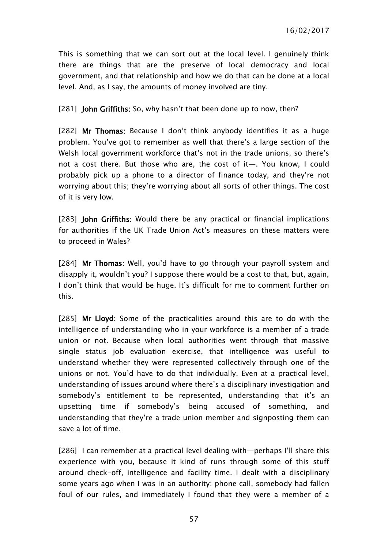This is something that we can sort out at the local level. I genuinely think there are things that are the preserve of local democracy and local government, and that relationship and how we do that can be done at a local level. And, as I say, the amounts of money involved are tiny.

[281] **John Griffiths:** So, why hasn't that been done up to now, then?

[282] Mr Thomas: Because I don't think anybody identifies it as a huge problem. You've got to remember as well that there's a large section of the Welsh local government workforce that's not in the trade unions, so there's not a cost there. But those who are, the cost of it—. You know, I could probably pick up a phone to a director of finance today, and they're not worrying about this; they're worrying about all sorts of other things. The cost of it is very low.

[283] **John Griffiths:** Would there be any practical or financial implications for authorities if the UK Trade Union Act's measures on these matters were to proceed in Wales?

[284] Mr Thomas: Well, you'd have to go through your payroll system and disapply it, wouldn't you? I suppose there would be a cost to that, but, again, I don't think that would be huge. It's difficult for me to comment further on this.

[285] Mr Lloyd: Some of the practicalities around this are to do with the intelligence of understanding who in your workforce is a member of a trade union or not. Because when local authorities went through that massive single status job evaluation exercise, that intelligence was useful to understand whether they were represented collectively through one of the unions or not. You'd have to do that individually. Even at a practical level, understanding of issues around where there's a disciplinary investigation and somebody's entitlement to be represented, understanding that it's an upsetting time if somebody's being accused of something, and understanding that they're a trade union member and signposting them can save a lot of time.

[286] I can remember at a practical level dealing with—perhaps I'll share this experience with you, because it kind of runs through some of this stuff around check-off, intelligence and facility time. I dealt with a disciplinary some years ago when I was in an authority: phone call, somebody had fallen foul of our rules, and immediately I found that they were a member of a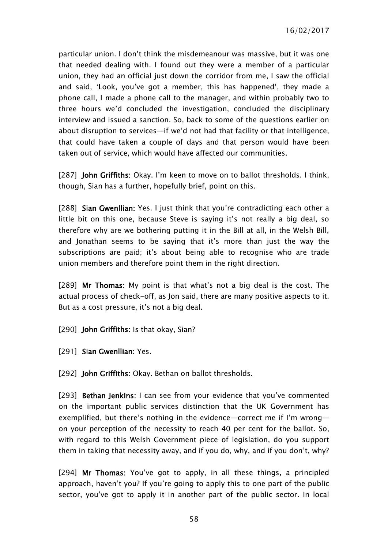particular union. I don't think the misdemeanour was massive, but it was one that needed dealing with. I found out they were a member of a particular union, they had an official just down the corridor from me, I saw the official and said, 'Look, you've got a member, this has happened', they made a phone call, I made a phone call to the manager, and within probably two to three hours we'd concluded the investigation, concluded the disciplinary interview and issued a sanction. So, back to some of the questions earlier on about disruption to services—if we'd not had that facility or that intelligence, that could have taken a couple of days and that person would have been taken out of service, which would have affected our communities.

[287] **John Griffiths:** Okay. I'm keen to move on to ballot thresholds. I think. though, Sian has a further, hopefully brief, point on this.

[288] Sian Gwenllian: Yes. I just think that you're contradicting each other a little bit on this one, because Steve is saying it's not really a big deal, so therefore why are we bothering putting it in the Bill at all, in the Welsh Bill, and Jonathan seems to be saying that it's more than just the way the subscriptions are paid; it's about being able to recognise who are trade union members and therefore point them in the right direction.

[289] Mr Thomas: My point is that what's not a big deal is the cost. The actual process of check-off, as Jon said, there are many positive aspects to it. But as a cost pressure, it's not a big deal.

- [290] **John Griffiths:** Is that okay, Sian?
- [291] Sian Gwenllian: Yes.

[292] **John Griffiths:** Okay. Bethan on ballot thresholds.

[293] **Bethan Jenkins:** I can see from your evidence that you've commented on the important public services distinction that the UK Government has exemplified, but there's nothing in the evidence—correct me if I'm wrong on your perception of the necessity to reach 40 per cent for the ballot. So, with regard to this Welsh Government piece of legislation, do you support them in taking that necessity away, and if you do, why, and if you don't, why?

[294] Mr Thomas: You've got to apply, in all these things, a principled approach, haven't you? If you're going to apply this to one part of the public sector, you've got to apply it in another part of the public sector. In local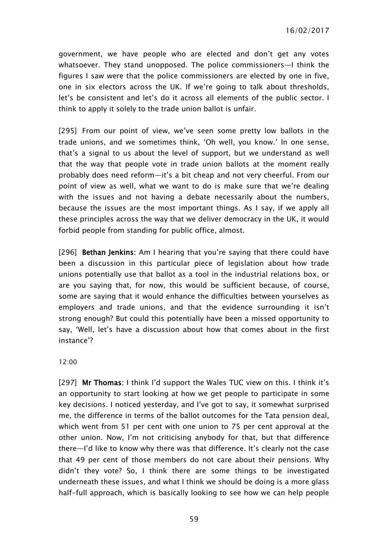government, we have people who are elected and don't get any votes whatsoever. They stand unopposed. The police commissioners—I think the figures I saw were that the police commissioners are elected by one in five, one in six electors across the UK. If we're going to talk about thresholds, let's be consistent and let's do it across all elements of the public sector. I think to apply it solely to the trade union ballot is unfair.

[295] From our point of view, we've seen some pretty low ballots in the trade unions, and we sometimes think, 'Oh well, you know.' In one sense, that's a signal to us about the level of support, but we understand as well that the way that people vote in trade union ballots at the moment really probably does need reform—it's a bit cheap and not very cheerful. From our point of view as well, what we want to do is make sure that we're dealing with the issues and not having a debate necessarily about the numbers, because the issues are the most important things. As I say, if we apply all these principles across the way that we deliver democracy in the UK, it would forbid people from standing for public office, almost.

[296] Bethan Jenkins: Am I hearing that you're saying that there could have been a discussion in this particular piece of legislation about how trade unions potentially use that ballot as a tool in the industrial relations box, or are you saying that, for now, this would be sufficient because, of course, some are saying that it would enhance the difficulties between yourselves as employers and trade unions, and that the evidence surrounding it isn't strong enough? But could this potentially have been a missed opportunity to say, 'Well, let's have a discussion about how that comes about in the first instance'?

12:00

[297] Mr Thomas: I think I'd support the Wales TUC view on this. I think it's an opportunity to start looking at how we get people to participate in some key decisions. I noticed yesterday, and I've got to say, it somewhat surprised me, the difference in terms of the ballot outcomes for the Tata pension deal, which went from 51 per cent with one union to 75 per cent approval at the other union. Now, I'm not criticising anybody for that, but that difference there—I'd like to know why there was that difference. It's clearly not the case that 49 per cent of those members do not care about their pensions. Why didn't they vote? So, I think there are some things to be investigated underneath these issues, and what I think we should be doing is a more glass half-full approach, which is basically looking to see how we can help people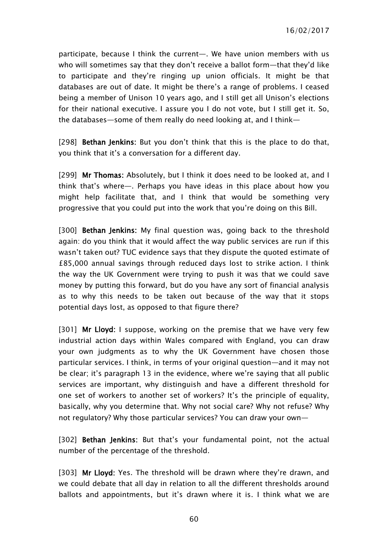participate, because I think the current—. We have union members with us who will sometimes say that they don't receive a ballot form—that they'd like to participate and they're ringing up union officials. It might be that databases are out of date. It might be there's a range of problems. I ceased being a member of Unison 10 years ago, and I still get all Unison's elections for their national executive. I assure you I do not vote, but I still get it. So, the databases—some of them really do need looking at, and I think—

[298] Bethan Jenkins: But you don't think that this is the place to do that, you think that it's a conversation for a different day.

[299] Mr Thomas: Absolutely, but I think it does need to be looked at, and I think that's where—. Perhaps you have ideas in this place about how you might help facilitate that, and I think that would be something very progressive that you could put into the work that you're doing on this Bill.

[300] **Bethan Jenkins:** My final question was, going back to the threshold again: do you think that it would affect the way public services are run if this wasn't taken out? TUC evidence says that they dispute the quoted estimate of £85,000 annual savings through reduced days lost to strike action. I think the way the UK Government were trying to push it was that we could save money by putting this forward, but do you have any sort of financial analysis as to why this needs to be taken out because of the way that it stops potential days lost, as opposed to that figure there?

[301] Mr Lloyd: I suppose, working on the premise that we have very few industrial action days within Wales compared with England, you can draw your own judgments as to why the UK Government have chosen those particular services. I think, in terms of your original question—and it may not be clear; it's paragraph 13 in the evidence, where we're saying that all public services are important, why distinguish and have a different threshold for one set of workers to another set of workers? It's the principle of equality, basically, why you determine that. Why not social care? Why not refuse? Why not regulatory? Why those particular services? You can draw your own—

[302] Bethan Jenkins: But that's your fundamental point, not the actual number of the percentage of the threshold.

[303] Mr Lloyd: Yes. The threshold will be drawn where they're drawn, and we could debate that all day in relation to all the different thresholds around ballots and appointments, but it's drawn where it is. I think what we are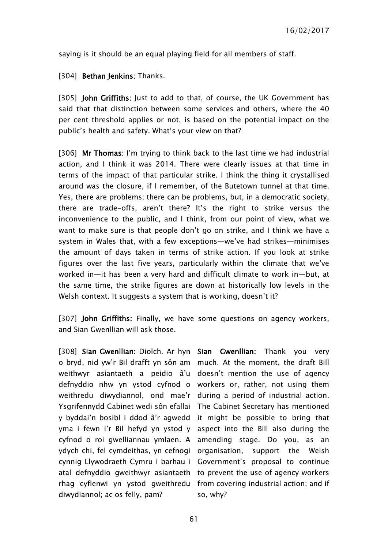saying is it should be an equal playing field for all members of staff.

#### [304] **Bethan Jenkins:** Thanks.

[305] **John Griffiths:** Just to add to that, of course, the UK Government has said that that distinction between some services and others, where the 40 per cent threshold applies or not, is based on the potential impact on the public's health and safety. What's your view on that?

[306] Mr Thomas: I'm trying to think back to the last time we had industrial action, and I think it was 2014. There were clearly issues at that time in terms of the impact of that particular strike. I think the thing it crystallised around was the closure, if I remember, of the Butetown tunnel at that time. Yes, there are problems; there can be problems, but, in a democratic society, there are trade-offs, aren't there? It's the right to strike versus the inconvenience to the public, and I think, from our point of view, what we want to make sure is that people don't go on strike, and I think we have a system in Wales that, with a few exceptions—we've had strikes—minimises the amount of days taken in terms of strike action. If you look at strike figures over the last five years, particularly within the climate that we've worked in—it has been a very hard and difficult climate to work in—but, at the same time, the strike figures are down at historically low levels in the Welsh context. It suggests a system that is working, doesn't it?

[307] John Griffiths: Finally, we have some questions on agency workers, and Sian Gwenllian will ask those.

[308] Sian Gwenllian: Diolch. Ar hyn Sian Gwenllian: Thank you very o bryd, nid yw'r Bil drafft yn sôn am much. At the moment, the draft Bill weithwyr asiantaeth a peidio â'u doesn't mention the use of agency defnyddio nhw yn ystod cyfnod o workers or, rather, not using them weithredu diwydiannol, ond mae'r during a period of industrial action. Ysgrifennydd Cabinet wedi sôn efallai The Cabinet Secretary has mentioned y byddai'n bosibl i ddod â'r agwedd it might be possible to bring that yma i fewn i'r Bil hefyd yn ystod y aspect into the Bill also during the cyfnod o roi gwelliannau ymlaen. A amending stage. Do you, as an ydych chi, fel cymdeithas, yn cefnogi organisation, support the Welsh cynnig Llywodraeth Cymru i barhau i Government's proposal to continue atal defnyddio gweithwyr asiantaeth to prevent the use of agency workers rhag cyflenwi yn ystod gweithredu from covering industrial action; and if diwydiannol; ac os felly, pam?

so, why?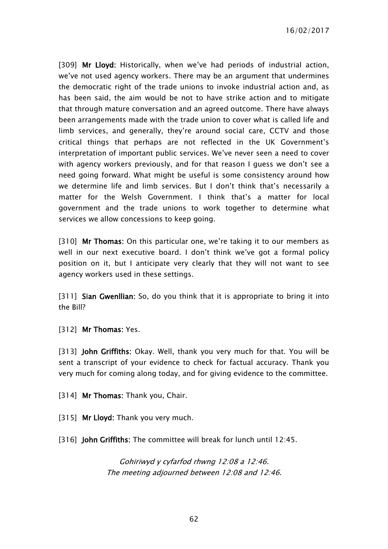16/02/2017

[309] Mr Lloyd: Historically, when we've had periods of industrial action, we've not used agency workers. There may be an argument that undermines the democratic right of the trade unions to invoke industrial action and, as has been said, the aim would be not to have strike action and to mitigate that through mature conversation and an agreed outcome. There have always been arrangements made with the trade union to cover what is called life and limb services, and generally, they're around social care, CCTV and those critical things that perhaps are not reflected in the UK Government's interpretation of important public services. We've never seen a need to cover with agency workers previously, and for that reason I guess we don't see a need going forward. What might be useful is some consistency around how we determine life and limb services. But I don't think that's necessarily a matter for the Welsh Government. I think that's a matter for local government and the trade unions to work together to determine what services we allow concessions to keep going.

[310] Mr Thomas: On this particular one, we're taking it to our members as well in our next executive board. I don't think we've got a formal policy position on it, but I anticipate very clearly that they will not want to see agency workers used in these settings.

[311] **Sian Gwenllian:** So, do you think that it is appropriate to bring it into the Bill?

[312] Mr Thomas: Yes.

[313] John Griffiths: Okay. Well, thank you very much for that. You will be sent a transcript of your evidence to check for factual accuracy. Thank you very much for coming along today, and for giving evidence to the committee.

[314] Mr Thomas: Thank you, Chair.

[315] Mr Lloyd: Thank you very much.

[316] John Griffiths: The committee will break for lunch until 12:45.

Gohiriwyd y cyfarfod rhwng 12:08 a 12:46. The meeting adjourned between 12:08 and 12:46.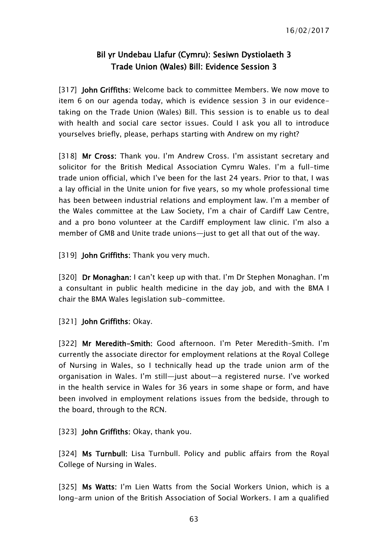## Bil yr Undebau Llafur (Cymru): Sesiwn Dystiolaeth 3 Trade Union (Wales) Bill: Evidence Session 3

[317] John Griffiths: Welcome back to committee Members. We now move to item 6 on our agenda today, which is evidence session 3 in our evidencetaking on the Trade Union (Wales) Bill. This session is to enable us to deal with health and social care sector issues. Could I ask you all to introduce yourselves briefly, please, perhaps starting with Andrew on my right?

[318] Mr Cross: Thank you. I'm Andrew Cross. I'm assistant secretary and solicitor for the British Medical Association Cymru Wales. I'm a full-time trade union official, which I've been for the last 24 years. Prior to that, I was a lay official in the Unite union for five years, so my whole professional time has been between industrial relations and employment law. I'm a member of the Wales committee at the Law Society, I'm a chair of Cardiff Law Centre, and a pro bono volunteer at the Cardiff employment law clinic. I'm also a member of GMB and Unite trade unions—just to get all that out of the way.

[319] **John Griffiths:** Thank you very much.

[320] Dr Monaghan: I can't keep up with that. I'm Dr Stephen Monaghan. I'm a consultant in public health medicine in the day job, and with the BMA I chair the BMA Wales legislation sub-committee.

[321] John Griffiths: Okay.

[322] Mr Meredith-Smith: Good afternoon. I'm Peter Meredith-Smith. I'm currently the associate director for employment relations at the Royal College of Nursing in Wales, so I technically head up the trade union arm of the organisation in Wales. I'm still—just about—a registered nurse. I've worked in the health service in Wales for 36 years in some shape or form, and have been involved in employment relations issues from the bedside, through to the board, through to the RCN.

[323] **John Griffiths: Okay, thank you.** 

[324] Ms Turnbull: Lisa Turnbull. Policy and public affairs from the Royal College of Nursing in Wales.

[325] Ms Watts: I'm Lien Watts from the Social Workers Union, which is a long-arm union of the British Association of Social Workers. I am a qualified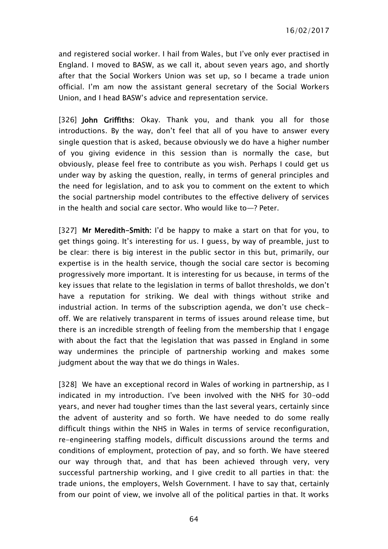and registered social worker. I hail from Wales, but I've only ever practised in England. I moved to BASW, as we call it, about seven years ago, and shortly after that the Social Workers Union was set up, so I became a trade union official. I'm am now the assistant general secretary of the Social Workers Union, and I head BASW's advice and representation service.

[326] John Griffiths: Okay. Thank you, and thank you all for those introductions. By the way, don't feel that all of you have to answer every single question that is asked, because obviously we do have a higher number of you giving evidence in this session than is normally the case, but obviously, please feel free to contribute as you wish. Perhaps I could get us under way by asking the question, really, in terms of general principles and the need for legislation, and to ask you to comment on the extent to which the social partnership model contributes to the effective delivery of services in the health and social care sector. Who would like to—? Peter.

[327] Mr Meredith-Smith: I'd be happy to make a start on that for you, to get things going. It's interesting for us. I guess, by way of preamble, just to be clear: there is big interest in the public sector in this but, primarily, our expertise is in the health service, though the social care sector is becoming progressively more important. It is interesting for us because, in terms of the key issues that relate to the legislation in terms of ballot thresholds, we don't have a reputation for striking. We deal with things without strike and industrial action. In terms of the subscription agenda, we don't use checkoff. We are relatively transparent in terms of issues around release time, but there is an incredible strength of feeling from the membership that I engage with about the fact that the legislation that was passed in England in some way undermines the principle of partnership working and makes some judgment about the way that we do things in Wales.

[328] We have an exceptional record in Wales of working in partnership, as I indicated in my introduction. I've been involved with the NHS for 30-odd years, and never had tougher times than the last several years, certainly since the advent of austerity and so forth. We have needed to do some really difficult things within the NHS in Wales in terms of service reconfiguration, re-engineering staffing models, difficult discussions around the terms and conditions of employment, protection of pay, and so forth. We have steered our way through that, and that has been achieved through very, very successful partnership working, and I give credit to all parties in that: the trade unions, the employers, Welsh Government. I have to say that, certainly from our point of view, we involve all of the political parties in that. It works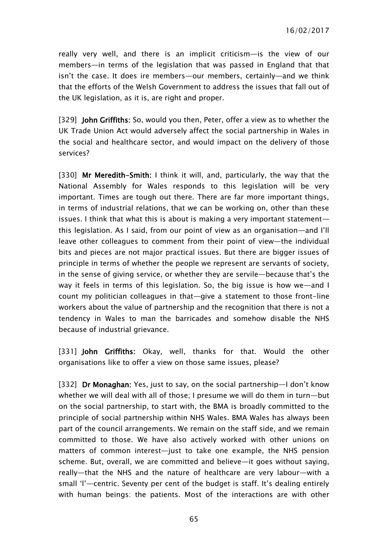really very well, and there is an implicit criticism—is the view of our members—in terms of the legislation that was passed in England that that isn't the case. It does ire members—our members, certainly—and we think that the efforts of the Welsh Government to address the issues that fall out of the UK legislation, as it is, are right and proper.

[329] John Griffiths: So, would you then, Peter, offer a view as to whether the UK Trade Union Act would adversely affect the social partnership in Wales in the social and healthcare sector, and would impact on the delivery of those services?

[330] Mr Meredith-Smith: I think it will, and, particularly, the way that the National Assembly for Wales responds to this legislation will be very important. Times are tough out there. There are far more important things, in terms of industrial relations, that we can be working on, other than these issues. I think that what this is about is making a very important statement this legislation. As I said, from our point of view as an organisation—and I'll leave other colleagues to comment from their point of view—the individual bits and pieces are not major practical issues. But there are bigger issues of principle in terms of whether the people we represent are servants of society, in the sense of giving service, or whether they are servile—because that's the way it feels in terms of this legislation. So, the big issue is how we—and I count my politician colleagues in that—give a statement to those front-line workers about the value of partnership and the recognition that there is not a tendency in Wales to man the barricades and somehow disable the NHS because of industrial grievance.

[331] John Griffiths: Okay, well, thanks for that. Would the other organisations like to offer a view on those same issues, please?

[332] Dr Monaghan: Yes, just to say, on the social partnership—I don't know whether we will deal with all of those; I presume we will do them in turn—but on the social partnership, to start with, the BMA is broadly committed to the principle of social partnership within NHS Wales. BMA Wales has always been part of the council arrangements. We remain on the staff side, and we remain committed to those. We have also actively worked with other unions on matters of common interest—just to take one example, the NHS pension scheme. But, overall, we are committed and believe—it goes without saying, really—that the NHS and the nature of healthcare are very labour—with a small 'l'—centric. Seventy per cent of the budget is staff. It's dealing entirely with human beings: the patients. Most of the interactions are with other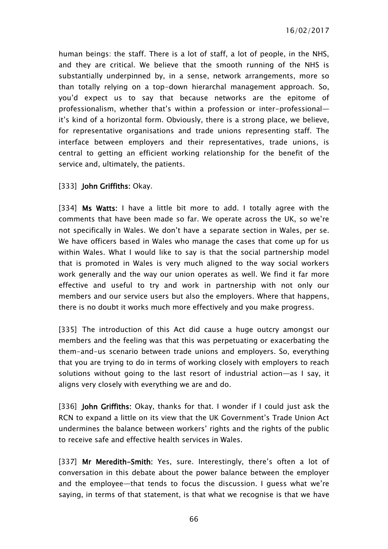16/02/2017

human beings: the staff. There is a lot of staff, a lot of people, in the NHS, and they are critical. We believe that the smooth running of the NHS is substantially underpinned by, in a sense, network arrangements, more so than totally relying on a top-down hierarchal management approach. So, you'd expect us to say that because networks are the epitome of professionalism, whether that's within a profession or inter-professional it's kind of a horizontal form. Obviously, there is a strong place, we believe, for representative organisations and trade unions representing staff. The interface between employers and their representatives, trade unions, is central to getting an efficient working relationship for the benefit of the service and, ultimately, the patients.

### [333] **John Griffiths: Okay.**

[334] Ms Watts: I have a little bit more to add. I totally agree with the comments that have been made so far. We operate across the UK, so we're not specifically in Wales. We don't have a separate section in Wales, per se. We have officers based in Wales who manage the cases that come up for us within Wales. What I would like to say is that the social partnership model that is promoted in Wales is very much aligned to the way social workers work generally and the way our union operates as well. We find it far more effective and useful to try and work in partnership with not only our members and our service users but also the employers. Where that happens, there is no doubt it works much more effectively and you make progress.

[335] The introduction of this Act did cause a huge outcry amongst our members and the feeling was that this was perpetuating or exacerbating the them-and-us scenario between trade unions and employers. So, everything that you are trying to do in terms of working closely with employers to reach solutions without going to the last resort of industrial action—as I say, it aligns very closely with everything we are and do.

[336] **John Griffiths:** Okay, thanks for that. I wonder if I could just ask the RCN to expand a little on its view that the UK Government's Trade Union Act undermines the balance between workers' rights and the rights of the public to receive safe and effective health services in Wales.

[337] Mr Meredith-Smith: Yes, sure. Interestingly, there's often a lot of conversation in this debate about the power balance between the employer and the employee—that tends to focus the discussion. I guess what we're saying, in terms of that statement, is that what we recognise is that we have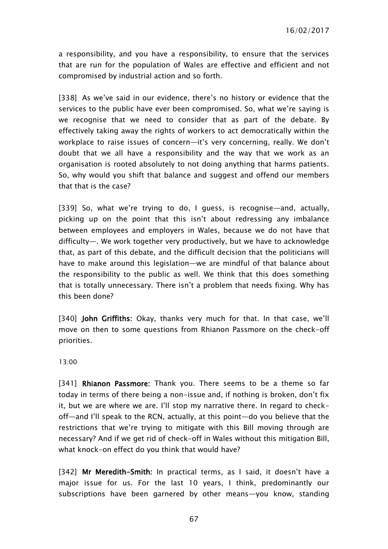a responsibility, and you have a responsibility, to ensure that the services that are run for the population of Wales are effective and efficient and not compromised by industrial action and so forth.

[338] As we've said in our evidence, there's no history or evidence that the services to the public have ever been compromised. So, what we're saying is we recognise that we need to consider that as part of the debate. By effectively taking away the rights of workers to act democratically within the workplace to raise issues of concern—it's very concerning, really. We don't doubt that we all have a responsibility and the way that we work as an organisation is rooted absolutely to not doing anything that harms patients. So, why would you shift that balance and suggest and offend our members that that is the case?

[339] So, what we're trying to do, I guess, is recognise—and, actually, picking up on the point that this isn't about redressing any imbalance between employees and employers in Wales, because we do not have that difficulty—. We work together very productively, but we have to acknowledge that, as part of this debate, and the difficult decision that the politicians will have to make around this legislation—we are mindful of that balance about the responsibility to the public as well. We think that this does something that is totally unnecessary. There isn't a problem that needs fixing. Why has this been done?

[340] **John Griffiths:** Okay, thanks very much for that. In that case, we'll move on then to some questions from Rhianon Passmore on the check-off priorities.

13:00

[341] Rhianon Passmore: Thank you. There seems to be a theme so far today in terms of there being a non-issue and, if nothing is broken, don't fix it, but we are where we are. I'll stop my narrative there. In regard to checkoff—and I'll speak to the RCN, actually, at this point—do you believe that the restrictions that we're trying to mitigate with this Bill moving through are necessary? And if we get rid of check-off in Wales without this mitigation Bill, what knock-on effect do you think that would have?

[342] Mr Meredith-Smith: In practical terms, as I said, it doesn't have a major issue for us. For the last 10 years, I think, predominantly our subscriptions have been garnered by other means—you know, standing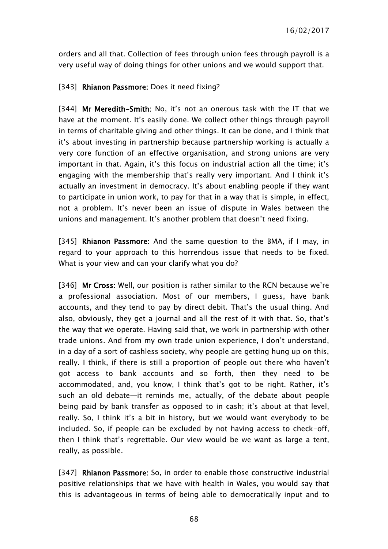orders and all that. Collection of fees through union fees through payroll is a very useful way of doing things for other unions and we would support that.

### [343] Rhianon Passmore: Does it need fixing?

[344] Mr Meredith-Smith: No, it's not an onerous task with the IT that we have at the moment. It's easily done. We collect other things through payroll in terms of charitable giving and other things. It can be done, and I think that it's about investing in partnership because partnership working is actually a very core function of an effective organisation, and strong unions are very important in that. Again, it's this focus on industrial action all the time; it's engaging with the membership that's really very important. And I think it's actually an investment in democracy. It's about enabling people if they want to participate in union work, to pay for that in a way that is simple, in effect, not a problem. It's never been an issue of dispute in Wales between the unions and management. It's another problem that doesn't need fixing.

[345] Rhianon Passmore: And the same question to the BMA, if I may, in regard to your approach to this horrendous issue that needs to be fixed. What is your view and can your clarify what you do?

[346] Mr Cross: Well, our position is rather similar to the RCN because we're a professional association. Most of our members, I guess, have bank accounts, and they tend to pay by direct debit. That's the usual thing. And also, obviously, they get a journal and all the rest of it with that. So, that's the way that we operate. Having said that, we work in partnership with other trade unions. And from my own trade union experience, I don't understand, in a day of a sort of cashless society, why people are getting hung up on this, really. I think, if there is still a proportion of people out there who haven't got access to bank accounts and so forth, then they need to be accommodated, and, you know, I think that's got to be right. Rather, it's such an old debate—it reminds me, actually, of the debate about people being paid by bank transfer as opposed to in cash; it's about at that level, really. So, I think it's a bit in history, but we would want everybody to be included. So, if people can be excluded by not having access to check-off, then I think that's regrettable. Our view would be we want as large a tent, really, as possible.

[347] Rhianon Passmore: So, in order to enable those constructive industrial positive relationships that we have with health in Wales, you would say that this is advantageous in terms of being able to democratically input and to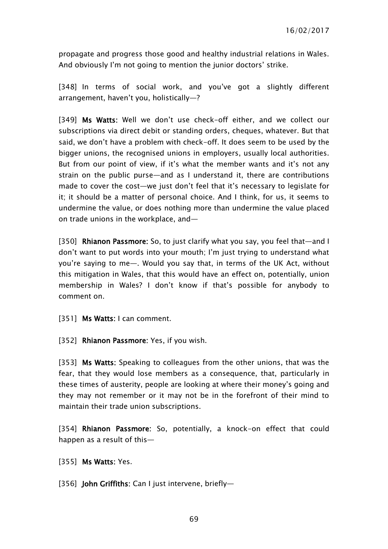propagate and progress those good and healthy industrial relations in Wales. And obviously I'm not going to mention the junior doctors' strike.

[348] In terms of social work, and you've got a slightly different arrangement, haven't you, holistically—?

[349] Ms Watts: Well we don't use check-off either, and we collect our subscriptions via direct debit or standing orders, cheques, whatever. But that said, we don't have a problem with check-off. It does seem to be used by the bigger unions, the recognised unions in employers, usually local authorities. But from our point of view, if it's what the member wants and it's not any strain on the public purse—and as I understand it, there are contributions made to cover the cost—we just don't feel that it's necessary to legislate for it; it should be a matter of personal choice. And I think, for us, it seems to undermine the value, or does nothing more than undermine the value placed on trade unions in the workplace, and—

[350] Rhianon Passmore: So, to just clarify what you say, you feel that—and I don't want to put words into your mouth; I'm just trying to understand what you're saying to me—. Would you say that, in terms of the UK Act, without this mitigation in Wales, that this would have an effect on, potentially, union membership in Wales? I don't know if that's possible for anybody to comment on.

[351] Ms Watts: I can comment.

[352] Rhianon Passmore: Yes, if you wish.

[353] Ms Watts: Speaking to colleagues from the other unions, that was the fear, that they would lose members as a consequence, that, particularly in these times of austerity, people are looking at where their money's going and they may not remember or it may not be in the forefront of their mind to maintain their trade union subscriptions.

[354] Rhianon Passmore: So, potentially, a knock-on effect that could happen as a result of this—

[355] **Ms Watts: Yes.** 

[356] John Griffiths: Can I just intervene, briefly-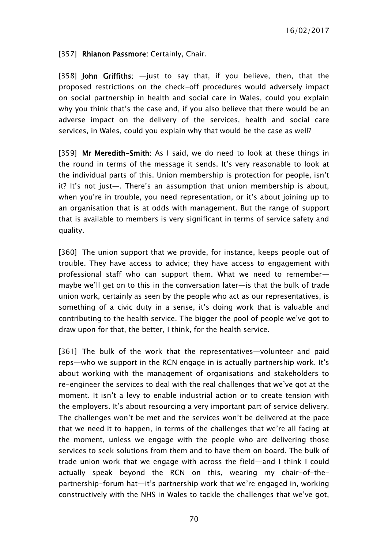### [357] Rhianon Passmore: Certainly, Chair.

[358] John Griffiths:  $-$ just to say that, if you believe, then, that the proposed restrictions on the check-off procedures would adversely impact on social partnership in health and social care in Wales, could you explain why you think that's the case and, if you also believe that there would be an adverse impact on the delivery of the services, health and social care services, in Wales, could you explain why that would be the case as well?

[359] Mr Meredith-Smith: As I said, we do need to look at these things in the round in terms of the message it sends. It's very reasonable to look at the individual parts of this. Union membership is protection for people, isn't it? It's not just—. There's an assumption that union membership is about, when you're in trouble, you need representation, or it's about joining up to an organisation that is at odds with management. But the range of support that is available to members is very significant in terms of service safety and quality.

[360] The union support that we provide, for instance, keeps people out of trouble. They have access to advice; they have access to engagement with professional staff who can support them. What we need to remember maybe we'll get on to this in the conversation later—is that the bulk of trade union work, certainly as seen by the people who act as our representatives, is something of a civic duty in a sense, it's doing work that is valuable and contributing to the health service. The bigger the pool of people we've got to draw upon for that, the better, I think, for the health service.

[361] The bulk of the work that the representatives-volunteer and paid reps—who we support in the RCN engage in is actually partnership work. It's about working with the management of organisations and stakeholders to re-engineer the services to deal with the real challenges that we've got at the moment. It isn't a levy to enable industrial action or to create tension with the employers. It's about resourcing a very important part of service delivery. The challenges won't be met and the services won't be delivered at the pace that we need it to happen, in terms of the challenges that we're all facing at the moment, unless we engage with the people who are delivering those services to seek solutions from them and to have them on board. The bulk of trade union work that we engage with across the field—and I think I could actually speak beyond the RCN on this, wearing my chair-of-thepartnership-forum hat—it's partnership work that we're engaged in, working constructively with the NHS in Wales to tackle the challenges that we've got,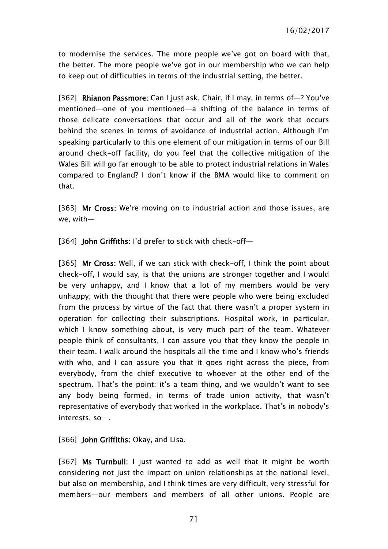to modernise the services. The more people we've got on board with that, the better. The more people we've got in our membership who we can help to keep out of difficulties in terms of the industrial setting, the better.

[362] Rhianon Passmore: Can I just ask, Chair, if I may, in terms of-? You've mentioned—one of you mentioned—a shifting of the balance in terms of those delicate conversations that occur and all of the work that occurs behind the scenes in terms of avoidance of industrial action. Although I'm speaking particularly to this one element of our mitigation in terms of our Bill around check-off facility, do you feel that the collective mitigation of the Wales Bill will go far enough to be able to protect industrial relations in Wales compared to England? I don't know if the BMA would like to comment on that.

[363] Mr Cross: We're moving on to industrial action and those issues, are we, with—

[364] **John Griffiths: I'd prefer to stick with check-off-**

[365] Mr Cross: Well, if we can stick with check-off, I think the point about check-off, I would say, is that the unions are stronger together and I would be very unhappy, and I know that a lot of my members would be very unhappy, with the thought that there were people who were being excluded from the process by virtue of the fact that there wasn't a proper system in operation for collecting their subscriptions. Hospital work, in particular, which I know something about, is very much part of the team. Whatever people think of consultants, I can assure you that they know the people in their team. I walk around the hospitals all the time and I know who's friends with who, and I can assure you that it goes right across the piece, from everybody, from the chief executive to whoever at the other end of the spectrum. That's the point: it's a team thing, and we wouldn't want to see any body being formed, in terms of trade union activity, that wasn't representative of everybody that worked in the workplace. That's in nobody's interests, so—.

[366] **John Griffiths:** Okay, and Lisa.

[367] Ms Turnbull: I just wanted to add as well that it might be worth considering not just the impact on union relationships at the national level, but also on membership, and I think times are very difficult, very stressful for members—our members and members of all other unions. People are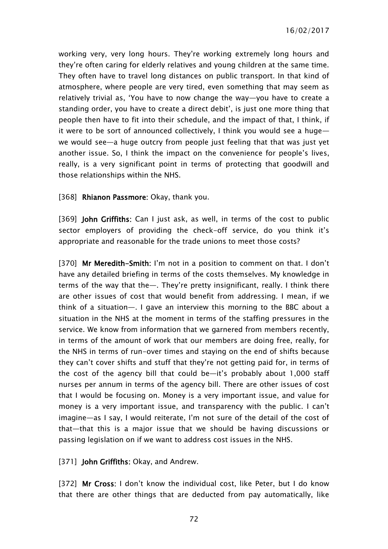working very, very long hours. They're working extremely long hours and they're often caring for elderly relatives and young children at the same time. They often have to travel long distances on public transport. In that kind of atmosphere, where people are very tired, even something that may seem as relatively trivial as, 'You have to now change the way—you have to create a standing order, you have to create a direct debit', is just one more thing that people then have to fit into their schedule, and the impact of that, I think, if it were to be sort of announced collectively, I think you would see a huge we would see—a huge outcry from people just feeling that that was just yet another issue. So, I think the impact on the convenience for people's lives, really, is a very significant point in terms of protecting that goodwill and those relationships within the NHS.

[368] Rhianon Passmore: Okay, thank you.

[369] John Griffiths: Can I just ask, as well, in terms of the cost to public sector employers of providing the check-off service, do you think it's appropriate and reasonable for the trade unions to meet those costs?

[370] Mr Meredith-Smith: I'm not in a position to comment on that. I don't have any detailed briefing in terms of the costs themselves. My knowledge in terms of the way that the—. They're pretty insignificant, really. I think there are other issues of cost that would benefit from addressing. I mean, if we think of a situation—. I gave an interview this morning to the BBC about a situation in the NHS at the moment in terms of the staffing pressures in the service. We know from information that we garnered from members recently, in terms of the amount of work that our members are doing free, really, for the NHS in terms of run-over times and staying on the end of shifts because they can't cover shifts and stuff that they're not getting paid for, in terms of the cost of the agency bill that could be—it's probably about 1,000 staff nurses per annum in terms of the agency bill. There are other issues of cost that I would be focusing on. Money is a very important issue, and value for money is a very important issue, and transparency with the public. I can't imagine—as I say, I would reiterate, I'm not sure of the detail of the cost of that—that this is a major issue that we should be having discussions or passing legislation on if we want to address cost issues in the NHS.

[371] **John Griffiths:** Okay, and Andrew.

[372] Mr Cross: I don't know the individual cost, like Peter, but I do know that there are other things that are deducted from pay automatically, like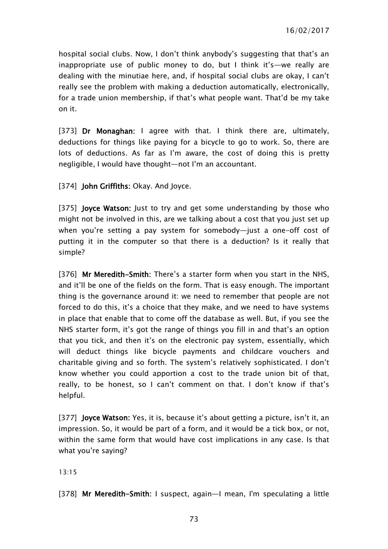hospital social clubs. Now, I don't think anybody's suggesting that that's an inappropriate use of public money to do, but I think it's—we really are dealing with the minutiae here, and, if hospital social clubs are okay, I can't really see the problem with making a deduction automatically, electronically, for a trade union membership, if that's what people want. That'd be my take on it.

[373] Dr Monaghan: I agree with that. I think there are, ultimately, deductions for things like paying for a bicycle to go to work. So, there are lots of deductions. As far as I'm aware, the cost of doing this is pretty negligible, I would have thought—not I'm an accountant.

[374] **John Griffiths: Okay. And Joyce.** 

[375] **Joyce Watson:** Just to try and get some understanding by those who might not be involved in this, are we talking about a cost that you just set up when you're setting a pay system for somebody—just a one-off cost of putting it in the computer so that there is a deduction? Is it really that simple?

[376] Mr Meredith-Smith: There's a starter form when you start in the NHS, and it'll be one of the fields on the form. That is easy enough. The important thing is the governance around it: we need to remember that people are not forced to do this, it's a choice that they make, and we need to have systems in place that enable that to come off the database as well. But, if you see the NHS starter form, it's got the range of things you fill in and that's an option that you tick, and then it's on the electronic pay system, essentially, which will deduct things like bicycle payments and childcare vouchers and charitable giving and so forth. The system's relatively sophisticated. I don't know whether you could apportion a cost to the trade union bit of that, really, to be honest, so I can't comment on that. I don't know if that's helpful.

[377] Joyce Watson: Yes, it is, because it's about getting a picture, isn't it, an impression. So, it would be part of a form, and it would be a tick box, or not, within the same form that would have cost implications in any case. Is that what you're saying?

13:15

[378] Mr Meredith-Smith: I suspect, again-I mean, I'm speculating a little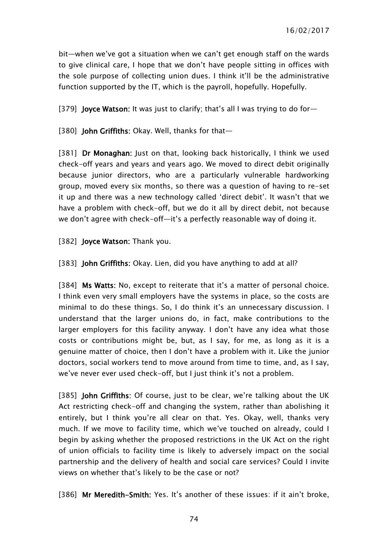bit—when we've got a situation when we can't get enough staff on the wards to give clinical care, I hope that we don't have people sitting in offices with the sole purpose of collecting union dues. I think it'll be the administrative function supported by the IT, which is the payroll, hopefully. Hopefully.

[379] Joyce Watson: It was just to clarify; that's all I was trying to do for—

[380] John Griffiths: Okay. Well, thanks for that-

[381] Dr Monaghan: Just on that, looking back historically, I think we used check-off years and years and years ago. We moved to direct debit originally because junior directors, who are a particularly vulnerable hardworking group, moved every six months, so there was a question of having to re-set it up and there was a new technology called 'direct debit'. It wasn't that we have a problem with check-off, but we do it all by direct debit, not because we don't agree with check-off—it's a perfectly reasonable way of doing it.

[382] Joyce Watson: Thank you.

[383] **John Griffiths**: Okay. Lien, did you have anything to add at all?

[384] Ms Watts: No, except to reiterate that it's a matter of personal choice. I think even very small employers have the systems in place, so the costs are minimal to do these things. So, I do think it's an unnecessary discussion. I understand that the larger unions do, in fact, make contributions to the larger employers for this facility anyway. I don't have any idea what those costs or contributions might be, but, as I say, for me, as long as it is a genuine matter of choice, then I don't have a problem with it. Like the junior doctors, social workers tend to move around from time to time, and, as I say, we've never ever used check-off, but I just think it's not a problem.

[385] **John Griffiths:** Of course, just to be clear, we're talking about the UK Act restricting check-off and changing the system, rather than abolishing it entirely, but I think you're all clear on that. Yes. Okay, well, thanks very much. If we move to facility time, which we've touched on already, could I begin by asking whether the proposed restrictions in the UK Act on the right of union officials to facility time is likely to adversely impact on the social partnership and the delivery of health and social care services? Could I invite views on whether that's likely to be the case or not?

[386] Mr Meredith-Smith: Yes. It's another of these issues: if it ain't broke,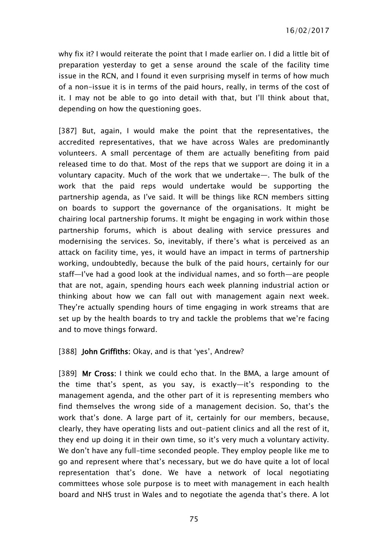why fix it? I would reiterate the point that I made earlier on. I did a little bit of preparation yesterday to get a sense around the scale of the facility time issue in the RCN, and I found it even surprising myself in terms of how much of a non-issue it is in terms of the paid hours, really, in terms of the cost of it. I may not be able to go into detail with that, but I'll think about that, depending on how the questioning goes.

[387] But, again, I would make the point that the representatives, the accredited representatives, that we have across Wales are predominantly volunteers. A small percentage of them are actually benefiting from paid released time to do that. Most of the reps that we support are doing it in a voluntary capacity. Much of the work that we undertake—. The bulk of the work that the paid reps would undertake would be supporting the partnership agenda, as I've said. It will be things like RCN members sitting on boards to support the governance of the organisations. It might be chairing local partnership forums. It might be engaging in work within those partnership forums, which is about dealing with service pressures and modernising the services. So, inevitably, if there's what is perceived as an attack on facility time, yes, it would have an impact in terms of partnership working, undoubtedly, because the bulk of the paid hours, certainly for our staff—I've had a good look at the individual names, and so forth—are people that are not, again, spending hours each week planning industrial action or thinking about how we can fall out with management again next week. They're actually spending hours of time engaging in work streams that are set up by the health boards to try and tackle the problems that we're facing and to move things forward.

#### [388] John Griffiths: Okay, and is that 'yes', Andrew?

[389] Mr Cross: I think we could echo that. In the BMA, a large amount of the time that's spent, as you say, is exactly—it's responding to the management agenda, and the other part of it is representing members who find themselves the wrong side of a management decision. So, that's the work that's done. A large part of it, certainly for our members, because, clearly, they have operating lists and out-patient clinics and all the rest of it, they end up doing it in their own time, so it's very much a voluntary activity. We don't have any full-time seconded people. They employ people like me to go and represent where that's necessary, but we do have quite a lot of local representation that's done. We have a network of local negotiating committees whose sole purpose is to meet with management in each health board and NHS trust in Wales and to negotiate the agenda that's there. A lot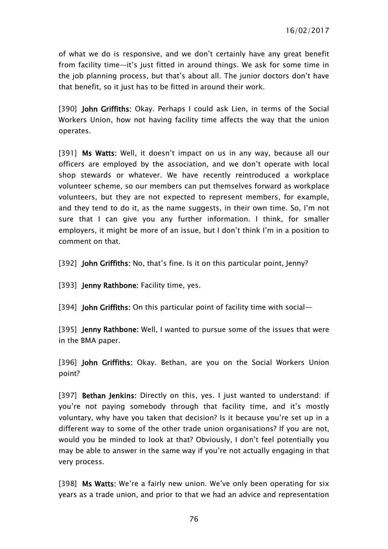of what we do is responsive, and we don't certainly have any great benefit from facility time—it's just fitted in around things. We ask for some time in the job planning process, but that's about all. The junior doctors don't have that benefit, so it just has to be fitted in around their work.

[390] John Griffiths: Okay. Perhaps I could ask Lien, in terms of the Social Workers Union, how not having facility time affects the way that the union operates.

[391] Ms Watts: Well, it doesn't impact on us in any way, because all our officers are employed by the association, and we don't operate with local shop stewards or whatever. We have recently reintroduced a workplace volunteer scheme, so our members can put themselves forward as workplace volunteers, but they are not expected to represent members, for example, and they tend to do it, as the name suggests, in their own time. So, I'm not sure that I can give you any further information. I think, for smaller employers, it might be more of an issue, but I don't think I'm in a position to comment on that.

[392] **John Griffiths:** No, that's fine. Is it on this particular point, Jenny?

[393] **Jenny Rathbone:** Facility time, yes.

[394] John Griffiths: On this particular point of facility time with social—

[395] **Jenny Rathbone:** Well, I wanted to pursue some of the issues that were in the BMA paper.

[396] John Griffiths: Okay. Bethan, are you on the Social Workers Union point?

[397] Bethan Jenkins: Directly on this, yes. I just wanted to understand: if you're not paying somebody through that facility time, and it's mostly voluntary, why have you taken that decision? Is it because you're set up in a different way to some of the other trade union organisations? If you are not, would you be minded to look at that? Obviously, I don't feel potentially you may be able to answer in the same way if you're not actually engaging in that very process.

[398] Ms Watts: We're a fairly new union. We've only been operating for six years as a trade union, and prior to that we had an advice and representation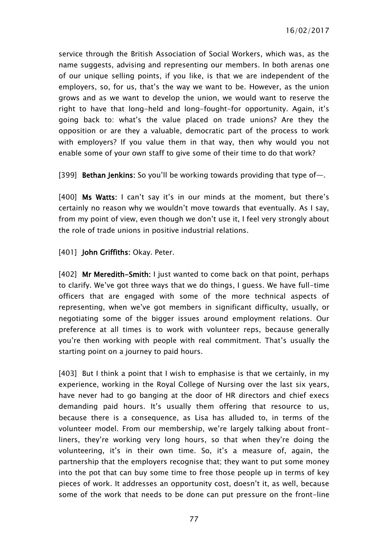service through the British Association of Social Workers, which was, as the name suggests, advising and representing our members. In both arenas one of our unique selling points, if you like, is that we are independent of the employers, so, for us, that's the way we want to be. However, as the union grows and as we want to develop the union, we would want to reserve the right to have that long-held and long-fought-for opportunity. Again, it's going back to: what's the value placed on trade unions? Are they the opposition or are they a valuable, democratic part of the process to work with employers? If you value them in that way, then why would you not enable some of your own staff to give some of their time to do that work?

[399] **Bethan Jenkins:** So you'll be working towards providing that type of-

[400] Ms Watts: I can't say it's in our minds at the moment, but there's certainly no reason why we wouldn't move towards that eventually. As I say, from my point of view, even though we don't use it, I feel very strongly about the role of trade unions in positive industrial relations.

[401] John Griffiths: Okay. Peter.

[402] Mr Meredith-Smith: I just wanted to come back on that point, perhaps to clarify. We've got three ways that we do things, I guess. We have full-time officers that are engaged with some of the more technical aspects of representing, when we've got members in significant difficulty, usually, or negotiating some of the bigger issues around employment relations. Our preference at all times is to work with volunteer reps, because generally you're then working with people with real commitment. That's usually the starting point on a journey to paid hours.

[403] But I think a point that I wish to emphasise is that we certainly, in my experience, working in the Royal College of Nursing over the last six years, have never had to go banging at the door of HR directors and chief execs demanding paid hours. It's usually them offering that resource to us, because there is a consequence, as Lisa has alluded to, in terms of the volunteer model. From our membership, we're largely talking about frontliners, they're working very long hours, so that when they're doing the volunteering, it's in their own time. So, it's a measure of, again, the partnership that the employers recognise that; they want to put some money into the pot that can buy some time to free those people up in terms of key pieces of work. It addresses an opportunity cost, doesn't it, as well, because some of the work that needs to be done can put pressure on the front-line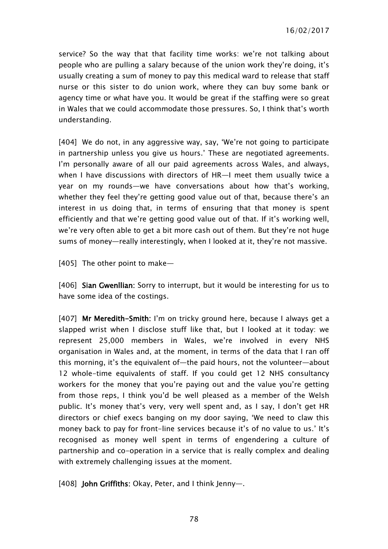service? So the way that that facility time works: we're not talking about people who are pulling a salary because of the union work they're doing, it's usually creating a sum of money to pay this medical ward to release that staff nurse or this sister to do union work, where they can buy some bank or agency time or what have you. It would be great if the staffing were so great in Wales that we could accommodate those pressures. So, I think that's worth understanding.

[404] We do not, in any aggressive way, say, 'We're not going to participate in partnership unless you give us hours.' These are negotiated agreements. I'm personally aware of all our paid agreements across Wales, and always, when I have discussions with directors of HR—I meet them usually twice a year on my rounds—we have conversations about how that's working, whether they feel they're getting good value out of that, because there's an interest in us doing that, in terms of ensuring that that money is spent efficiently and that we're getting good value out of that. If it's working well, we're very often able to get a bit more cash out of them. But they're not huge sums of money—really interestingly, when I looked at it, they're not massive.

[405] The other point to make—

[406] Sian Gwenllian: Sorry to interrupt, but it would be interesting for us to have some idea of the costings.

[407] Mr Meredith-Smith: I'm on tricky ground here, because I always get a slapped wrist when I disclose stuff like that, but I looked at it today: we represent 25,000 members in Wales, we're involved in every NHS organisation in Wales and, at the moment, in terms of the data that I ran off this morning, it's the equivalent of—the paid hours, not the volunteer—about 12 whole-time equivalents of staff. If you could get 12 NHS consultancy workers for the money that you're paying out and the value you're getting from those reps, I think you'd be well pleased as a member of the Welsh public. It's money that's very, very well spent and, as I say, I don't get HR directors or chief execs banging on my door saying, 'We need to claw this money back to pay for front-line services because it's of no value to us.' It's recognised as money well spent in terms of engendering a culture of partnership and co-operation in a service that is really complex and dealing with extremely challenging issues at the moment.

[408] John Griffiths: Okay, Peter, and I think Jenny—.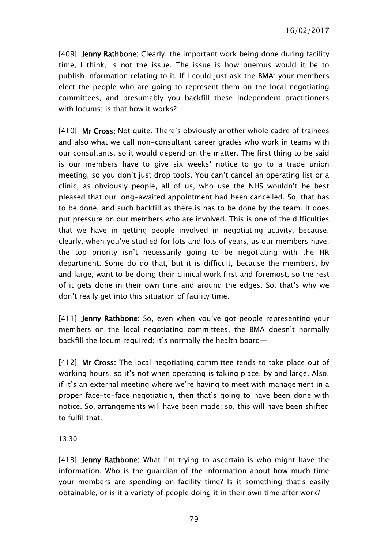[409] **Jenny Rathbone:** Clearly, the important work being done during facility time, I think, is not the issue. The issue is how onerous would it be to publish information relating to it. If I could just ask the BMA: your members elect the people who are going to represent them on the local negotiating committees, and presumably you backfill these independent practitioners with locums; is that how it works?

[410] Mr Cross: Not quite. There's obviously another whole cadre of trainees and also what we call non-consultant career grades who work in teams with our consultants, so it would depend on the matter. The first thing to be said is our members have to give six weeks' notice to go to a trade union meeting, so you don't just drop tools. You can't cancel an operating list or a clinic, as obviously people, all of us, who use the NHS wouldn't be best pleased that our long-awaited appointment had been cancelled. So, that has to be done, and such backfill as there is has to be done by the team. It does put pressure on our members who are involved. This is one of the difficulties that we have in getting people involved in negotiating activity, because, clearly, when you've studied for lots and lots of years, as our members have, the top priority isn't necessarily going to be negotiating with the HR department. Some do do that, but it is difficult, because the members, by and large, want to be doing their clinical work first and foremost, so the rest of it gets done in their own time and around the edges. So, that's why we don't really get into this situation of facility time.

[411] **Jenny Rathbone:** So, even when you've got people representing your members on the local negotiating committees, the BMA doesn't normally backfill the locum required; it's normally the health board—

[412] **Mr Cross:** The local negotiating committee tends to take place out of working hours, so it's not when operating is taking place, by and large. Also, if it's an external meeting where we're having to meet with management in a proper face-to-face negotiation, then that's going to have been done with notice. So, arrangements will have been made; so, this will have been shifted to fulfil that.

#### 13:30

[413] **Jenny Rathbone:** What I'm trying to ascertain is who might have the information. Who is the guardian of the information about how much time your members are spending on facility time? Is it something that's easily obtainable, or is it a variety of people doing it in their own time after work?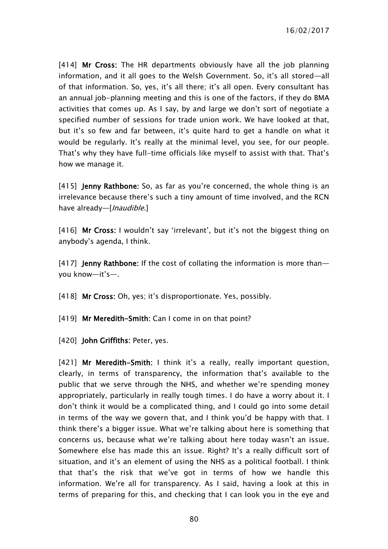[414] Mr Cross: The HR departments obviously have all the job planning information, and it all goes to the Welsh Government. So, it's all stored—all of that information. So, yes, it's all there; it's all open. Every consultant has an annual job-planning meeting and this is one of the factors, if they do BMA activities that comes up. As I say, by and large we don't sort of negotiate a specified number of sessions for trade union work. We have looked at that, but it's so few and far between, it's quite hard to get a handle on what it would be regularly. It's really at the minimal level, you see, for our people. That's why they have full-time officials like myself to assist with that. That's how we manage it.

[415] **Jenny Rathbone**: So, as far as you're concerned, the whole thing is an irrelevance because there's such a tiny amount of time involved, and the RCN have already—[*Inaudible.*]

[416] Mr Cross: I wouldn't say 'irrelevant', but it's not the biggest thing on anybody's agenda, I think.

[417] **Jenny Rathbone:** If the cost of collating the information is more thanyou know—it's—.

[418] Mr Cross: Oh, yes; it's disproportionate. Yes, possibly.

[419] Mr Meredith-Smith: Can I come in on that point?

[420] **John Griffiths: Peter, yes.** 

[421] Mr Meredith-Smith: I think it's a really, really important question, clearly, in terms of transparency, the information that's available to the public that we serve through the NHS, and whether we're spending money appropriately, particularly in really tough times. I do have a worry about it. I don't think it would be a complicated thing, and I could go into some detail in terms of the way we govern that, and I think you'd be happy with that. I think there's a bigger issue. What we're talking about here is something that concerns us, because what we're talking about here today wasn't an issue. Somewhere else has made this an issue. Right? It's a really difficult sort of situation, and it's an element of using the NHS as a political football. I think that that's the risk that we've got in terms of how we handle this information. We're all for transparency. As I said, having a look at this in terms of preparing for this, and checking that I can look you in the eye and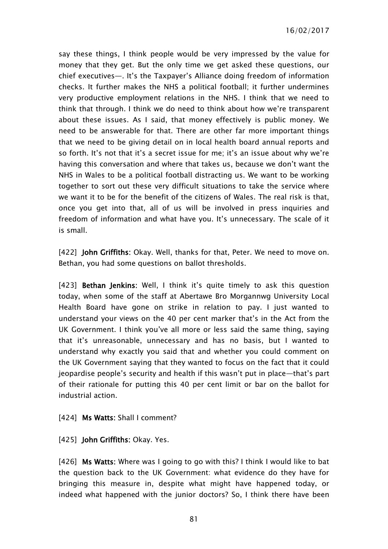say these things, I think people would be very impressed by the value for money that they get. But the only time we get asked these questions, our chief executives—. It's the Taxpayer's Alliance doing freedom of information checks. It further makes the NHS a political football; it further undermines very productive employment relations in the NHS. I think that we need to think that through. I think we do need to think about how we're transparent about these issues. As I said, that money effectively is public money. We need to be answerable for that. There are other far more important things that we need to be giving detail on in local health board annual reports and so forth. It's not that it's a secret issue for me; it's an issue about why we're having this conversation and where that takes us, because we don't want the NHS in Wales to be a political football distracting us. We want to be working together to sort out these very difficult situations to take the service where we want it to be for the benefit of the citizens of Wales. The real risk is that, once you get into that, all of us will be involved in press inquiries and freedom of information and what have you. It's unnecessary. The scale of it is small.

[422] John Griffiths: Okay. Well, thanks for that, Peter. We need to move on. Bethan, you had some questions on ballot thresholds.

[423] **Bethan Jenkins:** Well, I think it's quite timely to ask this question today, when some of the staff at Abertawe Bro Morgannwg University Local Health Board have gone on strike in relation to pay. I just wanted to understand your views on the 40 per cent marker that's in the Act from the UK Government. I think you've all more or less said the same thing, saying that it's unreasonable, unnecessary and has no basis, but I wanted to understand why exactly you said that and whether you could comment on the UK Government saying that they wanted to focus on the fact that it could jeopardise people's security and health if this wasn't put in place—that's part of their rationale for putting this 40 per cent limit or bar on the ballot for industrial action.

#### [424] Ms Watts: Shall I comment?

### [425] **John Griffiths: Okay. Yes.**

[426] Ms Watts: Where was I going to go with this? I think I would like to bat the question back to the UK Government: what evidence do they have for bringing this measure in, despite what might have happened today, or indeed what happened with the junior doctors? So, I think there have been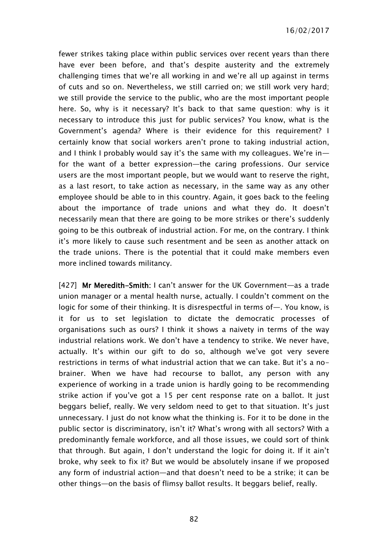fewer strikes taking place within public services over recent years than there have ever been before, and that's despite austerity and the extremely challenging times that we're all working in and we're all up against in terms of cuts and so on. Nevertheless, we still carried on; we still work very hard; we still provide the service to the public, who are the most important people here. So, why is it necessary? It's back to that same question: why is it necessary to introduce this just for public services? You know, what is the Government's agenda? Where is their evidence for this requirement? I certainly know that social workers aren't prone to taking industrial action, and I think I probably would say it's the same with my colleagues. We're in for the want of a better expression—the caring professions. Our service users are the most important people, but we would want to reserve the right, as a last resort, to take action as necessary, in the same way as any other employee should be able to in this country. Again, it goes back to the feeling about the importance of trade unions and what they do. It doesn't necessarily mean that there are going to be more strikes or there's suddenly going to be this outbreak of industrial action. For me, on the contrary. I think it's more likely to cause such resentment and be seen as another attack on the trade unions. There is the potential that it could make members even more inclined towards militancy.

[427] Mr Meredith-Smith: I can't answer for the UK Government—as a trade union manager or a mental health nurse, actually. I couldn't comment on the logic for some of their thinking. It is disrespectful in terms of—. You know, is it for us to set legislation to dictate the democratic processes of organisations such as ours? I think it shows a naivety in terms of the way industrial relations work. We don't have a tendency to strike. We never have, actually. It's within our gift to do so, although we've got very severe restrictions in terms of what industrial action that we can take. But it's a nobrainer. When we have had recourse to ballot, any person with any experience of working in a trade union is hardly going to be recommending strike action if you've got a 15 per cent response rate on a ballot. It just beggars belief, really. We very seldom need to get to that situation. It's just unnecessary. I just do not know what the thinking is. For it to be done in the public sector is discriminatory, isn't it? What's wrong with all sectors? With a predominantly female workforce, and all those issues, we could sort of think that through. But again, I don't understand the logic for doing it. If it ain't broke, why seek to fix it? But we would be absolutely insane if we proposed any form of industrial action—and that doesn't need to be a strike; it can be other things—on the basis of flimsy ballot results. It beggars belief, really.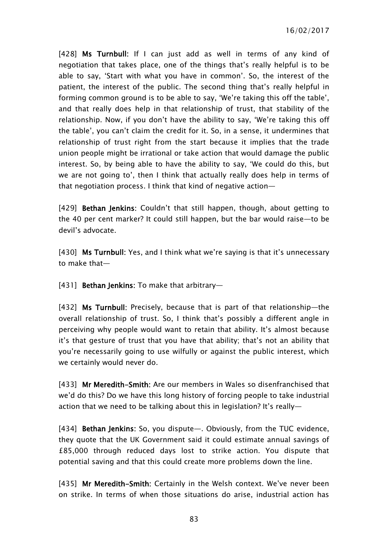16/02/2017

[428] Ms Turnbull: If I can just add as well in terms of any kind of negotiation that takes place, one of the things that's really helpful is to be able to say, 'Start with what you have in common'. So, the interest of the patient, the interest of the public. The second thing that's really helpful in forming common ground is to be able to say, 'We're taking this off the table', and that really does help in that relationship of trust, that stability of the relationship. Now, if you don't have the ability to say, 'We're taking this off the table', you can't claim the credit for it. So, in a sense, it undermines that relationship of trust right from the start because it implies that the trade union people might be irrational or take action that would damage the public interest. So, by being able to have the ability to say, 'We could do this, but we are not going to', then I think that actually really does help in terms of that negotiation process. I think that kind of negative action—

[429] Bethan Jenkins: Couldn't that still happen, though, about getting to the 40 per cent marker? It could still happen, but the bar would raise—to be devil's advocate.

[430] Ms Turnbull: Yes, and I think what we're saying is that it's unnecessary to make that—

[431] Bethan Jenkins: To make that arbitrary-

[432] Ms Turnbull: Precisely, because that is part of that relationship-the overall relationship of trust. So, I think that's possibly a different angle in perceiving why people would want to retain that ability. It's almost because it's that gesture of trust that you have that ability; that's not an ability that you're necessarily going to use wilfully or against the public interest, which we certainly would never do.

[433] Mr Meredith-Smith: Are our members in Wales so disenfranchised that we'd do this? Do we have this long history of forcing people to take industrial action that we need to be talking about this in legislation? It's really—

[434] Bethan Jenkins: So, you dispute—. Obviously, from the TUC evidence, they quote that the UK Government said it could estimate annual savings of £85,000 through reduced days lost to strike action. You dispute that potential saving and that this could create more problems down the line.

[435] Mr Meredith-Smith: Certainly in the Welsh context. We've never been on strike. In terms of when those situations do arise, industrial action has

83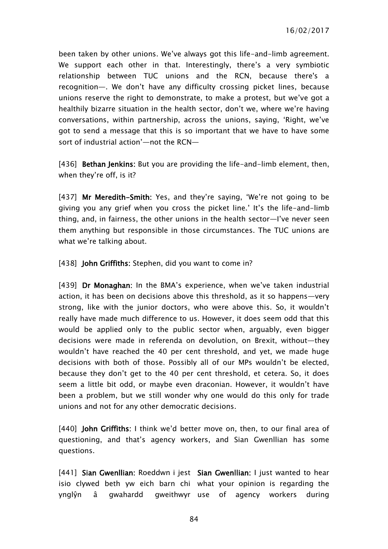been taken by other unions. We've always got this life-and-limb agreement. We support each other in that. Interestingly, there's a very symbiotic relationship between TUC unions and the RCN, because there's a recognition—. We don't have any difficulty crossing picket lines, because unions reserve the right to demonstrate, to make a protest, but we've got a healthily bizarre situation in the health sector, don't we, where we're having conversations, within partnership, across the unions, saying, 'Right, we've got to send a message that this is so important that we have to have some sort of industrial action'—not the RCN—

[436] **Bethan Jenkins:** But you are providing the life-and-limb element, then, when they're off, is it?

[437] Mr Meredith-Smith: Yes, and they're saying, 'We're not going to be giving you any grief when you cross the picket line.' It's the life-and-limb thing, and, in fairness, the other unions in the health sector—I've never seen them anything but responsible in those circumstances. The TUC unions are what we're talking about.

[438] **John Griffiths:** Stephen, did you want to come in?

[439] Dr Monaghan: In the BMA's experience, when we've taken industrial action, it has been on decisions above this threshold, as it so happens—very strong, like with the junior doctors, who were above this. So, it wouldn't really have made much difference to us. However, it does seem odd that this would be applied only to the public sector when, arguably, even bigger decisions were made in referenda on devolution, on Brexit, without—they wouldn't have reached the 40 per cent threshold, and yet, we made huge decisions with both of those. Possibly all of our MPs wouldn't be elected, because they don't get to the 40 per cent threshold, et cetera. So, it does seem a little bit odd, or maybe even draconian. However, it wouldn't have been a problem, but we still wonder why one would do this only for trade unions and not for any other democratic decisions.

[440] John Griffiths: I think we'd better move on, then, to our final area of questioning, and that's agency workers, and Sian Gwenllian has some questions.

[441] Sian Gwenllian: Roeddwn i jest Sian Gwenllian: I just wanted to hear isio clywed beth yw eich barn chi what your opinion is regarding the ynglŷn â gwahardd qweithwyr use of agency workers during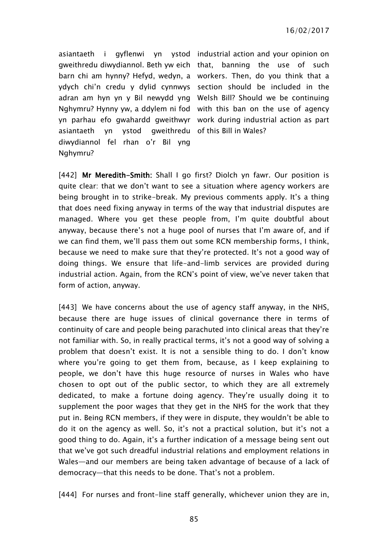16/02/2017

asiantaeth i gyflenwi yn ystod industrial action and your opinion on gweithredu diwydiannol. Beth yw eich that, banning the use of such barn chi am hynny? Hefyd, wedyn, a workers. Then, do you think that a ydych chi'n credu y dylid cynnwys section should be included in the adran am hyn yn y Bil newydd yng Welsh Bill? Should we be continuing Nghymru? Hynny yw, a ddylem ni fod with this ban on the use of agency yn parhau efo gwahardd gweithwyr work during industrial action as part asiantaeth yn ystod gweithredu of this Bill in Wales? diwydiannol fel rhan o'r Bil yng Nghymru?

[442] Mr Meredith-Smith: Shall I go first? Diolch yn fawr. Our position is quite clear: that we don't want to see a situation where agency workers are being brought in to strike-break. My previous comments apply. It's a thing that does need fixing anyway in terms of the way that industrial disputes are managed. Where you get these people from, I'm quite doubtful about anyway, because there's not a huge pool of nurses that I'm aware of, and if we can find them, we'll pass them out some RCN membership forms, I think, because we need to make sure that they're protected. It's not a good way of doing things. We ensure that life-and-limb services are provided during industrial action. Again, from the RCN's point of view, we've never taken that form of action, anyway.

[443] We have concerns about the use of agency staff anyway, in the NHS, because there are huge issues of clinical governance there in terms of continuity of care and people being parachuted into clinical areas that they're not familiar with. So, in really practical terms, it's not a good way of solving a problem that doesn't exist. It is not a sensible thing to do. I don't know where you're going to get them from, because, as I keep explaining to people, we don't have this huge resource of nurses in Wales who have chosen to opt out of the public sector, to which they are all extremely dedicated, to make a fortune doing agency. They're usually doing it to supplement the poor wages that they get in the NHS for the work that they put in. Being RCN members, if they were in dispute, they wouldn't be able to do it on the agency as well. So, it's not a practical solution, but it's not a good thing to do. Again, it's a further indication of a message being sent out that we've got such dreadful industrial relations and employment relations in Wales—and our members are being taken advantage of because of a lack of democracy—that this needs to be done. That's not a problem.

[444] For nurses and front-line staff generally, whichever union they are in,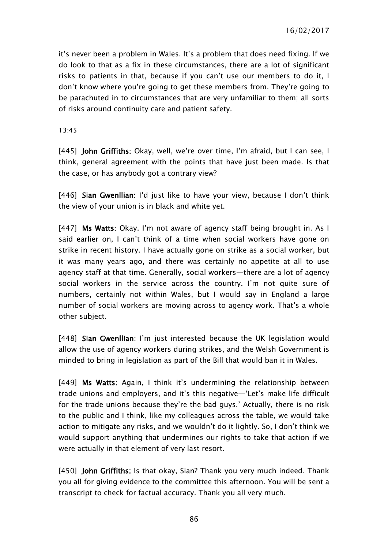it's never been a problem in Wales. It's a problem that does need fixing. If we do look to that as a fix in these circumstances, there are a lot of significant risks to patients in that, because if you can't use our members to do it, I don't know where you're going to get these members from. They're going to be parachuted in to circumstances that are very unfamiliar to them; all sorts of risks around continuity care and patient safety.

13:45

[445] John Griffiths: Okay, well, we're over time, I'm afraid, but I can see, I think, general agreement with the points that have just been made. Is that the case, or has anybody got a contrary view?

[446] Sian Gwenllian: I'd just like to have your view, because I don't think the view of your union is in black and white yet.

[447] Ms Watts: Okay. I'm not aware of agency staff being brought in. As I said earlier on, I can't think of a time when social workers have gone on strike in recent history. I have actually gone on strike as a social worker, but it was many years ago, and there was certainly no appetite at all to use agency staff at that time. Generally, social workers—there are a lot of agency social workers in the service across the country. I'm not quite sure of numbers, certainly not within Wales, but I would say in England a large number of social workers are moving across to agency work. That's a whole other subject.

[448] Sian Gwenllian: I'm just interested because the UK legislation would allow the use of agency workers during strikes, and the Welsh Government is minded to bring in legislation as part of the Bill that would ban it in Wales.

[449] Ms Watts: Again, I think it's undermining the relationship between trade unions and employers, and it's this negative—'Let's make life difficult for the trade unions because they're the bad guys.' Actually, there is no risk to the public and I think, like my colleagues across the table, we would take action to mitigate any risks, and we wouldn't do it lightly. So, I don't think we would support anything that undermines our rights to take that action if we were actually in that element of very last resort.

[450] **John Griffiths:** Is that okay, Sian? Thank you very much indeed. Thank you all for giving evidence to the committee this afternoon. You will be sent a transcript to check for factual accuracy. Thank you all very much.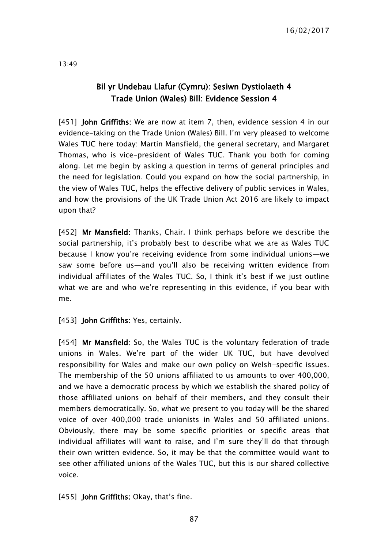# Bil yr Undebau Llafur (Cymru): Sesiwn Dystiolaeth 4 Trade Union (Wales) Bill: Evidence Session 4

[451] **John Griffiths:** We are now at item 7, then, evidence session 4 in our evidence-taking on the Trade Union (Wales) Bill. I'm very pleased to welcome Wales TUC here today: Martin Mansfield, the general secretary, and Margaret Thomas, who is vice-president of Wales TUC. Thank you both for coming along. Let me begin by asking a question in terms of general principles and the need for legislation. Could you expand on how the social partnership, in the view of Wales TUC, helps the effective delivery of public services in Wales, and how the provisions of the UK Trade Union Act 2016 are likely to impact upon that?

[452] Mr Mansfield: Thanks, Chair. I think perhaps before we describe the social partnership, it's probably best to describe what we are as Wales TUC because I know you're receiving evidence from some individual unions—we saw some before us—and you'll also be receiving written evidence from individual affiliates of the Wales TUC. So, I think it's best if we just outline what we are and who we're representing in this evidence, if you bear with me.

[453] **John Griffiths:** Yes, certainly.

[454] Mr Mansfield: So, the Wales TUC is the voluntary federation of trade unions in Wales. We're part of the wider UK TUC, but have devolved responsibility for Wales and make our own policy on Welsh-specific issues. The membership of the 50 unions affiliated to us amounts to over 400,000, and we have a democratic process by which we establish the shared policy of those affiliated unions on behalf of their members, and they consult their members democratically. So, what we present to you today will be the shared voice of over 400,000 trade unionists in Wales and 50 affiliated unions. Obviously, there may be some specific priorities or specific areas that individual affiliates will want to raise, and I'm sure they'll do that through their own written evidence. So, it may be that the committee would want to see other affiliated unions of the Wales TUC, but this is our shared collective voice.

[455] **John Griffiths:** Okay, that's fine.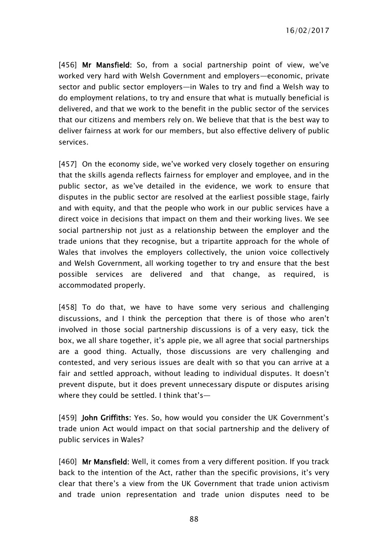16/02/2017

[456] Mr Mansfield: So, from a social partnership point of view, we've worked very hard with Welsh Government and employers—economic, private sector and public sector employers—in Wales to try and find a Welsh way to do employment relations, to try and ensure that what is mutually beneficial is delivered, and that we work to the benefit in the public sector of the services that our citizens and members rely on. We believe that that is the best way to deliver fairness at work for our members, but also effective delivery of public services.

[457] On the economy side, we've worked very closely together on ensuring that the skills agenda reflects fairness for employer and employee, and in the public sector, as we've detailed in the evidence, we work to ensure that disputes in the public sector are resolved at the earliest possible stage, fairly and with equity, and that the people who work in our public services have a direct voice in decisions that impact on them and their working lives. We see social partnership not just as a relationship between the employer and the trade unions that they recognise, but a tripartite approach for the whole of Wales that involves the employers collectively, the union voice collectively and Welsh Government, all working together to try and ensure that the best possible services are delivered and that change, as required, is accommodated properly.

[458] To do that, we have to have some very serious and challenging discussions, and I think the perception that there is of those who aren't involved in those social partnership discussions is of a very easy, tick the box, we all share together, it's apple pie, we all agree that social partnerships are a good thing. Actually, those discussions are very challenging and contested, and very serious issues are dealt with so that you can arrive at a fair and settled approach, without leading to individual disputes. It doesn't prevent dispute, but it does prevent unnecessary dispute or disputes arising where they could be settled. I think that's—

[459] **John Griffiths:** Yes. So, how would you consider the UK Government's trade union Act would impact on that social partnership and the delivery of public services in Wales?

[460] Mr Mansfield: Well, it comes from a very different position. If you track back to the intention of the Act, rather than the specific provisions, it's very clear that there's a view from the UK Government that trade union activism and trade union representation and trade union disputes need to be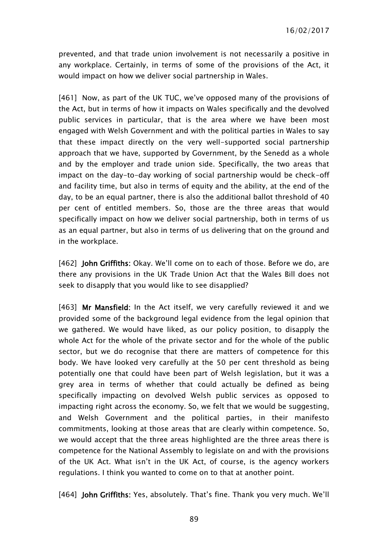prevented, and that trade union involvement is not necessarily a positive in any workplace. Certainly, in terms of some of the provisions of the Act, it would impact on how we deliver social partnership in Wales.

[461] Now, as part of the UK TUC, we've opposed many of the provisions of the Act, but in terms of how it impacts on Wales specifically and the devolved public services in particular, that is the area where we have been most engaged with Welsh Government and with the political parties in Wales to say that these impact directly on the very well-supported social partnership approach that we have, supported by Government, by the Senedd as a whole and by the employer and trade union side. Specifically, the two areas that impact on the day-to-day working of social partnership would be check-off and facility time, but also in terms of equity and the ability, at the end of the day, to be an equal partner, there is also the additional ballot threshold of 40 per cent of entitled members. So, those are the three areas that would specifically impact on how we deliver social partnership, both in terms of us as an equal partner, but also in terms of us delivering that on the ground and in the workplace.

[462] **John Griffiths:** Okay. We'll come on to each of those. Before we do, are there any provisions in the UK Trade Union Act that the Wales Bill does not seek to disapply that you would like to see disapplied?

[463] Mr Mansfield: In the Act itself, we very carefully reviewed it and we provided some of the background legal evidence from the legal opinion that we gathered. We would have liked, as our policy position, to disapply the whole Act for the whole of the private sector and for the whole of the public sector, but we do recognise that there are matters of competence for this body. We have looked very carefully at the 50 per cent threshold as being potentially one that could have been part of Welsh legislation, but it was a grey area in terms of whether that could actually be defined as being specifically impacting on devolved Welsh public services as opposed to impacting right across the economy. So, we felt that we would be suggesting, and Welsh Government and the political parties, in their manifesto commitments, looking at those areas that are clearly within competence. So, we would accept that the three areas highlighted are the three areas there is competence for the National Assembly to legislate on and with the provisions of the UK Act. What isn't in the UK Act, of course, is the agency workers regulations. I think you wanted to come on to that at another point.

[464] **John Griffiths:** Yes, absolutely. That's fine. Thank you very much. We'll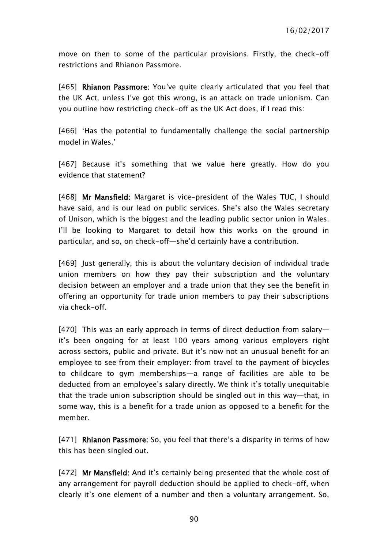move on then to some of the particular provisions. Firstly, the check-off restrictions and Rhianon Passmore.

[465] Rhianon Passmore: You've quite clearly articulated that you feel that the UK Act, unless I've got this wrong, is an attack on trade unionism. Can you outline how restricting check-off as the UK Act does, if I read this:

[466] 'Has the potential to fundamentally challenge the social partnership model in Wales.'

[467] Because it's something that we value here greatly. How do you evidence that statement?

[468] Mr Mansfield: Margaret is vice-president of the Wales TUC, I should have said, and is our lead on public services. She's also the Wales secretary of Unison, which is the biggest and the leading public sector union in Wales. I'll be looking to Margaret to detail how this works on the ground in particular, and so, on check-off—she'd certainly have a contribution.

[469] Just generally, this is about the voluntary decision of individual trade union members on how they pay their subscription and the voluntary decision between an employer and a trade union that they see the benefit in offering an opportunity for trade union members to pay their subscriptions via check-off.

[470] This was an early approach in terms of direct deduction from salary it's been ongoing for at least 100 years among various employers right across sectors, public and private. But it's now not an unusual benefit for an employee to see from their employer: from travel to the payment of bicycles to childcare to gym memberships—a range of facilities are able to be deducted from an employee's salary directly. We think it's totally unequitable that the trade union subscription should be singled out in this way—that, in some way, this is a benefit for a trade union as opposed to a benefit for the member.

[471] Rhianon Passmore: So, you feel that there's a disparity in terms of how this has been singled out.

[472] Mr Mansfield: And it's certainly being presented that the whole cost of any arrangement for payroll deduction should be applied to check-off, when clearly it's one element of a number and then a voluntary arrangement. So,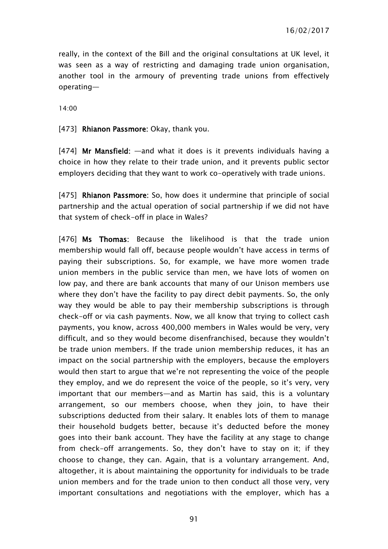really, in the context of the Bill and the original consultations at UK level, it was seen as a way of restricting and damaging trade union organisation, another tool in the armoury of preventing trade unions from effectively operating—

14:00

[473] Rhianon Passmore: Okay, thank you.

[474] Mr Mansfield:  $-$ and what it does is it prevents individuals having a choice in how they relate to their trade union, and it prevents public sector employers deciding that they want to work co-operatively with trade unions.

[475] Rhianon Passmore: So, how does it undermine that principle of social partnership and the actual operation of social partnership if we did not have that system of check-off in place in Wales?

[476] Ms Thomas: Because the likelihood is that the trade union membership would fall off, because people wouldn't have access in terms of paying their subscriptions. So, for example, we have more women trade union members in the public service than men, we have lots of women on low pay, and there are bank accounts that many of our Unison members use where they don't have the facility to pay direct debit payments. So, the only way they would be able to pay their membership subscriptions is through check-off or via cash payments. Now, we all know that trying to collect cash payments, you know, across 400,000 members in Wales would be very, very difficult, and so they would become disenfranchised, because they wouldn't be trade union members. If the trade union membership reduces, it has an impact on the social partnership with the employers, because the employers would then start to argue that we're not representing the voice of the people they employ, and we do represent the voice of the people, so it's very, very important that our members—and as Martin has said, this is a voluntary arrangement, so our members choose, when they join, to have their subscriptions deducted from their salary. It enables lots of them to manage their household budgets better, because it's deducted before the money goes into their bank account. They have the facility at any stage to change from check-off arrangements. So, they don't have to stay on it; if they choose to change, they can. Again, that is a voluntary arrangement. And, altogether, it is about maintaining the opportunity for individuals to be trade union members and for the trade union to then conduct all those very, very important consultations and negotiations with the employer, which has a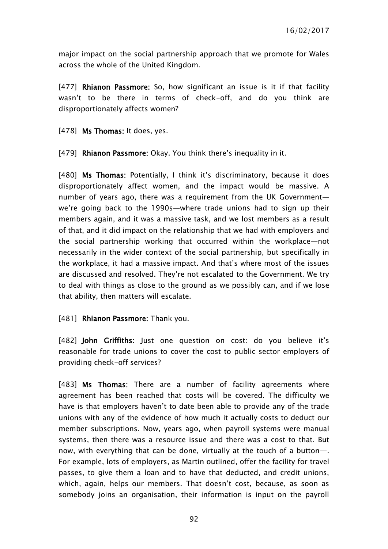major impact on the social partnership approach that we promote for Wales across the whole of the United Kingdom.

[477] Rhianon Passmore: So, how significant an issue is it if that facility wasn't to be there in terms of check-off, and do you think are disproportionately affects women?

[478] Ms Thomas: It does, yes.

[479] Rhianon Passmore: Okay. You think there's inequality in it.

[480] Ms Thomas: Potentially, I think it's discriminatory, because it does disproportionately affect women, and the impact would be massive. A number of years ago, there was a requirement from the UK Government we're going back to the 1990s—where trade unions had to sign up their members again, and it was a massive task, and we lost members as a result of that, and it did impact on the relationship that we had with employers and the social partnership working that occurred within the workplace—not necessarily in the wider context of the social partnership, but specifically in the workplace, it had a massive impact. And that's where most of the issues are discussed and resolved. They're not escalated to the Government. We try to deal with things as close to the ground as we possibly can, and if we lose that ability, then matters will escalate.

#### [481] Rhianon Passmore: Thank you.

[482] John Griffiths: Just one question on cost: do you believe it's reasonable for trade unions to cover the cost to public sector employers of providing check-off services?

[483] Ms Thomas: There are a number of facility agreements where agreement has been reached that costs will be covered. The difficulty we have is that employers haven't to date been able to provide any of the trade unions with any of the evidence of how much it actually costs to deduct our member subscriptions. Now, years ago, when payroll systems were manual systems, then there was a resource issue and there was a cost to that. But now, with everything that can be done, virtually at the touch of a button—. For example, lots of employers, as Martin outlined, offer the facility for travel passes, to give them a loan and to have that deducted, and credit unions, which, again, helps our members. That doesn't cost, because, as soon as somebody joins an organisation, their information is input on the payroll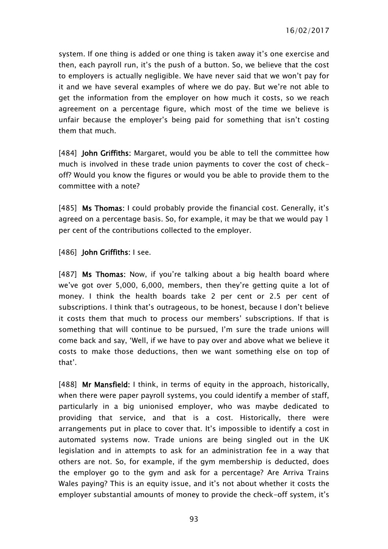system. If one thing is added or one thing is taken away it's one exercise and then, each payroll run, it's the push of a button. So, we believe that the cost to employers is actually negligible. We have never said that we won't pay for it and we have several examples of where we do pay. But we're not able to get the information from the employer on how much it costs, so we reach agreement on a percentage figure, which most of the time we believe is unfair because the employer's being paid for something that isn't costing them that much.

[484] **John Griffiths:** Margaret, would you be able to tell the committee how much is involved in these trade union payments to cover the cost of checkoff? Would you know the figures or would you be able to provide them to the committee with a note?

[485] Ms Thomas: I could probably provide the financial cost. Generally, it's agreed on a percentage basis. So, for example, it may be that we would pay 1 per cent of the contributions collected to the employer.

[486] John Griffiths: I see.

[487] Ms Thomas: Now, if you're talking about a big health board where we've got over 5,000, 6,000, members, then they're getting quite a lot of money. I think the health boards take 2 per cent or 2.5 per cent of subscriptions. I think that's outrageous, to be honest, because I don't believe it costs them that much to process our members' subscriptions. If that is something that will continue to be pursued, I'm sure the trade unions will come back and say, 'Well, if we have to pay over and above what we believe it costs to make those deductions, then we want something else on top of that'.

[488] Mr Mansfield: I think, in terms of equity in the approach, historically, when there were paper payroll systems, you could identify a member of staff, particularly in a big unionised employer, who was maybe dedicated to providing that service, and that is a cost. Historically, there were arrangements put in place to cover that. It's impossible to identify a cost in automated systems now. Trade unions are being singled out in the UK legislation and in attempts to ask for an administration fee in a way that others are not. So, for example, if the gym membership is deducted, does the employer go to the gym and ask for a percentage? Are Arriva Trains Wales paying? This is an equity issue, and it's not about whether it costs the employer substantial amounts of money to provide the check-off system, it's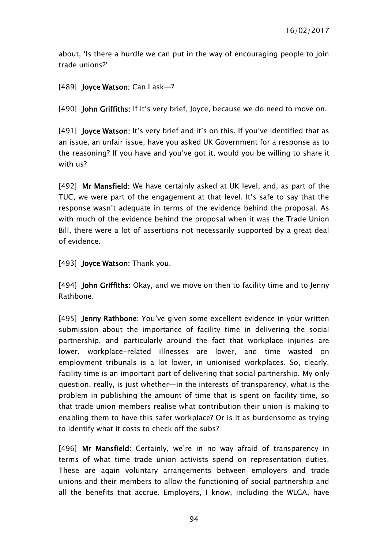about, 'Is there a hurdle we can put in the way of encouraging people to join trade unions?'

[489] **Joyce Watson:** Can I ask-?

[490] John Griffiths: If it's very brief, Joyce, because we do need to move on.

[491] **Joyce Watson:** It's very brief and it's on this. If you've identified that as an issue, an unfair issue, have you asked UK Government for a response as to the reasoning? If you have and you've got it, would you be willing to share it with us?

[492] Mr Mansfield: We have certainly asked at UK level, and, as part of the TUC, we were part of the engagement at that level. It's safe to say that the response wasn't adequate in terms of the evidence behind the proposal. As with much of the evidence behind the proposal when it was the Trade Union Bill, there were a lot of assertions not necessarily supported by a great deal of evidence.

[493] **Joyce Watson:** Thank you.

[494] **John Griffiths:** Okay, and we move on then to facility time and to Jenny Rathbone.

[495] Jenny Rathbone: You've given some excellent evidence in your written submission about the importance of facility time in delivering the social partnership, and particularly around the fact that workplace injuries are lower, workplace-related illnesses are lower, and time wasted on employment tribunals is a lot lower, in unionised workplaces. So, clearly, facility time is an important part of delivering that social partnership. My only question, really, is just whether—in the interests of transparency, what is the problem in publishing the amount of time that is spent on facility time, so that trade union members realise what contribution their union is making to enabling them to have this safer workplace? Or is it as burdensome as trying to identify what it costs to check off the subs?

[496] Mr Mansfield: Certainly, we're in no way afraid of transparency in terms of what time trade union activists spend on representation duties. These are again voluntary arrangements between employers and trade unions and their members to allow the functioning of social partnership and all the benefits that accrue. Employers, I know, including the WLGA, have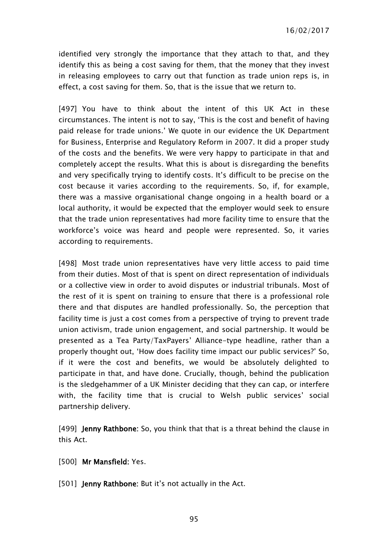identified very strongly the importance that they attach to that, and they identify this as being a cost saving for them, that the money that they invest in releasing employees to carry out that function as trade union reps is, in effect, a cost saving for them. So, that is the issue that we return to.

[497] You have to think about the intent of this UK Act in these circumstances. The intent is not to say, 'This is the cost and benefit of having paid release for trade unions.' We quote in our evidence the UK Department for Business, Enterprise and Regulatory Reform in 2007. It did a proper study of the costs and the benefits. We were very happy to participate in that and completely accept the results. What this is about is disregarding the benefits and very specifically trying to identify costs. It's difficult to be precise on the cost because it varies according to the requirements. So, if, for example, there was a massive organisational change ongoing in a health board or a local authority, it would be expected that the employer would seek to ensure that the trade union representatives had more facility time to ensure that the workforce's voice was heard and people were represented. So, it varies according to requirements.

[498] Most trade union representatives have very little access to paid time from their duties. Most of that is spent on direct representation of individuals or a collective view in order to avoid disputes or industrial tribunals. Most of the rest of it is spent on training to ensure that there is a professional role there and that disputes are handled professionally. So, the perception that facility time is just a cost comes from a perspective of trying to prevent trade union activism, trade union engagement, and social partnership. It would be presented as a Tea Party/TaxPayers' Alliance-type headline, rather than a properly thought out, 'How does facility time impact our public services?' So, if it were the cost and benefits, we would be absolutely delighted to participate in that, and have done. Crucially, though, behind the publication is the sledgehammer of a UK Minister deciding that they can cap, or interfere with, the facility time that is crucial to Welsh public services' social partnership delivery.

[499] **Jenny Rathbone:** So, you think that that is a threat behind the clause in this Act.

- [500] Mr Mansfield: Yes.
- [501] **Jenny Rathbone:** But it's not actually in the Act.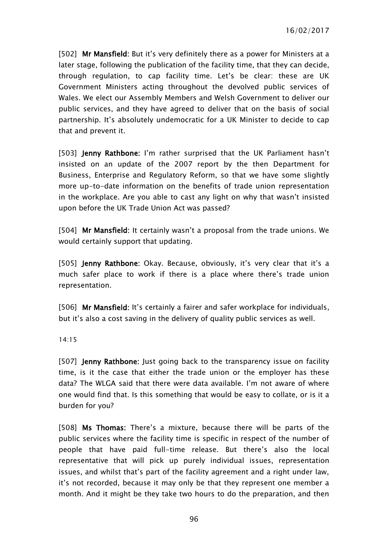[502] Mr Mansfield: But it's very definitely there as a power for Ministers at a later stage, following the publication of the facility time, that they can decide, through regulation, to cap facility time. Let's be clear: these are UK Government Ministers acting throughout the devolved public services of Wales. We elect our Assembly Members and Welsh Government to deliver our public services, and they have agreed to deliver that on the basis of social partnership. It's absolutely undemocratic for a UK Minister to decide to cap that and prevent it.

[503] **Jenny Rathbone:** I'm rather surprised that the UK Parliament hasn't insisted on an update of the 2007 report by the then Department for Business, Enterprise and Regulatory Reform, so that we have some slightly more up-to-date information on the benefits of trade union representation in the workplace. Are you able to cast any light on why that wasn't insisted upon before the UK Trade Union Act was passed?

[504] Mr Mansfield: It certainly wasn't a proposal from the trade unions. We would certainly support that updating.

[505] **Jenny Rathbone:** Okay. Because, obviously, it's very clear that it's a much safer place to work if there is a place where there's trade union representation.

[506] Mr Mansfield: It's certainly a fairer and safer workplace for individuals, but it's also a cost saving in the delivery of quality public services as well.

14:15

[507] **Jenny Rathbone:** Just going back to the transparency issue on facility time, is it the case that either the trade union or the employer has these data? The WLGA said that there were data available. I'm not aware of where one would find that. Is this something that would be easy to collate, or is it a burden for you?

[508] Ms Thomas: There's a mixture, because there will be parts of the public services where the facility time is specific in respect of the number of people that have paid full-time release. But there's also the local representative that will pick up purely individual issues, representation issues, and whilst that's part of the facility agreement and a right under law, it's not recorded, because it may only be that they represent one member a month. And it might be they take two hours to do the preparation, and then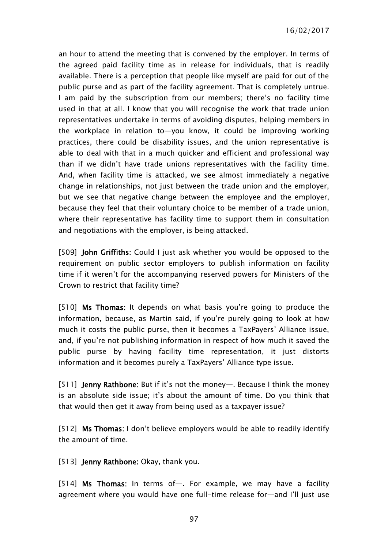16/02/2017

an hour to attend the meeting that is convened by the employer. In terms of the agreed paid facility time as in release for individuals, that is readily available. There is a perception that people like myself are paid for out of the public purse and as part of the facility agreement. That is completely untrue. I am paid by the subscription from our members; there's no facility time used in that at all. I know that you will recognise the work that trade union representatives undertake in terms of avoiding disputes, helping members in the workplace in relation to—you know, it could be improving working practices, there could be disability issues, and the union representative is able to deal with that in a much quicker and efficient and professional way than if we didn't have trade unions representatives with the facility time. And, when facility time is attacked, we see almost immediately a negative change in relationships, not just between the trade union and the employer, but we see that negative change between the employee and the employer, because they feel that their voluntary choice to be member of a trade union, where their representative has facility time to support them in consultation and negotiations with the employer, is being attacked.

[509] John Griffiths: Could I just ask whether you would be opposed to the requirement on public sector employers to publish information on facility time if it weren't for the accompanying reserved powers for Ministers of the Crown to restrict that facility time?

[510] Ms Thomas: It depends on what basis you're going to produce the information, because, as Martin said, if you're purely going to look at how much it costs the public purse, then it becomes a TaxPayers' Alliance issue, and, if you're not publishing information in respect of how much it saved the public purse by having facility time representation, it just distorts information and it becomes purely a TaxPayers' Alliance type issue.

[511] **Jenny Rathbone:** But if it's not the money—. Because I think the money is an absolute side issue; it's about the amount of time. Do you think that that would then get it away from being used as a taxpayer issue?

[512] Ms Thomas: I don't believe employers would be able to readily identify the amount of time.

[513] **Jenny Rathbone:** Okay, thank you.

[514] Ms Thomas: In terms of—. For example, we may have a facility agreement where you would have one full-time release for—and I'll just use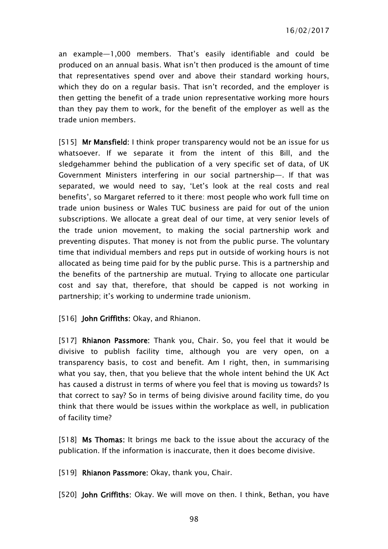an example—1,000 members. That's easily identifiable and could be produced on an annual basis. What isn't then produced is the amount of time that representatives spend over and above their standard working hours, which they do on a regular basis. That isn't recorded, and the employer is then getting the benefit of a trade union representative working more hours than they pay them to work, for the benefit of the employer as well as the trade union members.

[515] Mr Mansfield: I think proper transparency would not be an issue for us whatsoever. If we separate it from the intent of this Bill, and the sledgehammer behind the publication of a very specific set of data, of UK Government Ministers interfering in our social partnership—. If that was separated, we would need to say, 'Let's look at the real costs and real benefits', so Margaret referred to it there: most people who work full time on trade union business or Wales TUC business are paid for out of the union subscriptions. We allocate a great deal of our time, at very senior levels of the trade union movement, to making the social partnership work and preventing disputes. That money is not from the public purse. The voluntary time that individual members and reps put in outside of working hours is not allocated as being time paid for by the public purse. This is a partnership and the benefits of the partnership are mutual. Trying to allocate one particular cost and say that, therefore, that should be capped is not working in partnership; it's working to undermine trade unionism.

[516] **John Griffiths:** Okay, and Rhianon.

[517] Rhianon Passmore: Thank you, Chair. So, you feel that it would be divisive to publish facility time, although you are very open, on a transparency basis, to cost and benefit. Am I right, then, in summarising what you say, then, that you believe that the whole intent behind the UK Act has caused a distrust in terms of where you feel that is moving us towards? Is that correct to say? So in terms of being divisive around facility time, do you think that there would be issues within the workplace as well, in publication of facility time?

[518] Ms Thomas: It brings me back to the issue about the accuracy of the publication. If the information is inaccurate, then it does become divisive.

[519] Rhianon Passmore: Okay, thank you, Chair.

[520] **John Griffiths**: Okay. We will move on then. I think, Bethan, you have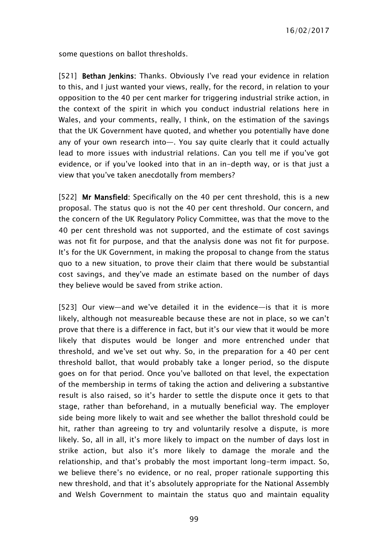some questions on ballot thresholds.

[521] Bethan Jenkins: Thanks. Obviously I've read your evidence in relation to this, and I just wanted your views, really, for the record, in relation to your opposition to the 40 per cent marker for triggering industrial strike action, in the context of the spirit in which you conduct industrial relations here in Wales, and your comments, really, I think, on the estimation of the savings that the UK Government have quoted, and whether you potentially have done any of your own research into—. You say quite clearly that it could actually lead to more issues with industrial relations. Can you tell me if you've got evidence, or if you've looked into that in an in-depth way, or is that just a view that you've taken anecdotally from members?

[522] Mr Mansfield: Specifically on the 40 per cent threshold, this is a new proposal. The status quo is not the 40 per cent threshold. Our concern, and the concern of the UK Regulatory Policy Committee, was that the move to the 40 per cent threshold was not supported, and the estimate of cost savings was not fit for purpose, and that the analysis done was not fit for purpose. It's for the UK Government, in making the proposal to change from the status quo to a new situation, to prove their claim that there would be substantial cost savings, and they've made an estimate based on the number of days they believe would be saved from strike action.

[523] Our view—and we've detailed it in the evidence—is that it is more likely, although not measureable because these are not in place, so we can't prove that there is a difference in fact, but it's our view that it would be more likely that disputes would be longer and more entrenched under that threshold, and we've set out why. So, in the preparation for a 40 per cent threshold ballot, that would probably take a longer period, so the dispute goes on for that period. Once you've balloted on that level, the expectation of the membership in terms of taking the action and delivering a substantive result is also raised, so it's harder to settle the dispute once it gets to that stage, rather than beforehand, in a mutually beneficial way. The employer side being more likely to wait and see whether the ballot threshold could be hit, rather than agreeing to try and voluntarily resolve a dispute, is more likely. So, all in all, it's more likely to impact on the number of days lost in strike action, but also it's more likely to damage the morale and the relationship, and that's probably the most important long-term impact. So, we believe there's no evidence, or no real, proper rationale supporting this new threshold, and that it's absolutely appropriate for the National Assembly and Welsh Government to maintain the status quo and maintain equality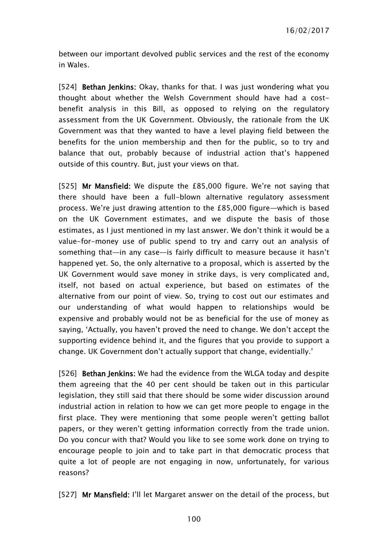between our important devolved public services and the rest of the economy in Wales.

[524] Bethan Jenkins: Okay, thanks for that. I was just wondering what you thought about whether the Welsh Government should have had a costbenefit analysis in this Bill, as opposed to relying on the regulatory assessment from the UK Government. Obviously, the rationale from the UK Government was that they wanted to have a level playing field between the benefits for the union membership and then for the public, so to try and balance that out, probably because of industrial action that's happened outside of this country. But, just your views on that.

[525] Mr Mansfield: We dispute the £85,000 figure. We're not saying that there should have been a full-blown alternative regulatory assessment process. We're just drawing attention to the £85,000 figure—which is based on the UK Government estimates, and we dispute the basis of those estimates, as I just mentioned in my last answer. We don't think it would be a value-for-money use of public spend to try and carry out an analysis of something that—in any case—is fairly difficult to measure because it hasn't happened yet. So, the only alternative to a proposal, which is asserted by the UK Government would save money in strike days, is very complicated and, itself, not based on actual experience, but based on estimates of the alternative from our point of view. So, trying to cost out our estimates and our understanding of what would happen to relationships would be expensive and probably would not be as beneficial for the use of money as saying, 'Actually, you haven't proved the need to change. We don't accept the supporting evidence behind it, and the figures that you provide to support a change. UK Government don't actually support that change, evidentially.'

[526] **Bethan Jenkins:** We had the evidence from the WLGA today and despite them agreeing that the 40 per cent should be taken out in this particular legislation, they still said that there should be some wider discussion around industrial action in relation to how we can get more people to engage in the first place. They were mentioning that some people weren't getting ballot papers, or they weren't getting information correctly from the trade union. Do you concur with that? Would you like to see some work done on trying to encourage people to join and to take part in that democratic process that quite a lot of people are not engaging in now, unfortunately, for various reasons?

[527] Mr Mansfield: I'll let Margaret answer on the detail of the process, but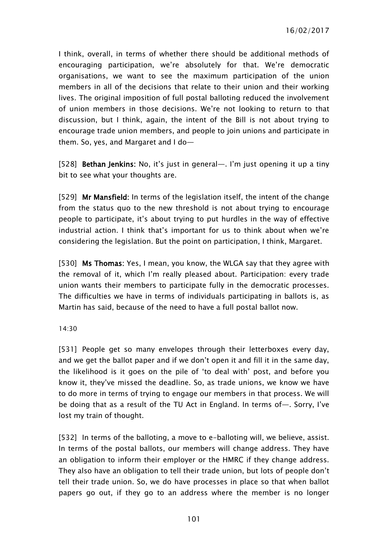I think, overall, in terms of whether there should be additional methods of encouraging participation, we're absolutely for that. We're democratic organisations, we want to see the maximum participation of the union members in all of the decisions that relate to their union and their working lives. The original imposition of full postal balloting reduced the involvement of union members in those decisions. We're not looking to return to that discussion, but I think, again, the intent of the Bill is not about trying to encourage trade union members, and people to join unions and participate in them. So, yes, and Margaret and I do—

[528] Bethan Jenkins: No, it's just in general—. I'm just opening it up a tiny bit to see what your thoughts are.

[529] Mr Mansfield: In terms of the legislation itself, the intent of the change from the status quo to the new threshold is not about trying to encourage people to participate, it's about trying to put hurdles in the way of effective industrial action. I think that's important for us to think about when we're considering the legislation. But the point on participation, I think, Margaret.

[530] Ms Thomas: Yes, I mean, you know, the WLGA say that they agree with the removal of it, which I'm really pleased about. Participation: every trade union wants their members to participate fully in the democratic processes. The difficulties we have in terms of individuals participating in ballots is, as Martin has said, because of the need to have a full postal ballot now.

#### 14:30

[531] People get so many envelopes through their letterboxes every day, and we get the ballot paper and if we don't open it and fill it in the same day, the likelihood is it goes on the pile of 'to deal with' post, and before you know it, they've missed the deadline. So, as trade unions, we know we have to do more in terms of trying to engage our members in that process. We will be doing that as a result of the TU Act in England. In terms of—. Sorry, I've lost my train of thought.

[532] In terms of the balloting, a move to e-balloting will, we believe, assist. In terms of the postal ballots, our members will change address. They have an obligation to inform their employer or the HMRC if they change address. They also have an obligation to tell their trade union, but lots of people don't tell their trade union. So, we do have processes in place so that when ballot papers go out, if they go to an address where the member is no longer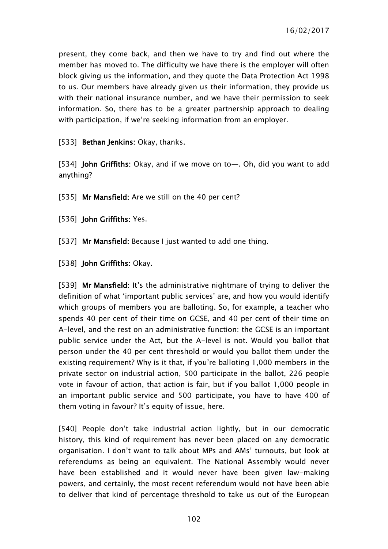present, they come back, and then we have to try and find out where the member has moved to. The difficulty we have there is the employer will often block giving us the information, and they quote the Data Protection Act 1998 to us. Our members have already given us their information, they provide us with their national insurance number, and we have their permission to seek information. So, there has to be a greater partnership approach to dealing with participation, if we're seeking information from an employer.

[533] **Bethan Jenkins:** Okay, thanks.

[534] John Griffiths: Okay, and if we move on to—. Oh, did you want to add anything?

[535] Mr Mansfield: Are we still on the 40 per cent?

[536] **John Griffiths: Yes.** 

[537] Mr Mansfield: Because I just wanted to add one thing.

[538] **John Griffiths: Okay.** 

[539] Mr Mansfield: It's the administrative nightmare of trying to deliver the definition of what 'important public services' are, and how you would identify which groups of members you are balloting. So, for example, a teacher who spends 40 per cent of their time on GCSE, and 40 per cent of their time on A-level, and the rest on an administrative function: the GCSE is an important public service under the Act, but the A-level is not. Would you ballot that person under the 40 per cent threshold or would you ballot them under the existing requirement? Why is it that, if you're balloting 1,000 members in the private sector on industrial action, 500 participate in the ballot, 226 people vote in favour of action, that action is fair, but if you ballot 1,000 people in an important public service and 500 participate, you have to have 400 of them voting in favour? It's equity of issue, here.

[540] People don't take industrial action lightly, but in our democratic history, this kind of requirement has never been placed on any democratic organisation. I don't want to talk about MPs and AMs' turnouts, but look at referendums as being an equivalent. The National Assembly would never have been established and it would never have been given law-making powers, and certainly, the most recent referendum would not have been able to deliver that kind of percentage threshold to take us out of the European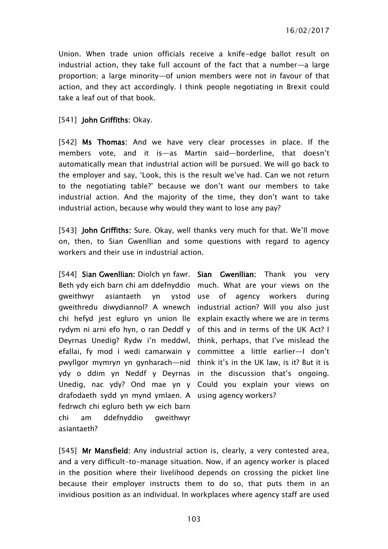Union. When trade union officials receive a knife-edge ballot result on industrial action, they take full account of the fact that a number—a large proportion; a large minority—of union members were not in favour of that action, and they act accordingly. I think people negotiating in Brexit could take a leaf out of that book.

#### [541] **John Griffiths: Okay.**

[542] Ms Thomas: And we have very clear processes in place. If the members vote, and it is—as Martin said—borderline, that doesn't automatically mean that industrial action will be pursued. We will go back to the employer and say, 'Look, this is the result we've had. Can we not return to the negotiating table?' because we don't want our members to take industrial action. And the majority of the time, they don't want to take industrial action, because why would they want to lose any pay?

[543] **John Griffiths:** Sure. Okay, well thanks very much for that. We'll move on, then, to Sian Gwenllian and some questions with regard to agency workers and their use in industrial action.

[544] Sian Gwenllian: Diolch yn fawr. Sian Gwenllian: Thank you very Beth ydy eich barn chi am ddefnyddio much. What are your views on the gweithwyr asiantaeth yn gweithredu diwydiannol? A wnewch industrial action? Will you also just chi hefyd jest egluro yn union lle explain exactly where we are in terms rydym ni arni efo hyn, o ran Deddf y of this and in terms of the UK Act? I Deyrnas Unedig? Rydw i'n meddwl, think, perhaps, that I've mislead the efallai, fy mod i wedi camarwain y committee a little earlier—I don't pwyllgor mymryn yn gynharach—nid think it's in the UK law, is it? But it is ydy o ddim yn Neddf y Deyrnas in the discussion that's ongoing. Unedig, nac ydy? Ond mae yn y Could you explain your views on drafodaeth sydd yn mynd ymlaen. A using agency workers? fedrwch chi egluro beth yw eich barn chi am ddefnyddio gweithwyr asiantaeth?

ystod use of agency workers during

[545] Mr Mansfield: Any industrial action is, clearly, a very contested area, and a very difficult-to-manage situation. Now, if an agency worker is placed in the position where their livelihood depends on crossing the picket line because their employer instructs them to do so, that puts them in an invidious position as an individual. In workplaces where agency staff are used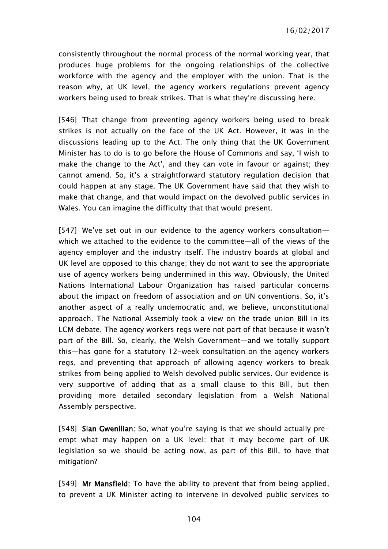consistently throughout the normal process of the normal working year, that produces huge problems for the ongoing relationships of the collective workforce with the agency and the employer with the union. That is the reason why, at UK level, the agency workers regulations prevent agency workers being used to break strikes. That is what they're discussing here.

[546] That change from preventing agency workers being used to break strikes is not actually on the face of the UK Act. However, it was in the discussions leading up to the Act. The only thing that the UK Government Minister has to do is to go before the House of Commons and say, 'I wish to make the change to the Act', and they can vote in favour or against; they cannot amend. So, it's a straightforward statutory regulation decision that could happen at any stage. The UK Government have said that they wish to make that change, and that would impact on the devolved public services in Wales. You can imagine the difficulty that that would present.

[547] We've set out in our evidence to the agency workers consultation which we attached to the evidence to the committee—all of the views of the agency employer and the industry itself. The industry boards at global and UK level are opposed to this change; they do not want to see the appropriate use of agency workers being undermined in this way. Obviously, the United Nations International Labour Organization has raised particular concerns about the impact on freedom of association and on UN conventions. So, it's another aspect of a really undemocratic and, we believe, unconstitutional approach. The National Assembly took a view on the trade union Bill in its LCM debate. The agency workers regs were not part of that because it wasn't part of the Bill. So, clearly, the Welsh Government—and we totally support this—has gone for a statutory 12-week consultation on the agency workers regs, and preventing that approach of allowing agency workers to break strikes from being applied to Welsh devolved public services. Our evidence is very supportive of adding that as a small clause to this Bill, but then providing more detailed secondary legislation from a Welsh National Assembly perspective.

[548] Sian Gwenllian: So, what you're saying is that we should actually preempt what may happen on a UK level: that it may become part of UK legislation so we should be acting now, as part of this Bill, to have that mitigation?

[549] Mr Mansfield: To have the ability to prevent that from being applied, to prevent a UK Minister acting to intervene in devolved public services to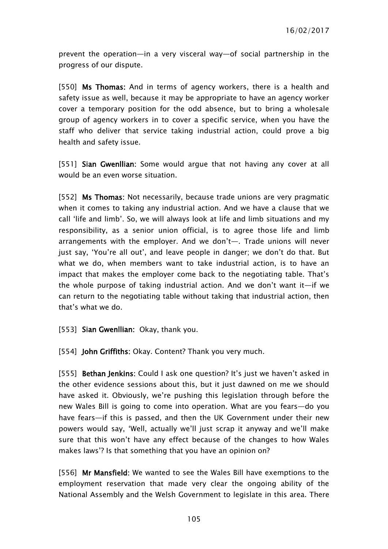prevent the operation—in a very visceral way—of social partnership in the progress of our dispute.

[550] Ms Thomas: And in terms of agency workers, there is a health and safety issue as well, because it may be appropriate to have an agency worker cover a temporary position for the odd absence, but to bring a wholesale group of agency workers in to cover a specific service, when you have the staff who deliver that service taking industrial action, could prove a big health and safety issue.

[551] **Sian Gwenllian:** Some would argue that not having any cover at all would be an even worse situation.

[552] Ms Thomas: Not necessarily, because trade unions are very pragmatic when it comes to taking any industrial action. And we have a clause that we call 'life and limb'. So, we will always look at life and limb situations and my responsibility, as a senior union official, is to agree those life and limb arrangements with the employer. And we don't—. Trade unions will never just say, 'You're all out', and leave people in danger; we don't do that. But what we do, when members want to take industrial action, is to have an impact that makes the employer come back to the negotiating table. That's the whole purpose of taking industrial action. And we don't want it—if we can return to the negotiating table without taking that industrial action, then that's what we do.

[553] **Sian Gwenllian:** Okay, thank you.

[554] John Griffiths: Okay. Content? Thank you very much.

[555] Bethan Jenkins: Could I ask one question? It's just we haven't asked in the other evidence sessions about this, but it just dawned on me we should have asked it. Obviously, we're pushing this legislation through before the new Wales Bill is going to come into operation. What are you fears—do you have fears—if this is passed, and then the UK Government under their new powers would say, 'Well, actually we'll just scrap it anyway and we'll make sure that this won't have any effect because of the changes to how Wales makes laws'? Is that something that you have an opinion on?

[556] Mr Mansfield: We wanted to see the Wales Bill have exemptions to the employment reservation that made very clear the ongoing ability of the National Assembly and the Welsh Government to legislate in this area. There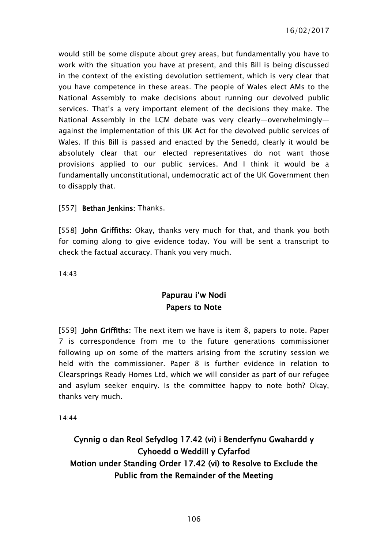would still be some dispute about grey areas, but fundamentally you have to work with the situation you have at present, and this Bill is being discussed in the context of the existing devolution settlement, which is very clear that you have competence in these areas. The people of Wales elect AMs to the National Assembly to make decisions about running our devolved public services. That's a very important element of the decisions they make. The National Assembly in the LCM debate was very clearly—overwhelmingly against the implementation of this UK Act for the devolved public services of Wales. If this Bill is passed and enacted by the Senedd, clearly it would be absolutely clear that our elected representatives do not want those provisions applied to our public services. And I think it would be a fundamentally unconstitutional, undemocratic act of the UK Government then to disapply that.

## [557] **Bethan Jenkins:** Thanks.

[558] **John Griffiths:** Okay, thanks very much for that, and thank you both for coming along to give evidence today. You will be sent a transcript to check the factual accuracy. Thank you very much.

14:43

## Papurau i'w Nodi Papers to Note

[559] **John Griffiths:** The next item we have is item 8, papers to note. Paper 7 is correspondence from me to the future generations commissioner following up on some of the matters arising from the scrutiny session we held with the commissioner. Paper 8 is further evidence in relation to Clearsprings Ready Homes Ltd, which we will consider as part of our refugee and asylum seeker enquiry. Is the committee happy to note both? Okay, thanks very much.

14:44

# Cynnig o dan Reol Sefydlog 17.42 (vi) i Benderfynu Gwahardd y Cyhoedd o Weddill y Cyfarfod Motion under Standing Order 17.42 (vi) to Resolve to Exclude the Public from the Remainder of the Meeting